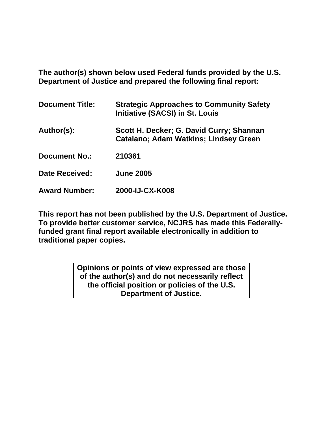**The author(s) shown below used Federal funds provided by the U.S. Department of Justice and prepared the following final report:** 

| <b>Document Title:</b> | <b>Strategic Approaches to Community Safety</b><br><b>Initiative (SACSI) in St. Louis</b> |
|------------------------|-------------------------------------------------------------------------------------------|
| Author(s):             | Scott H. Decker; G. David Curry; Shannan<br><b>Catalano; Adam Watkins; Lindsey Green</b>  |
| <b>Document No.:</b>   | 210361                                                                                    |
| <b>Date Received:</b>  | <b>June 2005</b>                                                                          |
| <b>Award Number:</b>   | 2000-IJ-CX-K008                                                                           |

**This report has not been published by the U.S. Department of Justice. To provide better customer service, NCJRS has made this Federallyfunded grant final report available electronically in addition to traditional paper copies.**

> **Opinions or points of view expressed are those of the author(s) and do not necessarily reflect the official position or policies of the U.S. Department of Justice.**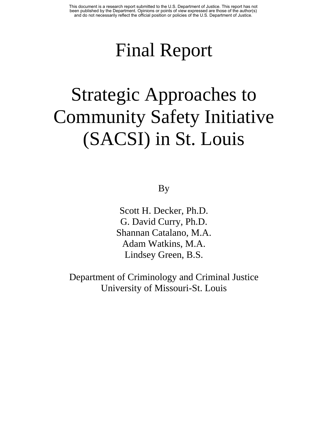# Final Report

# Strategic Approaches to Community Safety Initiative (SACSI) in St. Louis

## By

Scott H. Decker, Ph.D. G. David Curry, Ph.D. Shannan Catalano, M.A. Adam Watkins, M.A. Lindsey Green, B.S.

Department of Criminology and Criminal Justice University of Missouri-St. Louis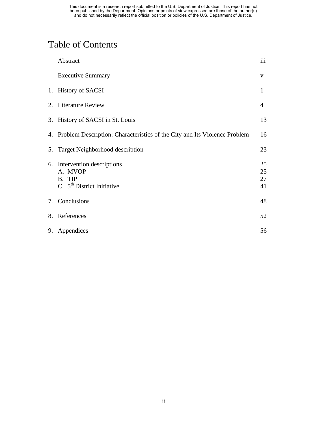# Table of Contents

| Abstract                                                                                    | iii                  |
|---------------------------------------------------------------------------------------------|----------------------|
| <b>Executive Summary</b>                                                                    | V                    |
| 1. History of SACSI                                                                         | $\mathbf{1}$         |
| 2. Literature Review                                                                        | $\overline{4}$       |
| 3. History of SACSI in St. Louis                                                            | 13                   |
| 4. Problem Description: Characteristics of the City and Its Violence Problem                | 16                   |
| 5. Target Neighborhood description                                                          | 23                   |
| 6. Intervention descriptions<br>A. MVOP<br>B. TIP<br>C. $5^{\text{th}}$ District Initiative | 25<br>25<br>27<br>41 |
| 7. Conclusions                                                                              | 48                   |
| 8. References                                                                               | 52                   |
| 9. Appendices                                                                               | 56                   |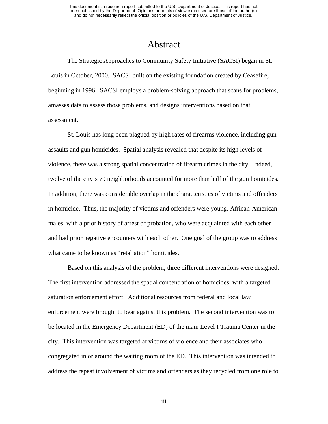## Abstract

The Strategic Approaches to Community Safety Initiative (SACSI) began in St. Louis in October, 2000. SACSI built on the existing foundation created by Ceasefire, beginning in 1996. SACSI employs a problem-solving approach that scans for problems, amasses data to assess those problems, and designs interventions based on that assessment.

St. Louis has long been plagued by high rates of firearms violence, including gun assaults and gun homicides. Spatial analysis revealed that despite its high levels of violence, there was a strong spatial concentration of firearm crimes in the city. Indeed, twelve of the city's 79 neighborhoods accounted for more than half of the gun homicides. In addition, there was considerable overlap in the characteristics of victims and offenders in homicide. Thus, the majority of victims and offenders were young, African-American males, with a prior history of arrest or probation, who were acquainted with each other and had prior negative encounters with each other. One goal of the group was to address what came to be known as "retaliation" homicides.

Based on this analysis of the problem, three different interventions were designed. The first intervention addressed the spatial concentration of homicides, with a targeted saturation enforcement effort. Additional resources from federal and local law enforcement were brought to bear against this problem. The second intervention was to be located in the Emergency Department (ED) of the main Level I Trauma Center in the city. This intervention was targeted at victims of violence and their associates who congregated in or around the waiting room of the ED. This intervention was intended to address the repeat involvement of victims and offenders as they recycled from one role to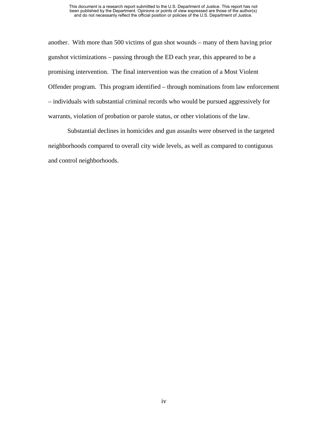another. With more than 500 victims of gun shot wounds – many of them having prior gunshot victimizations – passing through the ED each year, this appeared to be a promising intervention. The final intervention was the creation of a Most Violent Offender program. This program identified – through nominations from law enforcement – individuals with substantial criminal records who would be pursued aggressively for warrants, violation of probation or parole status, or other violations of the law.

Substantial declines in homicides and gun assaults were observed in the targeted neighborhoods compared to overall city wide levels, as well as compared to contiguous and control neighborhoods.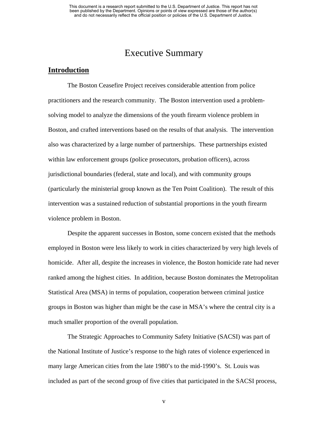## Executive Summary

#### **Introduction**

The Boston Ceasefire Project receives considerable attention from police practitioners and the research community. The Boston intervention used a problemsolving model to analyze the dimensions of the youth firearm violence problem in Boston, and crafted interventions based on the results of that analysis. The intervention also was characterized by a large number of partnerships. These partnerships existed within law enforcement groups (police prosecutors, probation officers), across jurisdictional boundaries (federal, state and local), and with community groups (particularly the ministerial group known as the Ten Point Coalition). The result of this intervention was a sustained reduction of substantial proportions in the youth firearm violence problem in Boston.

Despite the apparent successes in Boston, some concern existed that the methods employed in Boston were less likely to work in cities characterized by very high levels of homicide. After all, despite the increases in violence, the Boston homicide rate had never ranked among the highest cities. In addition, because Boston dominates the Metropolitan Statistical Area (MSA) in terms of population, cooperation between criminal justice groups in Boston was higher than might be the case in MSA's where the central city is a much smaller proportion of the overall population.

The Strategic Approaches to Community Safety Initiative (SACSI) was part of the National Institute of Justice's response to the high rates of violence experienced in many large American cities from the late 1980's to the mid-1990's. St. Louis was included as part of the second group of five cities that participated in the SACSI process,

v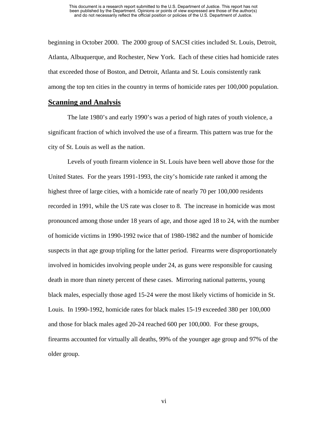beginning in October 2000. The 2000 group of SACSI cities included St. Louis, Detroit, Atlanta, Albuquerque, and Rochester, New York. Each of these cities had homicide rates that exceeded those of Boston, and Detroit, Atlanta and St. Louis consistently rank among the top ten cities in the country in terms of homicide rates per 100,000 population.

#### **Scanning and Analysis**

The late 1980's and early 1990's was a period of high rates of youth violence, a significant fraction of which involved the use of a firearm. This pattern was true for the city of St. Louis as well as the nation.

Levels of youth firearm violence in St. Louis have been well above those for the United States. For the years 1991-1993, the city's homicide rate ranked it among the highest three of large cities, with a homicide rate of nearly 70 per 100,000 residents recorded in 1991, while the US rate was closer to 8. The increase in homicide was most pronounced among those under 18 years of age, and those aged 18 to 24, with the number of homicide victims in 1990-1992 twice that of 1980-1982 and the number of homicide suspects in that age group tripling for the latter period. Firearms were disproportionately involved in homicides involving people under 24, as guns were responsible for causing death in more than ninety percent of these cases. Mirroring national patterns, young black males, especially those aged 15-24 were the most likely victims of homicide in St. Louis. In 1990-1992, homicide rates for black males 15-19 exceeded 380 per 100,000 and those for black males aged 20-24 reached 600 per 100,000. For these groups, firearms accounted for virtually all deaths, 99% of the younger age group and 97% of the older group.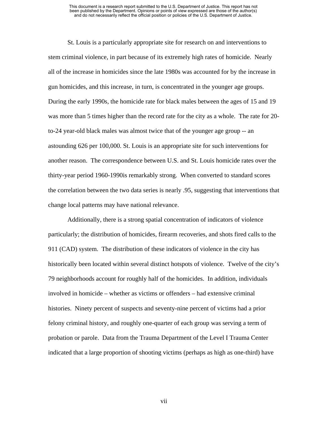St. Louis is a particularly appropriate site for research on and interventions to stem criminal violence, in part because of its extremely high rates of homicide. Nearly all of the increase in homicides since the late 1980s was accounted for by the increase in gun homicides, and this increase, in turn, is concentrated in the younger age groups. During the early 1990s, the homicide rate for black males between the ages of 15 and 19 was more than 5 times higher than the record rate for the city as a whole. The rate for 20 to-24 year-old black males was almost twice that of the younger age group -- an astounding 626 per 100,000. St. Louis is an appropriate site for such interventions for another reason. The correspondence between U.S. and St. Louis homicide rates over the thirty-year period 1960-1990is remarkably strong. When converted to standard scores the correlation between the two data series is nearly .95, suggesting that interventions that change local patterns may have national relevance.

Additionally, there is a strong spatial concentration of indicators of violence particularly; the distribution of homicides, firearm recoveries, and shots fired calls to the 911 (CAD) system. The distribution of these indicators of violence in the city has historically been located within several distinct hotspots of violence. Twelve of the city's 79 neighborhoods account for roughly half of the homicides. In addition, individuals involved in homicide – whether as victims or offenders – had extensive criminal histories. Ninety percent of suspects and seventy-nine percent of victims had a prior felony criminal history, and roughly one-quarter of each group was serving a term of probation or parole. Data from the Trauma Department of the Level I Trauma Center indicated that a large proportion of shooting victims (perhaps as high as one-third) have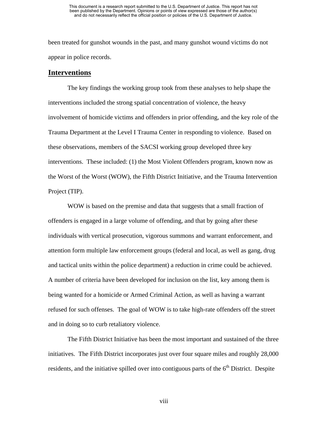been treated for gunshot wounds in the past, and many gunshot wound victims do not appear in police records.

#### **Interventions**

The key findings the working group took from these analyses to help shape the interventions included the strong spatial concentration of violence, the heavy involvement of homicide victims and offenders in prior offending, and the key role of the Trauma Department at the Level I Trauma Center in responding to violence. Based on these observations, members of the SACSI working group developed three key interventions. These included: (1) the Most Violent Offenders program, known now as the Worst of the Worst (WOW), the Fifth District Initiative, and the Trauma Intervention Project (TIP).

WOW is based on the premise and data that suggests that a small fraction of offenders is engaged in a large volume of offending, and that by going after these individuals with vertical prosecution, vigorous summons and warrant enforcement, and attention form multiple law enforcement groups (federal and local, as well as gang, drug and tactical units within the police department) a reduction in crime could be achieved. A number of criteria have been developed for inclusion on the list, key among them is being wanted for a homicide or Armed Criminal Action, as well as having a warrant refused for such offenses. The goal of WOW is to take high-rate offenders off the street and in doing so to curb retaliatory violence.

The Fifth District Initiative has been the most important and sustained of the three initiatives. The Fifth District incorporates just over four square miles and roughly 28,000 residents, and the initiative spilled over into contiguous parts of the  $6<sup>th</sup>$  District. Despite

viii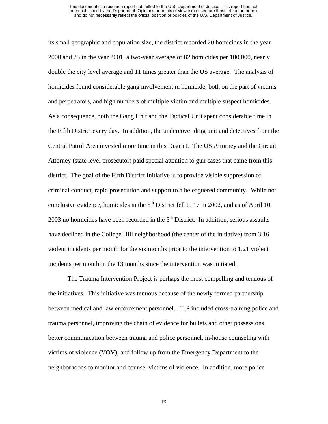its small geographic and population size, the district recorded 20 homicides in the year 2000 and 25 in the year 2001, a two-year average of 82 homicides per 100,000, nearly double the city level average and 11 times greater than the US average. The analysis of homicides found considerable gang involvement in homicide, both on the part of victims and perpetrators, and high numbers of multiple victim and multiple suspect homicides. As a consequence, both the Gang Unit and the Tactical Unit spent considerable time in the Fifth District every day. In addition, the undercover drug unit and detectives from the Central Patrol Area invested more time in this District. The US Attorney and the Circuit Attorney (state level prosecutor) paid special attention to gun cases that came from this district. The goal of the Fifth District Initiative is to provide visible suppression of criminal conduct, rapid prosecution and support to a beleaguered community. While not conclusive evidence, homicides in the  $5<sup>th</sup>$  District fell to 17 in 2002, and as of April 10, 2003 no homicides have been recorded in the  $5<sup>th</sup>$  District. In addition, serious assaults have declined in the College Hill neighborhood (the center of the initiative) from 3.16 violent incidents per month for the six months prior to the intervention to 1.21 violent incidents per month in the 13 months since the intervention was initiated.

The Trauma Intervention Project is perhaps the most compelling and tenuous of the initiatives. This initiative was tenuous because of the newly formed partnership between medical and law enforcement personnel. TIP included cross-training police and trauma personnel, improving the chain of evidence for bullets and other possessions, better communication between trauma and police personnel, in-house counseling with victims of violence (VOV), and follow up from the Emergency Department to the neighborhoods to monitor and counsel victims of violence. In addition, more police

ix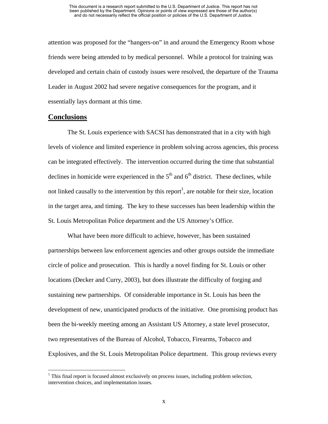attention was proposed for the "hangers-on" in and around the Emergency Room whose friends were being attended to by medical personnel. While a protocol for training was developed and certain chain of custody issues were resolved, the departure of the Trauma Leader in August 2002 had severe negative consequences for the program, and it essentially lays dormant at this time.

#### **Conclusions**

1

The St. Louis experience with SACSI has demonstrated that in a city with high levels of violence and limited experience in problem solving across agencies, this process can be integrated effectively. The intervention occurred during the time that substantial declines in homicide were experienced in the  $5<sup>th</sup>$  and  $6<sup>th</sup>$  district. These declines, while not linked causally to the intervention by this report<sup>[1](#page-10-0)</sup>, are notable for their size, location in the target area, and timing. The key to these successes has been leadership within the St. Louis Metropolitan Police department and the US Attorney's Office.

What have been more difficult to achieve, however, has been sustained partnerships between law enforcement agencies and other groups outside the immediate circle of police and prosecution. This is hardly a novel finding for St. Louis or other locations (Decker and Curry, 2003), but does illustrate the difficulty of forging and sustaining new partnerships. Of considerable importance in St. Louis has been the development of new, unanticipated products of the initiative. One promising product has been the bi-weekly meeting among an Assistant US Attorney, a state level prosecutor, two representatives of the Bureau of Alcohol, Tobacco, Firearms, Tobacco and Explosives, and the St. Louis Metropolitan Police department. This group reviews every

<span id="page-10-0"></span> $<sup>1</sup>$  This final report is focused almost exclusively on process issues, including problem selection,</sup> intervention choices, and implementation issues.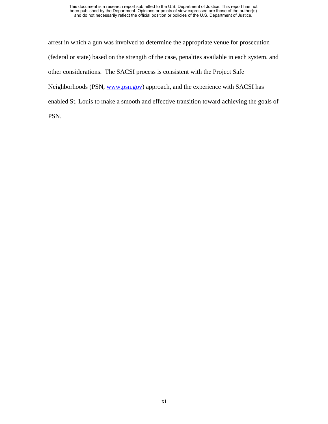arrest in which a gun was involved to determine the appropriate venue for prosecution (federal or state) based on the strength of the case, penalties available in each system, and other considerations. The SACSI process is consistent with the Project Safe Neighborhoods (PSN, [www.psn.gov\)](http://www.psn.gov/) approach, and the experience with SACSI has enabled St. Louis to make a smooth and effective transition toward achieving the goals of PSN.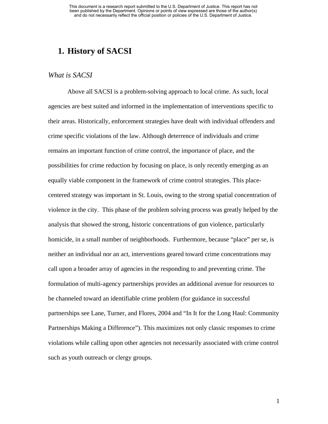## **1. History of SACSI**

#### *What is SACSI*

Above all SACSI is a problem-solving approach to local crime. As such, local agencies are best suited and informed in the implementation of interventions specific to their areas. Historically, enforcement strategies have dealt with individual offenders and crime specific violations of the law. Although deterrence of individuals and crime remains an important function of crime control, the importance of place, and the possibilities for crime reduction by focusing on place, is only recently emerging as an equally viable component in the framework of crime control strategies. This placecentered strategy was important in St. Louis, owing to the strong spatial concentration of violence in the city. This phase of the problem solving process was greatly helped by the analysis that showed the strong, historic concentrations of gun violence, particularly homicide, in a small number of neighborhoods. Furthermore, because "place" per se, is neither an individual nor an act, interventions geared toward crime concentrations may call upon a broader array of agencies in the responding to and preventing crime. The formulation of multi-agency partnerships provides an additional avenue for resources to be channeled toward an identifiable crime problem (for guidance in successful partnerships see Lane, Turner, and Flores, 2004 and "In It for the Long Haul: Community Partnerships Making a Difference"). This maximizes not only classic responses to crime violations while calling upon other agencies not necessarily associated with crime control such as youth outreach or clergy groups.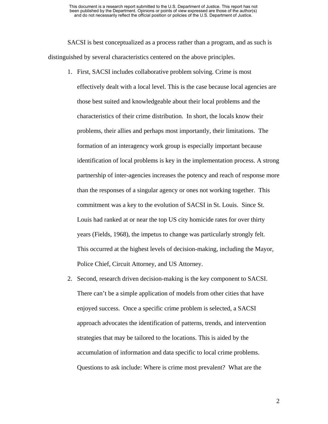SACSI is best conceptualized as a process rather than a program, and as such is distinguished by several characteristics centered on the above principles.

- 1. First, SACSI includes collaborative problem solving. Crime is most effectively dealt with a local level. This is the case because local agencies are those best suited and knowledgeable about their local problems and the characteristics of their crime distribution. In short, the locals know their problems, their allies and perhaps most importantly, their limitations. The formation of an interagency work group is especially important because identification of local problems is key in the implementation process. A strong partnership of inter-agencies increases the potency and reach of response more than the responses of a singular agency or ones not working together. This commitment was a key to the evolution of SACSI in St. Louis. Since St. Louis had ranked at or near the top US city homicide rates for over thirty years (Fields, 1968), the impetus to change was particularly strongly felt. This occurred at the highest levels of decision-making, including the Mayor, Police Chief, Circuit Attorney, and US Attorney.
- 2. Second, research driven decision-making is the key component to SACSI. There can't be a simple application of models from other cities that have enjoyed success. Once a specific crime problem is selected, a SACSI approach advocates the identification of patterns, trends, and intervention strategies that may be tailored to the locations. This is aided by the accumulation of information and data specific to local crime problems. Questions to ask include: Where is crime most prevalent? What are the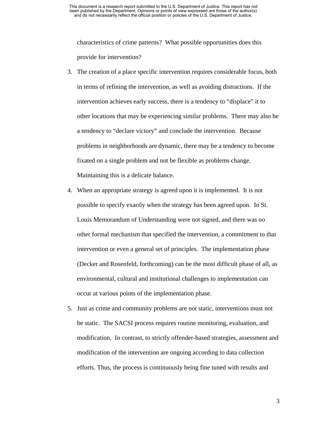characteristics of crime patterns? What possible opportunities does this provide for intervention?

- 3. The creation of a place specific intervention requires considerable focus, both in terms of refining the intervention, as well as avoiding distractions. If the intervention achieves early success, there is a tendency to "displace" it to other locations that may be experiencing similar problems. There may also be a tendency to "declare victory" and conclude the intervention. Because problems in neighborhoods are dynamic, there may be a tendency to become fixated on a single problem and not be flexible as problems change. Maintaining this is a delicate balance.
- 4. When an appropriate strategy is agreed upon it is implemented. It is not possible to specify exactly when the strategy has been agreed upon. In St. Louis Memorandum of Understanding were not signed, and there was no other formal mechanism that specified the intervention, a commitment to that intervention or even a general set of principles. The implementation phase (Decker and Rosenfeld, forthcoming) can be the most difficult phase of all, as environmental, cultural and institutional challenges to implementation can occur at various points of the implementation phase.
- 5. Just as crime and community problems are not static, interventions must not be static. The SACSI process requires routine monitoring, evaluation, and modification. In contrast, to strictly offender-based strategies, assessment and modification of the intervention are ongoing according to data collection efforts. Thus, the process is continuously being fine tuned with results and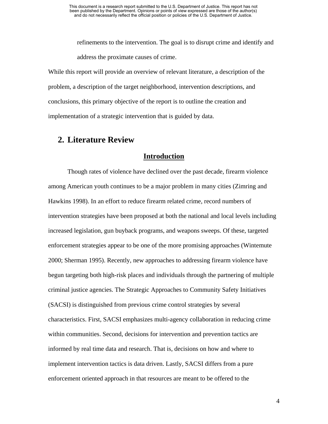refinements to the intervention. The goal is to disrupt crime and identify and address the proximate causes of crime.

While this report will provide an overview of relevant literature, a description of the problem, a description of the target neighborhood, intervention descriptions, and conclusions, this primary objective of the report is to outline the creation and implementation of a strategic intervention that is guided by data.

## **2. Literature Review**

### **Introduction**

Though rates of violence have declined over the past decade, firearm violence among American youth continues to be a major problem in many cities (Zimring and Hawkins 1998). In an effort to reduce firearm related crime, record numbers of intervention strategies have been proposed at both the national and local levels including increased legislation, gun buyback programs, and weapons sweeps. Of these, targeted enforcement strategies appear to be one of the more promising approaches (Wintemute 2000; Sherman 1995). Recently, new approaches to addressing firearm violence have begun targeting both high-risk places and individuals through the partnering of multiple criminal justice agencies. The Strategic Approaches to Community Safety Initiatives (SACSI) is distinguished from previous crime control strategies by several characteristics. First, SACSI emphasizes multi-agency collaboration in reducing crime within communities. Second, decisions for intervention and prevention tactics are informed by real time data and research. That is, decisions on how and where to implement intervention tactics is data driven. Lastly, SACSI differs from a pure enforcement oriented approach in that resources are meant to be offered to the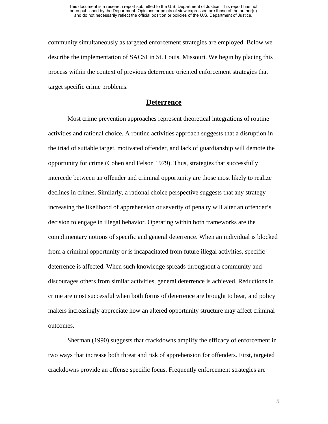community simultaneously as targeted enforcement strategies are employed. Below we describe the implementation of SACSI in St. Louis, Missouri. We begin by placing this process within the context of previous deterrence oriented enforcement strategies that target specific crime problems.

#### **Deterrence**

Most crime prevention approaches represent theoretical integrations of routine activities and rational choice. A routine activities approach suggests that a disruption in the triad of suitable target, motivated offender, and lack of guardianship will demote the opportunity for crime (Cohen and Felson 1979). Thus, strategies that successfully intercede between an offender and criminal opportunity are those most likely to realize declines in crimes. Similarly, a rational choice perspective suggests that any strategy increasing the likelihood of apprehension or severity of penalty will alter an offender's decision to engage in illegal behavior. Operating within both frameworks are the complimentary notions of specific and general deterrence. When an individual is blocked from a criminal opportunity or is incapacitated from future illegal activities, specific deterrence is affected. When such knowledge spreads throughout a community and discourages others from similar activities, general deterrence is achieved. Reductions in crime are most successful when both forms of deterrence are brought to bear, and policy makers increasingly appreciate how an altered opportunity structure may affect criminal outcomes.

Sherman (1990) suggests that crackdowns amplify the efficacy of enforcement in two ways that increase both threat and risk of apprehension for offenders. First, targeted crackdowns provide an offense specific focus. Frequently enforcement strategies are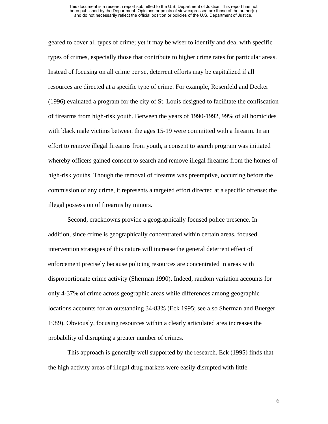geared to cover all types of crime; yet it may be wiser to identify and deal with specific types of crimes, especially those that contribute to higher crime rates for particular areas. Instead of focusing on all crime per se, deterrent efforts may be capitalized if all resources are directed at a specific type of crime. For example, Rosenfeld and Decker (1996) evaluated a program for the city of St. Louis designed to facilitate the confiscation of firearms from high-risk youth. Between the years of 1990-1992, 99% of all homicides with black male victims between the ages 15-19 were committed with a firearm. In an effort to remove illegal firearms from youth, a consent to search program was initiated whereby officers gained consent to search and remove illegal firearms from the homes of high-risk youths. Though the removal of firearms was preemptive, occurring before the commission of any crime, it represents a targeted effort directed at a specific offense: the illegal possession of firearms by minors.

Second, crackdowns provide a geographically focused police presence. In addition, since crime is geographically concentrated within certain areas, focused intervention strategies of this nature will increase the general deterrent effect of enforcement precisely because policing resources are concentrated in areas with disproportionate crime activity (Sherman 1990). Indeed, random variation accounts for only 4-37% of crime across geographic areas while differences among geographic locations accounts for an outstanding 34-83% (Eck 1995; see also Sherman and Buerger 1989). Obviously, focusing resources within a clearly articulated area increases the probability of disrupting a greater number of crimes.

This approach is generally well supported by the research. Eck (1995) finds that the high activity areas of illegal drug markets were easily disrupted with little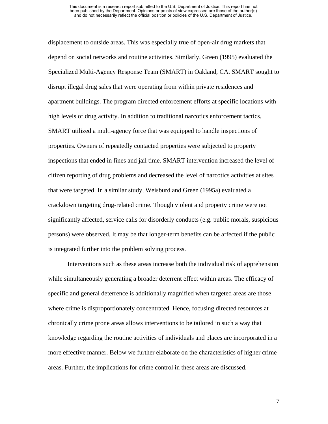displacement to outside areas. This was especially true of open-air drug markets that depend on social networks and routine activities. Similarly, Green (1995) evaluated the Specialized Multi-Agency Response Team (SMART) in Oakland, CA. SMART sought to disrupt illegal drug sales that were operating from within private residences and apartment buildings. The program directed enforcement efforts at specific locations with high levels of drug activity. In addition to traditional narcotics enforcement tactics, SMART utilized a multi-agency force that was equipped to handle inspections of properties. Owners of repeatedly contacted properties were subjected to property inspections that ended in fines and jail time. SMART intervention increased the level of citizen reporting of drug problems and decreased the level of narcotics activities at sites that were targeted. In a similar study, Weisburd and Green (1995a) evaluated a crackdown targeting drug-related crime. Though violent and property crime were not significantly affected, service calls for disorderly conducts (e.g. public morals, suspicious persons) were observed. It may be that longer-term benefits can be affected if the public is integrated further into the problem solving process.

Interventions such as these areas increase both the individual risk of apprehension while simultaneously generating a broader deterrent effect within areas. The efficacy of specific and general deterrence is additionally magnified when targeted areas are those where crime is disproportionately concentrated. Hence, focusing directed resources at chronically crime prone areas allows interventions to be tailored in such a way that knowledge regarding the routine activities of individuals and places are incorporated in a more effective manner. Below we further elaborate on the characteristics of higher crime areas. Further, the implications for crime control in these areas are discussed.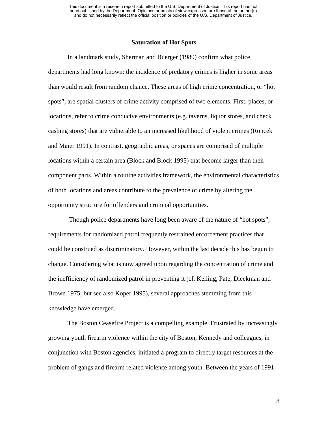#### **Saturation of Hot Spots**

In a landmark study, Sherman and Buerger (1989) confirm what police departments had long known: the incidence of predatory crimes is higher in some areas than would result from random chance. These areas of high crime concentration, or "hot spots", are spatial clusters of crime activity comprised of two elements. First, places, or locations, refer to crime conducive environments (e.g. taverns, liquor stores, and check cashing stores) that are vulnerable to an increased likelihood of violent crimes (Roncek and Maier 1991). In contrast, geographic areas, or spaces are comprised of multiple locations within a certain area (Block and Block 1995) that become larger than their component parts. Within a routine activities framework, the environmental characteristics of both locations and areas contribute to the prevalence of crime by altering the opportunity structure for offenders and criminal opportunities.

 Though police departments have long been aware of the nature of "hot spots", requirements for randomized patrol frequently restrained enforcement practices that could be construed as discriminatory. However, within the last decade this has begun to change. Considering what is now agreed upon regarding the concentration of crime and the inefficiency of randomized patrol in preventing it (cf. Kelling, Pate, Dieckman and Brown 1975; but see also Koper 1995), several approaches stemming from this knowledge have emerged.

The Boston Ceasefire Project is a compelling example. Frustrated by increasingly growing youth firearm violence within the city of Boston, Kennedy and colleagues, in conjunction with Boston agencies, initiated a program to directly target resources at the problem of gangs and firearm related violence among youth. Between the years of 1991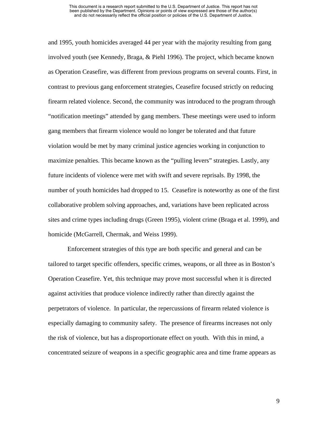#### This document is a research report submitted to the U.S. Department of Justice. This report has not been published by the Department. Opinions or points of view expressed are those of the author(s) and do not necessarily reflect the official position or policies of the U.S. Department of Justice.

and 1995, youth homicides averaged 44 per year with the majority resulting from gang involved youth (see Kennedy, Braga, & Piehl 1996). The project, which became known as Operation Ceasefire, was different from previous programs on several counts. First, in contrast to previous gang enforcement strategies, Ceasefire focused strictly on reducing firearm related violence. Second, the community was introduced to the program through "notification meetings" attended by gang members. These meetings were used to inform gang members that firearm violence would no longer be tolerated and that future violation would be met by many criminal justice agencies working in conjunction to maximize penalties. This became known as the "pulling levers" strategies. Lastly, any future incidents of violence were met with swift and severe reprisals. By 1998, the number of youth homicides had dropped to 15. Ceasefire is noteworthy as one of the first collaborative problem solving approaches, and, variations have been replicated across sites and crime types including drugs (Green 1995), violent crime (Braga et al. 1999), and homicide (McGarrell, Chermak, and Weiss 1999).

Enforcement strategies of this type are both specific and general and can be tailored to target specific offenders, specific crimes, weapons, or all three as in Boston's Operation Ceasefire. Yet, this technique may prove most successful when it is directed against activities that produce violence indirectly rather than directly against the perpetrators of violence. In particular, the repercussions of firearm related violence is especially damaging to community safety. The presence of firearms increases not only the risk of violence, but has a disproportionate effect on youth. With this in mind, a concentrated seizure of weapons in a specific geographic area and time frame appears as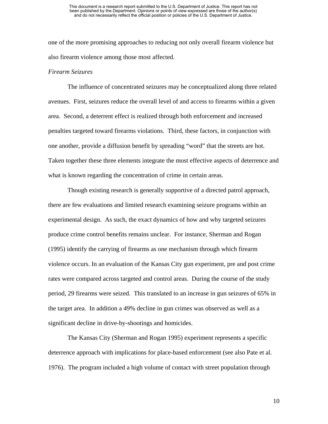one of the more promising approaches to reducing not only overall firearm violence but also firearm violence among those most affected.

#### *Firearm Seizures*

The influence of concentrated seizures may be conceptualized along three related avenues. First, seizures reduce the overall level of and access to firearms within a given area. Second, a deterrent effect is realized through both enforcement and increased penalties targeted toward firearms violations. Third, these factors, in conjunction with one another, provide a diffusion benefit by spreading "word" that the streets are hot. Taken together these three elements integrate the most effective aspects of deterrence and what is known regarding the concentration of crime in certain areas.

Though existing research is generally supportive of a directed patrol approach, there are few evaluations and limited research examining seizure programs within an experimental design. As such, the exact dynamics of how and why targeted seizures produce crime control benefits remains unclear. For instance, Sherman and Rogan (1995) identify the carrying of firearms as one mechanism through which firearm violence occurs. In an evaluation of the Kansas City gun experiment, pre and post crime rates were compared across targeted and control areas. During the course of the study period, 29 firearms were seized. This translated to an increase in gun seizures of 65% in the target area. In addition a 49% decline in gun crimes was observed as well as a significant decline in drive-by-shootings and homicides.

The Kansas City (Sherman and Rogan 1995) experiment represents a specific deterrence approach with implications for place-based enforcement (see also Pate et al. 1976). The program included a high volume of contact with street population through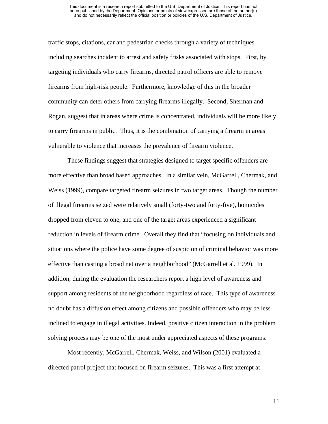traffic stops, citations, car and pedestrian checks through a variety of techniques including searches incident to arrest and safety frisks associated with stops. First, by targeting individuals who carry firearms, directed patrol officers are able to remove firearms from high-risk people. Furthermore, knowledge of this in the broader community can deter others from carrying firearms illegally. Second, Sherman and Rogan, suggest that in areas where crime is concentrated, individuals will be more likely to carry firearms in public. Thus, it is the combination of carrying a firearm in areas vulnerable to violence that increases the prevalence of firearm violence.

These findings suggest that strategies designed to target specific offenders are more effective than broad based approaches. In a similar vein, McGarrell, Chermak, and Weiss (1999), compare targeted firearm seizures in two target areas. Though the number of illegal firearms seized were relatively small (forty-two and forty-five), homicides dropped from eleven to one, and one of the target areas experienced a significant reduction in levels of firearm crime. Overall they find that "focusing on individuals and situations where the police have some degree of suspicion of criminal behavior was more effective than casting a broad net over a neighborhood" (McGarrell et al. 1999). In addition, during the evaluation the researchers report a high level of awareness and support among residents of the neighborhood regardless of race. This type of awareness no doubt has a diffusion effect among citizens and possible offenders who may be less inclined to engage in illegal activities. Indeed, positive citizen interaction in the problem solving process may be one of the most under appreciated aspects of these programs.

Most recently, McGarrell, Chermak, Weiss, and Wilson (2001) evaluated a directed patrol project that focused on firearm seizures. This was a first attempt at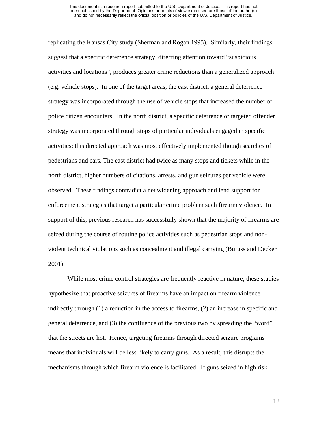replicating the Kansas City study (Sherman and Rogan 1995). Similarly, their findings suggest that a specific deterrence strategy, directing attention toward "suspicious activities and locations", produces greater crime reductions than a generalized approach (e.g. vehicle stops). In one of the target areas, the east district, a general deterrence strategy was incorporated through the use of vehicle stops that increased the number of police citizen encounters. In the north district, a specific deterrence or targeted offender strategy was incorporated through stops of particular individuals engaged in specific activities; this directed approach was most effectively implemented though searches of pedestrians and cars. The east district had twice as many stops and tickets while in the north district, higher numbers of citations, arrests, and gun seizures per vehicle were observed. These findings contradict a net widening approach and lend support for enforcement strategies that target a particular crime problem such firearm violence. In support of this, previous research has successfully shown that the majority of firearms are seized during the course of routine police activities such as pedestrian stops and nonviolent technical violations such as concealment and illegal carrying (Buruss and Decker 2001).

While most crime control strategies are frequently reactive in nature, these studies hypothesize that proactive seizures of firearms have an impact on firearm violence indirectly through (1) a reduction in the access to firearms, (2) an increase in specific and general deterrence, and (3) the confluence of the previous two by spreading the "word" that the streets are hot. Hence, targeting firearms through directed seizure programs means that individuals will be less likely to carry guns. As a result, this disrupts the mechanisms through which firearm violence is facilitated. If guns seized in high risk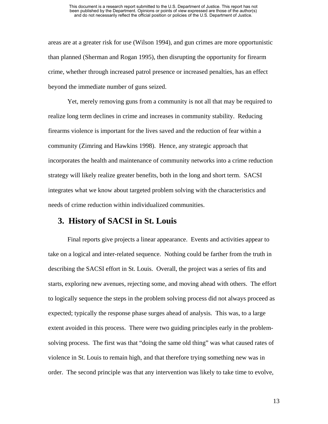#### This document is a research report submitted to the U.S. Department of Justice. This report has not been published by the Department. Opinions or points of view expressed are those of the author(s) and do not necessarily reflect the official position or policies of the U.S. Department of Justice.

areas are at a greater risk for use (Wilson 1994), and gun crimes are more opportunistic than planned (Sherman and Rogan 1995), then disrupting the opportunity for firearm crime, whether through increased patrol presence or increased penalties, has an effect beyond the immediate number of guns seized.

Yet, merely removing guns from a community is not all that may be required to realize long term declines in crime and increases in community stability. Reducing firearms violence is important for the lives saved and the reduction of fear within a community (Zimring and Hawkins 1998). Hence, any strategic approach that incorporates the health and maintenance of community networks into a crime reduction strategy will likely realize greater benefits, both in the long and short term. SACSI integrates what we know about targeted problem solving with the characteristics and needs of crime reduction within individualized communities.

## **3. History of SACSI in St. Louis**

Final reports give projects a linear appearance. Events and activities appear to take on a logical and inter-related sequence. Nothing could be farther from the truth in describing the SACSI effort in St. Louis. Overall, the project was a series of fits and starts, exploring new avenues, rejecting some, and moving ahead with others. The effort to logically sequence the steps in the problem solving process did not always proceed as expected; typically the response phase surges ahead of analysis. This was, to a large extent avoided in this process. There were two guiding principles early in the problemsolving process. The first was that "doing the same old thing" was what caused rates of violence in St. Louis to remain high, and that therefore trying something new was in order. The second principle was that any intervention was likely to take time to evolve,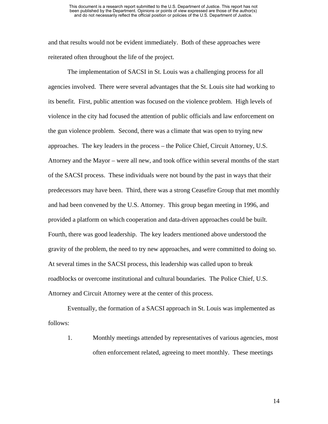and that results would not be evident immediately. Both of these approaches were reiterated often throughout the life of the project.

The implementation of SACSI in St. Louis was a challenging process for all agencies involved. There were several advantages that the St. Louis site had working to its benefit. First, public attention was focused on the violence problem. High levels of violence in the city had focused the attention of public officials and law enforcement on the gun violence problem. Second, there was a climate that was open to trying new approaches. The key leaders in the process – the Police Chief, Circuit Attorney, U.S. Attorney and the Mayor – were all new, and took office within several months of the start of the SACSI process. These individuals were not bound by the past in ways that their predecessors may have been. Third, there was a strong Ceasefire Group that met monthly and had been convened by the U.S. Attorney. This group began meeting in 1996, and provided a platform on which cooperation and data-driven approaches could be built. Fourth, there was good leadership. The key leaders mentioned above understood the gravity of the problem, the need to try new approaches, and were committed to doing so. At several times in the SACSI process, this leadership was called upon to break roadblocks or overcome institutional and cultural boundaries. The Police Chief, U.S. Attorney and Circuit Attorney were at the center of this process.

Eventually, the formation of a SACSI approach in St. Louis was implemented as follows:

1. Monthly meetings attended by representatives of various agencies, most often enforcement related, agreeing to meet monthly. These meetings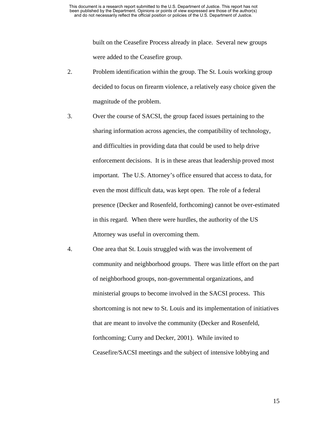built on the Ceasefire Process already in place. Several new groups were added to the Ceasefire group.

- 2. Problem identification within the group. The St. Louis working group decided to focus on firearm violence, a relatively easy choice given the magnitude of the problem.
- 3. Over the course of SACSI, the group faced issues pertaining to the sharing information across agencies, the compatibility of technology, and difficulties in providing data that could be used to help drive enforcement decisions. It is in these areas that leadership proved most important. The U.S. Attorney's office ensured that access to data, for even the most difficult data, was kept open. The role of a federal presence (Decker and Rosenfeld, forthcoming) cannot be over-estimated in this regard. When there were hurdles, the authority of the US Attorney was useful in overcoming them.
- 4. One area that St. Louis struggled with was the involvement of community and neighborhood groups. There was little effort on the part of neighborhood groups, non-governmental organizations, and ministerial groups to become involved in the SACSI process. This shortcoming is not new to St. Louis and its implementation of initiatives that are meant to involve the community (Decker and Rosenfeld, forthcoming; Curry and Decker, 2001). While invited to Ceasefire/SACSI meetings and the subject of intensive lobbying and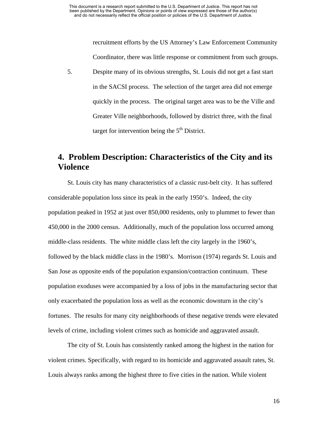recruitment efforts by the US Attorney's Law Enforcement Community Coordinator, there was little response or commitment from such groups.

5. Despite many of its obvious strengths, St. Louis did not get a fast start in the SACSI process. The selection of the target area did not emerge quickly in the process. The original target area was to be the Ville and Greater Ville neighborhoods, followed by district three, with the final target for intervention being the  $5<sup>th</sup>$  District.

## **4. Problem Description: Characteristics of the City and its Violence**

St. Louis city has many characteristics of a classic rust-belt city. It has suffered considerable population loss since its peak in the early 1950's. Indeed, the city population peaked in 1952 at just over 850,000 residents, only to plummet to fewer than 450,000 in the 2000 census. Additionally, much of the population loss occurred among middle-class residents. The white middle class left the city largely in the 1960's, followed by the black middle class in the 1980's. Morrison (1974) regards St. Louis and San Jose as opposite ends of the population expansion/contraction continuum. These population exoduses were accompanied by a loss of jobs in the manufacturing sector that only exacerbated the population loss as well as the economic downturn in the city's fortunes. The results for many city neighborhoods of these negative trends were elevated levels of crime, including violent crimes such as homicide and aggravated assault.

The city of St. Louis has consistently ranked among the highest in the nation for violent crimes. Specifically, with regard to its homicide and aggravated assault rates, St. Louis always ranks among the highest three to five cities in the nation. While violent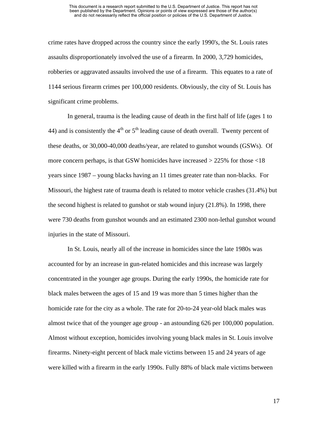crime rates have dropped across the country since the early 1990's, the St. Louis rates assaults disproportionately involved the use of a firearm. In 2000, 3,729 homicides, robberies or aggravated assaults involved the use of a firearm. This equates to a rate of 1144 serious firearm crimes per 100,000 residents. Obviously, the city of St. Louis has significant crime problems.

In general, trauma is the leading cause of death in the first half of life (ages 1 to 44) and is consistently the  $4<sup>th</sup>$  or  $5<sup>th</sup>$  leading cause of death overall. Twenty percent of these deaths, or 30,000-40,000 deaths/year, are related to gunshot wounds (GSWs). Of more concern perhaps, is that GSW homicides have increased  $>$  225% for those  $\langle 18 \rangle$ years since 1987 – young blacks having an 11 times greater rate than non-blacks. For Missouri, the highest rate of trauma death is related to motor vehicle crashes (31.4%) but the second highest is related to gunshot or stab wound injury (21.8%). In 1998, there were 730 deaths from gunshot wounds and an estimated 2300 non-lethal gunshot wound injuries in the state of Missouri.

In St. Louis, nearly all of the increase in homicides since the late 1980s was accounted for by an increase in gun-related homicides and this increase was largely concentrated in the younger age groups. During the early 1990s, the homicide rate for black males between the ages of 15 and 19 was more than 5 times higher than the homicide rate for the city as a whole. The rate for 20-to-24 year-old black males was almost twice that of the younger age group - an astounding 626 per 100,000 population. Almost without exception, homicides involving young black males in St. Louis involve firearms. Ninety-eight percent of black male victims between 15 and 24 years of age were killed with a firearm in the early 1990s. Fully 88% of black male victims between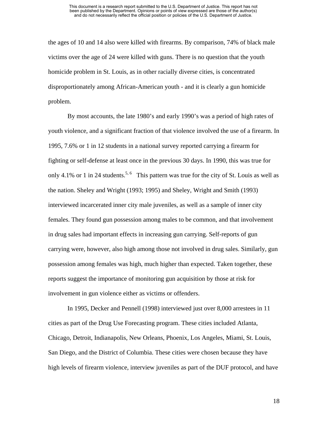the ages of 10 and 14 also were killed with firearms. By comparison, 74% of black male victims over the age of 24 were killed with guns. There is no question that the youth homicide problem in St. Louis, as in other racially diverse cities, is concentrated disproportionately among African-American youth - and it is clearly a gun homicide problem.

By most accounts, the late 1980's and early 1990's was a period of high rates of youth violence, and a significant fraction of that violence involved the use of a firearm. In 1995, 7.6% or 1 in 12 students in a national survey reported carrying a firearm for fighting or self-defense at least once in the previous 30 days. In 1990, this was true for only 4.1% or 1 in 24 students.<sup>5, 6</sup> This pattern was true for the city of St. Louis as well as the nation. Sheley and Wright (1993; 1995) and Sheley, Wright and Smith (1993) interviewed incarcerated inner city male juveniles, as well as a sample of inner city females. They found gun possession among males to be common, and that involvement in drug sales had important effects in increasing gun carrying. Self-reports of gun carrying were, however, also high among those not involved in drug sales. Similarly, gun possession among females was high, much higher than expected. Taken together, these reports suggest the importance of monitoring gun acquisition by those at risk for involvement in gun violence either as victims or offenders.

In 1995, Decker and Pennell (1998) interviewed just over 8,000 arrestees in 11 cities as part of the Drug Use Forecasting program. These cities included Atlanta, Chicago, Detroit, Indianapolis, New Orleans, Phoenix, Los Angeles, Miami, St. Louis, San Diego, and the District of Columbia. These cities were chosen because they have high levels of firearm violence, interview juveniles as part of the DUF protocol, and have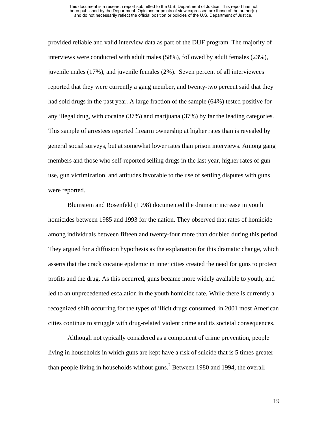#### This document is a research report submitted to the U.S. Department of Justice. This report has not been published by the Department. Opinions or points of view expressed are those of the author(s) and do not necessarily reflect the official position or policies of the U.S. Department of Justice.

provided reliable and valid interview data as part of the DUF program. The majority of interviews were conducted with adult males (58%), followed by adult females (23%), juvenile males (17%), and juvenile females (2%). Seven percent of all interviewees reported that they were currently a gang member, and twenty-two percent said that they had sold drugs in the past year. A large fraction of the sample (64%) tested positive for any illegal drug, with cocaine (37%) and marijuana (37%) by far the leading categories. This sample of arrestees reported firearm ownership at higher rates than is revealed by general social surveys, but at somewhat lower rates than prison interviews. Among gang members and those who self-reported selling drugs in the last year, higher rates of gun use, gun victimization, and attitudes favorable to the use of settling disputes with guns were reported.

Blumstein and Rosenfeld (1998) documented the dramatic increase in youth homicides between 1985 and 1993 for the nation. They observed that rates of homicide among individuals between fifteen and twenty-four more than doubled during this period. They argued for a diffusion hypothesis as the explanation for this dramatic change, which asserts that the crack cocaine epidemic in inner cities created the need for guns to protect profits and the drug. As this occurred, guns became more widely available to youth, and led to an unprecedented escalation in the youth homicide rate. While there is currently a recognized shift occurring for the types of illicit drugs consumed, in 2001 most American cities continue to struggle with drug-related violent crime and its societal consequences.

Although not typically considered as a component of crime prevention, people living in households in which guns are kept have a risk of suicide that is 5 times greater than people living in households without guns.<sup>7</sup> Between 1980 and 1994, the overall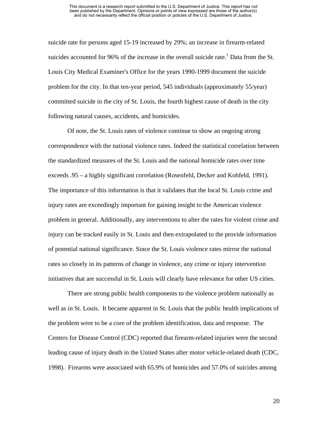suicide rate for persons aged 15-19 increased by 29%; an increase in firearm-related suicides accounted for 96% of the increase in the overall suicide rate.<sup>1</sup> Data from the St. Louis City Medical Examiner's Office for the years 1990-1999 document the suicide problem for the city. In that ten-year period, 545 individuals (approximately 55/year) committed suicide in the city of St. Louis, the fourth highest cause of death in the city following natural causes, accidents, and homicides.

Of note, the St. Louis rates of violence continue to show an ongoing strong correspondence with the national violence rates. Indeed the statistical correlation between the standardized measures of the St. Louis and the national homicide rates over time exceeds .95 – a highly significant correlation (Rosenfeld, Decker and Kohfeld, 1991). The importance of this information is that it validates that the local St. Louis crime and injury rates are exceedingly important for gaining insight to the American violence problem in general. Additionally, any interventions to alter the rates for violent crime and injury can be tracked easily in St. Louis and then extrapolated to the provide information of potential national significance. Since the St. Louis violence rates mirror the national rates so closely in its patterns of change in violence, any crime or injury intervention initiatives that are successful in St. Louis will clearly have relevance for other US cities.

There are strong public health components to the violence problem nationally as well as in St. Louis. It became apparent in St. Louis that the public health implications of the problem were to be a core of the problem identification, data and response. The Centers for Disease Control (CDC) reported that firearm-related injuries were the second leading cause of injury death in the United States after motor vehicle-related death (CDC, 1998). Firearms were associated with 65.9% of homicides and 57.0% of suicides among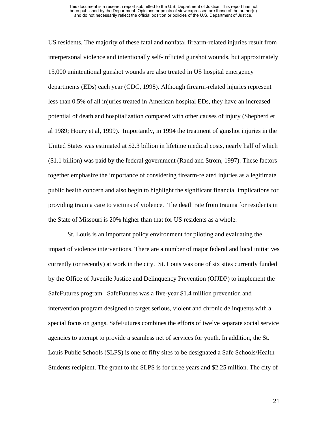US residents. The majority of these fatal and nonfatal firearm-related injuries result from interpersonal violence and intentionally self-inflicted gunshot wounds, but approximately 15,000 unintentional gunshot wounds are also treated in US hospital emergency departments (EDs) each year (CDC, 1998). Although firearm-related injuries represent less than 0.5% of all injuries treated in American hospital EDs, they have an increased potential of death and hospitalization compared with other causes of injury (Shepherd et al 1989; Houry et al, 1999). Importantly, in 1994 the treatment of gunshot injuries in the United States was estimated at \$2.3 billion in lifetime medical costs, nearly half of which (\$1.1 billion) was paid by the federal government (Rand and Strom, 1997). These factors together emphasize the importance of considering firearm-related injuries as a legitimate public health concern and also begin to highlight the significant financial implications for providing trauma care to victims of violence. The death rate from trauma for residents in the State of Missouri is 20% higher than that for US residents as a whole.

St. Louis is an important policy environment for piloting and evaluating the impact of violence interventions. There are a number of major federal and local initiatives currently (or recently) at work in the city. St. Louis was one of six sites currently funded by the Office of Juvenile Justice and Delinquency Prevention (OJJDP) to implement the SafeFutures program. SafeFutures was a five-year \$1.4 million prevention and intervention program designed to target serious, violent and chronic delinquents with a special focus on gangs. SafeFutures combines the efforts of twelve separate social service agencies to attempt to provide a seamless net of services for youth. In addition, the St. Louis Public Schools (SLPS) is one of fifty sites to be designated a Safe Schools/Health Students recipient. The grant to the SLPS is for three years and \$2.25 million. The city of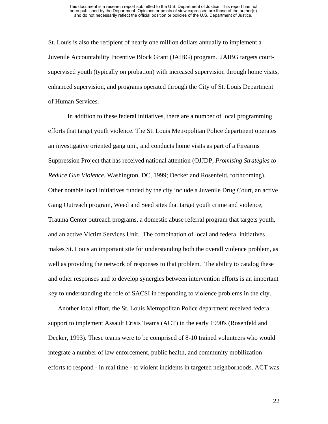St. Louis is also the recipient of nearly one million dollars annually to implement a Juvenile Accountability Incentive Block Grant (JAIBG) program. JAIBG targets courtsupervised youth (typically on probation) with increased supervision through home visits, enhanced supervision, and programs operated through the City of St. Louis Department of Human Services.

In addition to these federal initiatives, there are a number of local programming efforts that target youth violence. The St. Louis Metropolitan Police department operates an investigative oriented gang unit, and conducts home visits as part of a Firearms Suppression Project that has received national attention (OJJDP, *Promising Strategies to Reduce Gun Violence*, Washington, DC, 1999; Decker and Rosenfeld, forthcoming). Other notable local initiatives funded by the city include a Juvenile Drug Court, an active Gang Outreach program, Weed and Seed sites that target youth crime and violence, Trauma Center outreach programs, a domestic abuse referral program that targets youth, and an active Victim Services Unit. The combination of local and federal initiatives makes St. Louis an important site for understanding both the overall violence problem, as well as providing the network of responses to that problem. The ability to catalog these and other responses and to develop synergies between intervention efforts is an important key to understanding the role of SACSI in responding to violence problems in the city.

Another local effort, the St. Louis Metropolitan Police department received federal support to implement Assault Crisis Teams (ACT) in the early 1990's (Rosenfeld and Decker, 1993). These teams were to be comprised of 8-10 trained volunteers who would integrate a number of law enforcement, public health, and community mobilization efforts to respond - in real time - to violent incidents in targeted neighborhoods. ACT was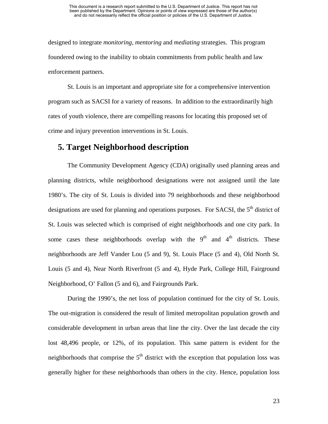designed to integrate *monitoring*, *mentoring* and *mediating* strategies. This program foundered owing to the inability to obtain commitments from public health and law enforcement partners.

St. Louis is an important and appropriate site for a comprehensive intervention program such as SACSI for a variety of reasons. In addition to the extraordinarily high rates of youth violence, there are compelling reasons for locating this proposed set of crime and injury prevention interventions in St. Louis.

## **5. Target Neighborhood description**

The Community Development Agency (CDA) originally used planning areas and planning districts, while neighborhood designations were not assigned until the late 1980's. The city of St. Louis is divided into 79 neighborhoods and these neighborhood designations are used for planning and operations purposes. For SACSI, the  $5<sup>th</sup>$  district of St. Louis was selected which is comprised of eight neighborhoods and one city park. In some cases these neighborhoods overlap with the  $9<sup>th</sup>$  and  $4<sup>th</sup>$  districts. These neighborhoods are Jeff Vander Lou (5 and 9), St. Louis Place (5 and 4), Old North St. Louis (5 and 4), Near North Riverfront (5 and 4), Hyde Park, College Hill, Fairground Neighborhood, O' Fallon (5 and 6), and Fairgrounds Park.

During the 1990's, the net loss of population continued for the city of St. Louis. The out-migration is considered the result of limited metropolitan population growth and considerable development in urban areas that line the city. Over the last decade the city lost 48,496 people, or 12%, of its population. This same pattern is evident for the neighborhoods that comprise the  $5<sup>th</sup>$  district with the exception that population loss was generally higher for these neighborhoods than others in the city. Hence, population loss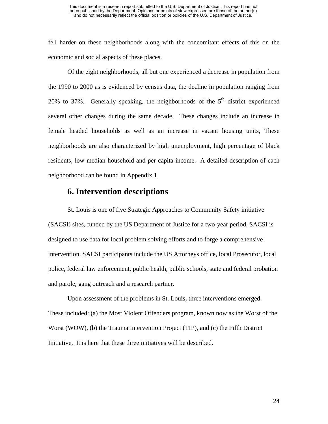fell harder on these neighborhoods along with the concomitant effects of this on the economic and social aspects of these places.

Of the eight neighborhoods, all but one experienced a decrease in population from the 1990 to 2000 as is evidenced by census data, the decline in population ranging from 20% to 37%. Generally speaking, the neighborhoods of the  $5<sup>th</sup>$  district experienced several other changes during the same decade. These changes include an increase in female headed households as well as an increase in vacant housing units, These neighborhoods are also characterized by high unemployment, high percentage of black residents, low median household and per capita income. A detailed description of each neighborhood can be found in Appendix 1.

### **6. Intervention descriptions**

St. Louis is one of five Strategic Approaches to Community Safety initiative (SACSI) sites, funded by the US Department of Justice for a two-year period. SACSI is designed to use data for local problem solving efforts and to forge a comprehensive intervention. SACSI participants include the US Attorneys office, local Prosecutor, local police, federal law enforcement, public health, public schools, state and federal probation and parole, gang outreach and a research partner.

Upon assessment of the problems in St. Louis, three interventions emerged. These included: (a) the Most Violent Offenders program, known now as the Worst of the Worst (WOW), (b) the Trauma Intervention Project (TIP), and (c) the Fifth District Initiative. It is here that these three initiatives will be described.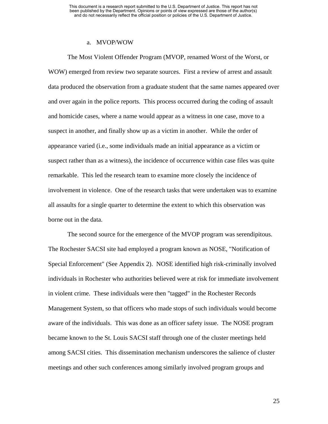### a. MVOP/WOW

The Most Violent Offender Program (MVOP, renamed Worst of the Worst, or WOW) emerged from review two separate sources. First a review of arrest and assault data produced the observation from a graduate student that the same names appeared over and over again in the police reports. This process occurred during the coding of assault and homicide cases, where a name would appear as a witness in one case, move to a suspect in another, and finally show up as a victim in another. While the order of appearance varied (i.e., some individuals made an initial appearance as a victim or suspect rather than as a witness), the incidence of occurrence within case files was quite remarkable. This led the research team to examine more closely the incidence of involvement in violence. One of the research tasks that were undertaken was to examine all assaults for a single quarter to determine the extent to which this observation was borne out in the data.

The second source for the emergence of the MVOP program was serendipitous. The Rochester SACSI site had employed a program known as NOSE, "Notification of Special Enforcement" (See Appendix 2). NOSE identified high risk-criminally involved individuals in Rochester who authorities believed were at risk for immediate involvement in violent crime. These individuals were then "tagged" in the Rochester Records Management System, so that officers who made stops of such individuals would become aware of the individuals. This was done as an officer safety issue. The NOSE program became known to the St. Louis SACSI staff through one of the cluster meetings held among SACSI cities. This dissemination mechanism underscores the salience of cluster meetings and other such conferences among similarly involved program groups and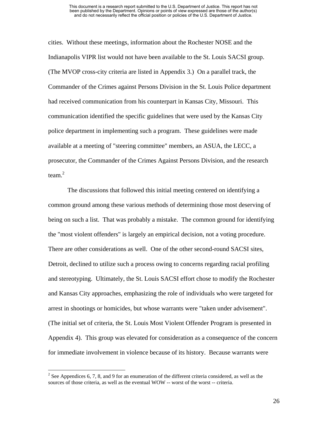#### This document is a research report submitted to the U.S. Department of Justice. This report has not been published by the Department. Opinions or points of view expressed are those of the author(s) and do not necessarily reflect the official position or policies of the U.S. Department of Justice.

cities. Without these meetings, information about the Rochester NOSE and the Indianapolis VIPR list would not have been available to the St. Louis SACSI group. (The MVOP cross-city criteria are listed in Appendix 3.) On a parallel track, the Commander of the Crimes against Persons Division in the St. Louis Police department had received communication from his counterpart in Kansas City, Missouri. This communication identified the specific guidelines that were used by the Kansas City police department in implementing such a program. These guidelines were made available at a meeting of "steering committee" members, an ASUA, the LECC, a prosecutor, the Commander of the Crimes Against Persons Division, and the research team. [2](#page-37-0)

The discussions that followed this initial meeting centered on identifying a common ground among these various methods of determining those most deserving of being on such a list. That was probably a mistake. The common ground for identifying the "most violent offenders" is largely an empirical decision, not a voting procedure. There are other considerations as well. One of the other second-round SACSI sites, Detroit, declined to utilize such a process owing to concerns regarding racial profiling and stereotyping. Ultimately, the St. Louis SACSI effort chose to modify the Rochester and Kansas City approaches, emphasizing the role of individuals who were targeted for arrest in shootings or homicides, but whose warrants were "taken under advisement". (The initial set of criteria, the St. Louis Most Violent Offender Program is presented in Appendix 4). This group was elevated for consideration as a consequence of the concern for immediate involvement in violence because of its history. Because warrants were

 $\overline{a}$ 

<span id="page-37-0"></span><sup>&</sup>lt;sup>2</sup> See Appendices 6, 7, 8, and 9 for an enumeration of the different criteria considered, as well as the sources of those criteria, as well as the eventual WOW -- worst of the worst -- criteria.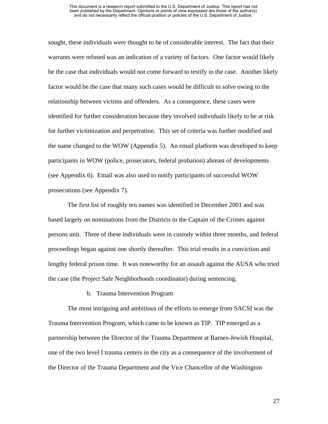sought, these individuals were thought to be of considerable interest. The fact that their warrants were refused was an indication of a variety of factors. One factor would likely be the case that individuals would not come forward to testify in the case. Another likely factor would be the case that many such cases would be difficult to solve owing to the relationship between victims and offenders. As a consequence, these cases were identified for further consideration because they involved individuals likely to be at risk for further victimization and perpetration. This set of criteria was further modified and the name changed to the WOW (Appendix 5). An email platform was developed to keep participants in WOW (police, prosecutors, federal probation) abreast of developments (see Appendix 6). Email was also used to notify participants of successful WOW prosecutions (see Appendix 7).

The first list of roughly ten names was identified in December 2001 and was based largely on nominations from the Districts to the Captain of the Crimes against persons unit. Three of these individuals were in custody within three months, and federal proceedings began against one shortly thereafter. This trial results in a conviction and lengthy federal prison time. It was noteworthy for an assault against the AUSA who tried the case (the Project Safe Neighborhoods coordinator) during sentencing.

b. Trauma Intervention Program

The most intriguing and ambitious of the efforts to emerge from SACSI was the Trauma Intervention Program, which came to be known as TIP. TIP emerged as a partnership between the Director of the Trauma Department at Barnes-Jewish Hospital, one of the two level I trauma centers in the city as a consequence of the involvement of the Director of the Trauma Department and the Vice Chancellor of the Washington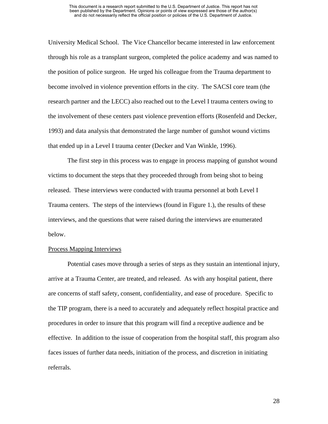University Medical School. The Vice Chancellor became interested in law enforcement through his role as a transplant surgeon, completed the police academy and was named to the position of police surgeon. He urged his colleague from the Trauma department to become involved in violence prevention efforts in the city. The SACSI core team (the research partner and the LECC) also reached out to the Level I trauma centers owing to the involvement of these centers past violence prevention efforts (Rosenfeld and Decker, 1993) and data analysis that demonstrated the large number of gunshot wound victims that ended up in a Level I trauma center (Decker and Van Winkle, 1996).

The first step in this process was to engage in process mapping of gunshot wound victims to document the steps that they proceeded through from being shot to being released. These interviews were conducted with trauma personnel at both Level I Trauma centers. The steps of the interviews (found in Figure 1.), the results of these interviews, and the questions that were raised during the interviews are enumerated below.

#### Process Mapping Interviews

Potential cases move through a series of steps as they sustain an intentional injury, arrive at a Trauma Center, are treated, and released. As with any hospital patient, there are concerns of staff safety, consent, confidentiality, and ease of procedure. Specific to the TIP program, there is a need to accurately and adequately reflect hospital practice and procedures in order to insure that this program will find a receptive audience and be effective. In addition to the issue of cooperation from the hospital staff, this program also faces issues of further data needs, initiation of the process, and discretion in initiating referrals.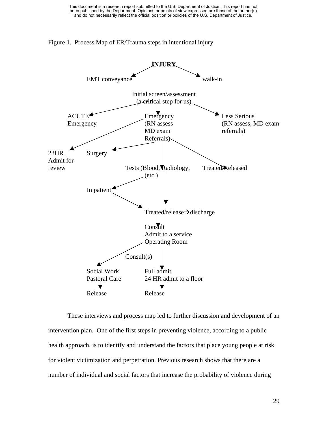



These interviews and process map led to further discussion and development of an intervention plan. One of the first steps in preventing violence, according to a public health approach, is to identify and understand the factors that place young people at risk for violent victimization and perpetration. Previous research shows that there are a number of individual and social factors that increase the probability of violence during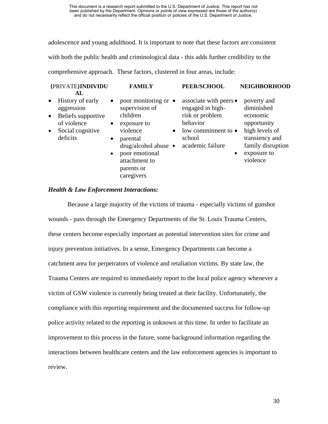adolescence and young adulthood. It is important to note that these factors are consistent

with both the public health and criminological data - this adds further credibility to the

comprehensive approach. These factors, clustered in four areas, include:

| {PRIVATE}INDIVIDU                                                                    | <b>FAMILY</b>                                                                                                                                                                          | PEER/SCHOOL                                                                        | <b>NEIGHBORHOOD</b>                                                                             |
|--------------------------------------------------------------------------------------|----------------------------------------------------------------------------------------------------------------------------------------------------------------------------------------|------------------------------------------------------------------------------------|-------------------------------------------------------------------------------------------------|
| AL<br>History of early<br>$\bullet$<br>aggression<br>Beliefs supportive<br>$\bullet$ | poor monitoring or $\bullet$<br>$\bullet$<br>supervision of<br>children                                                                                                                | associate with peers •<br>engaged in high-<br>risk or problem                      | poverty and<br>diminished<br>economic                                                           |
| of violence<br>Social cognitive<br>$\bullet$<br>deficits                             | exposure to<br>$\bullet$<br>violence<br>$\bullet$<br>parental<br>$\bullet$<br>drug/alcohol abuse $\bullet$<br>poor emotional<br>$\bullet$<br>attachment to<br>parents or<br>caregivers | behavior<br>low commitment to $\bullet$<br>school<br>academic failure<br>$\bullet$ | opportunity<br>high levels of<br>transiency and<br>family disruption<br>exposure to<br>violence |

### *Health & Law Enforcement Interactions:*

Because a large majority of the victims of trauma - especially victims of gunshot wounds - pass through the Emergency Departments of the St. Louis Trauma Centers, these centers become especially important as potential intervention sites for crime and injury prevention initiatives. In a sense, Emergency Departments can become a catchment area for perpetrators of violence and retaliation victims. By state law, the Trauma Centers are required to immediately report to the local police agency whenever a victim of GSW violence is currently being treated at their facility. Unfortunately, the compliance with this reporting requirement and the documented success for follow-up police activity related to the reporting is unknown at this time. In order to facilitate an improvement to this process in the future, some background information regarding the interactions between healthcare centers and the law enforcement agencies is important to review.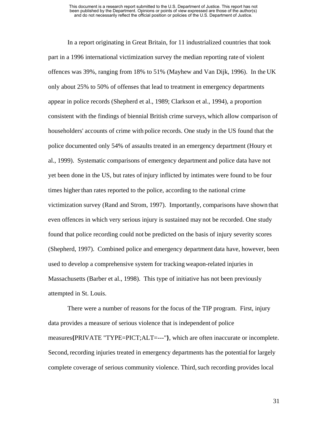In a report originating in Great Britain, for 11 industrialized countries that took part in a 1996 international victimization survey the median reporting rate of violent offences was 39%, ranging from 18% to 51% (Mayhew and Van Dijk, 1996). In the UK only about 25% to 50% of offenses that lead to treatment in emergency departments appear in police records (Shepherd et al., 1989; Clarkson et al., 1994), a proportion consistent with the findings of biennial British crime surveys, which allow comparison of householders' accounts of crime with police records. One study in the US found that the police documented only 54% of assaults treated in an emergency department (Houry et al., 1999). Systematic comparisons of emergency department and police data have not yet been done in the US, but rates ofinjury inflicted by intimates were found to be four times higher than rates reported to the police, according to the national crime victimization survey (Rand and Strom, 1997). Importantly, comparisons have shown that even offences in which very serious injury is sustained may not be recorded. One study found that police recording could not be predicted on the basis of injury severity scores (Shepherd, 1997). Combined police and emergency department data have, however, been used to develop a comprehensive system for tracking weapon-related injuries in Massachusetts (Barber et al., 1998). This type of initiative has not been previously attempted in St. Louis.

There were a number of reasons for the focus of the TIP program. First, injury data provides a measure of serious violence that is independent of police measures**{**PRIVATE "TYPE=PICT;ALT=---"**}**, which are often inaccurate or incomplete. Second, recording injuries treated in emergency departments has the potential for largely complete coverage of serious community violence. Third, such recording provides local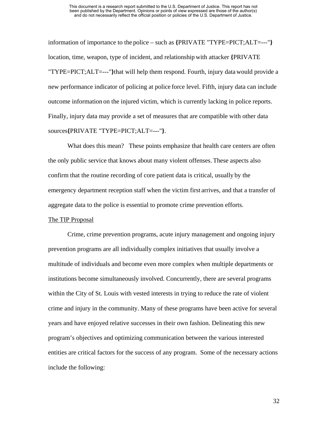information of importance to the police – such as **{**PRIVATE "TYPE=PICT;ALT=---"**}** location, time, weapon, type of incident, and relationship with attacker **{**PRIVATE "TYPE=PICT;ALT=---"**}**that will help them respond. Fourth, injury data would provide a new performance indicator of policing at police force level. Fifth, injury data can include outcome information on the injured victim, which is currently lacking in police reports. Finally, injury data may provide a set of measures that are compatible with other data sources**{**PRIVATE "TYPE=PICT;ALT=---"**}**.

What does this mean? These points emphasize that health care centers are often the only public service that knows about many violent offenses. These aspects also confirm that the routine recording of core patient data is critical, usually by the emergency department reception staff when the victim first arrives, and that a transfer of aggregate data to the police is essential to promote crime prevention efforts.

### The TIP Proposal

Crime, crime prevention programs, acute injury management and ongoing injury prevention programs are all individually complex initiatives that usually involve a multitude of individuals and become even more complex when multiple departments or institutions become simultaneously involved. Concurrently, there are several programs within the City of St. Louis with vested interests in trying to reduce the rate of violent crime and injury in the community. Many of these programs have been active for several years and have enjoyed relative successes in their own fashion. Delineating this new program's objectives and optimizing communication between the various interested entities are critical factors for the success of any program. Some of the necessary actions include the following: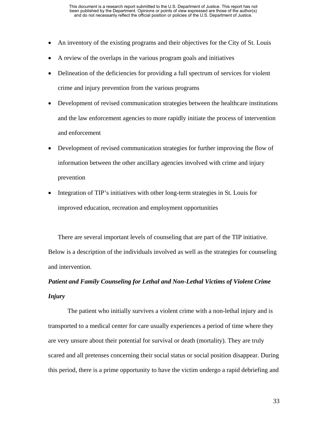- An inventory of the existing programs and their objectives for the City of St. Louis
- A review of the overlaps in the various program goals and initiatives
- Delineation of the deficiencies for providing a full spectrum of services for violent crime and injury prevention from the various programs
- Development of revised communication strategies between the healthcare institutions and the law enforcement agencies to more rapidly initiate the process of intervention and enforcement
- Development of revised communication strategies for further improving the flow of information between the other ancillary agencies involved with crime and injury prevention
- Integration of TIP's initiatives with other long-term strategies in St. Louis for improved education, recreation and employment opportunities

There are several important levels of counseling that are part of the TIP initiative. Below is a description of the individuals involved as well as the strategies for counseling and intervention.

# *Patient and Family Counseling for Lethal and Non-Lethal Victims of Violent Crime Injury*

The patient who initially survives a violent crime with a non-lethal injury and is transported to a medical center for care usually experiences a period of time where they are very unsure about their potential for survival or death (mortality). They are truly scared and all pretenses concerning their social status or social position disappear. During this period, there is a prime opportunity to have the victim undergo a rapid debriefing and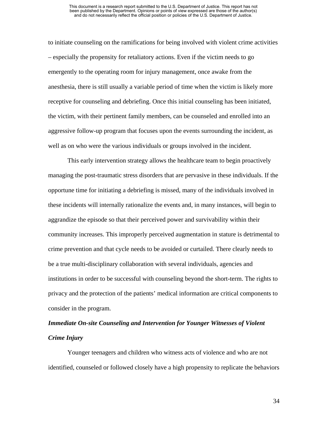to initiate counseling on the ramifications for being involved with violent crime activities – especially the propensity for retaliatory actions. Even if the victim needs to go emergently to the operating room for injury management, once awake from the anesthesia, there is still usually a variable period of time when the victim is likely more receptive for counseling and debriefing. Once this initial counseling has been initiated, the victim, with their pertinent family members, can be counseled and enrolled into an aggressive follow-up program that focuses upon the events surrounding the incident, as well as on who were the various individuals or groups involved in the incident.

This early intervention strategy allows the healthcare team to begin proactively managing the post-traumatic stress disorders that are pervasive in these individuals. If the opportune time for initiating a debriefing is missed, many of the individuals involved in these incidents will internally rationalize the events and, in many instances, will begin to aggrandize the episode so that their perceived power and survivability within their community increases. This improperly perceived augmentation in stature is detrimental to crime prevention and that cycle needs to be avoided or curtailed. There clearly needs to be a true multi-disciplinary collaboration with several individuals, agencies and institutions in order to be successful with counseling beyond the short-term. The rights to privacy and the protection of the patients' medical information are critical components to consider in the program.

# *Immediate On-site Counseling and Intervention for Younger Witnesses of Violent Crime Injury*

Younger teenagers and children who witness acts of violence and who are not identified, counseled or followed closely have a high propensity to replicate the behaviors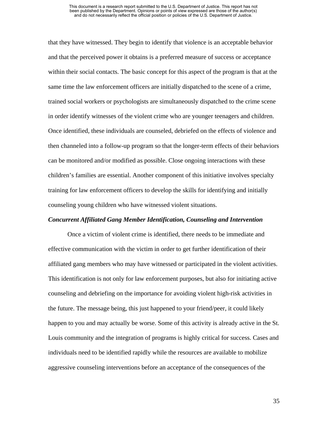that they have witnessed. They begin to identify that violence is an acceptable behavior and that the perceived power it obtains is a preferred measure of success or acceptance within their social contacts. The basic concept for this aspect of the program is that at the same time the law enforcement officers are initially dispatched to the scene of a crime, trained social workers or psychologists are simultaneously dispatched to the crime scene in order identify witnesses of the violent crime who are younger teenagers and children. Once identified, these individuals are counseled, debriefed on the effects of violence and then channeled into a follow-up program so that the longer-term effects of their behaviors can be monitored and/or modified as possible. Close ongoing interactions with these children's families are essential. Another component of this initiative involves specialty training for law enforcement officers to develop the skills for identifying and initially counseling young children who have witnessed violent situations.

#### *Concurrent Affiliated Gang Member Identification, Counseling and Intervention*

Once a victim of violent crime is identified, there needs to be immediate and effective communication with the victim in order to get further identification of their affiliated gang members who may have witnessed or participated in the violent activities. This identification is not only for law enforcement purposes, but also for initiating active counseling and debriefing on the importance for avoiding violent high-risk activities in the future. The message being, this just happened to your friend/peer, it could likely happen to you and may actually be worse. Some of this activity is already active in the St. Louis community and the integration of programs is highly critical for success. Cases and individuals need to be identified rapidly while the resources are available to mobilize aggressive counseling interventions before an acceptance of the consequences of the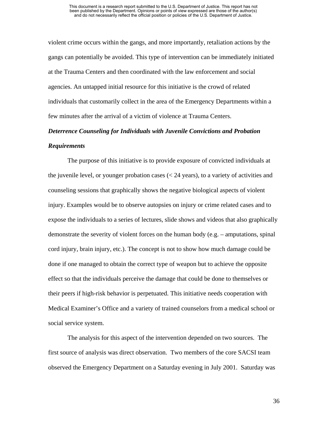violent crime occurs within the gangs, and more importantly, retaliation actions by the gangs can potentially be avoided. This type of intervention can be immediately initiated at the Trauma Centers and then coordinated with the law enforcement and social agencies. An untapped initial resource for this initiative is the crowd of related individuals that customarily collect in the area of the Emergency Departments within a few minutes after the arrival of a victim of violence at Trauma Centers.

## *Deterrence Counseling for Individuals with Juvenile Convictions and Probation Requirements*

The purpose of this initiative is to provide exposure of convicted individuals at the juvenile level, or younger probation cases (< 24 years), to a variety of activities and counseling sessions that graphically shows the negative biological aspects of violent injury. Examples would be to observe autopsies on injury or crime related cases and to expose the individuals to a series of lectures, slide shows and videos that also graphically demonstrate the severity of violent forces on the human body (e.g. – amputations, spinal cord injury, brain injury, etc.). The concept is not to show how much damage could be done if one managed to obtain the correct type of weapon but to achieve the opposite effect so that the individuals perceive the damage that could be done to themselves or their peers if high-risk behavior is perpetuated. This initiative needs cooperation with Medical Examiner's Office and a variety of trained counselors from a medical school or social service system.

The analysis for this aspect of the intervention depended on two sources. The first source of analysis was direct observation. Two members of the core SACSI team observed the Emergency Department on a Saturday evening in July 2001. Saturday was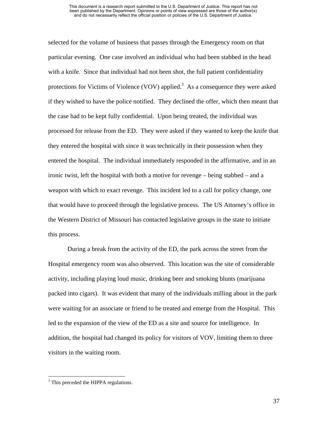selected for the volume of business that passes through the Emergency room on that particular evening. One case involved an individual who had been stabbed in the head with a knife. Since that individual had not been shot, the full patient confidentiality protections for Victims of Violence (VOV) applied.<sup>3</sup> As a consequence they were asked if they wished to have the police notified. They declined the offer, which then meant that the case had to be kept fully confidential. Upon being treated, the individual was processed for release from the ED. They were asked if they wanted to keep the knife that they entered the hospital with since it was technically in their possession when they entered the hospital. The individual immediately responded in the affirmative, and in an ironic twist, left the hospital with both a motive for revenge – being stabbed – and a weapon with which to exact revenge. This incident led to a call for policy change, one that would have to proceed through the legislative process. The US Attorney's office in the Western District of Missouri has contacted legislative groups in the state to initiate this process.

During a break from the activity of the ED, the park across the street from the Hospital emergency room was also observed. This location was the site of considerable activity, including playing loud music, drinking beer and smoking blunts (marijuana packed into cigars). It was evident that many of the individuals milling about in the park were waiting for an associate or friend to be treated and emerge from the Hospital. This led to the expansion of the view of the ED as a site and source for intelligence. In addition, the hospital had changed its policy for visitors of VOV, limiting them to three visitors in the waiting room.

<u>.</u>

<span id="page-48-0"></span><sup>&</sup>lt;sup>3</sup> This preceded the HIPPA regulations.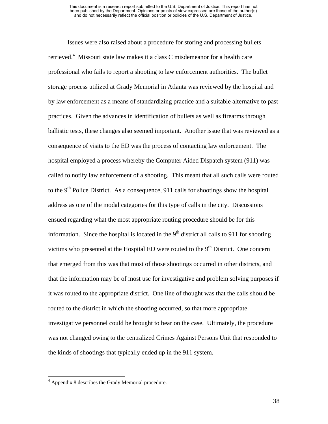Issues were also raised about a procedure for storing and processing bullets retrieved.<sup>[4](#page-49-0)</sup> Missouri state law makes it a class C misdemeanor for a health care professional who fails to report a shooting to law enforcement authorities. The bullet storage process utilized at Grady Memorial in Atlanta was reviewed by the hospital and by law enforcement as a means of standardizing practice and a suitable alternative to past practices. Given the advances in identification of bullets as well as firearms through ballistic tests, these changes also seemed important. Another issue that was reviewed as a consequence of visits to the ED was the process of contacting law enforcement. The hospital employed a process whereby the Computer Aided Dispatch system (911) was called to notify law enforcement of a shooting. This meant that all such calls were routed to the 9<sup>th</sup> Police District. As a consequence, 911 calls for shootings show the hospital address as one of the modal categories for this type of calls in the city. Discussions ensued regarding what the most appropriate routing procedure should be for this information. Since the hospital is located in the  $9<sup>th</sup>$  district all calls to 911 for shooting victims who presented at the Hospital ED were routed to the  $9<sup>th</sup>$  District. One concern that emerged from this was that most of those shootings occurred in other districts, and that the information may be of most use for investigative and problem solving purposes if it was routed to the appropriate district. One line of thought was that the calls should be routed to the district in which the shooting occurred, so that more appropriate investigative personnel could be brought to bear on the case. Ultimately, the procedure was not changed owing to the centralized Crimes Against Persons Unit that responded to the kinds of shootings that typically ended up in the 911 system.

 $\overline{a}$ 

<span id="page-49-0"></span><sup>&</sup>lt;sup>4</sup> Appendix 8 describes the Grady Memorial procedure.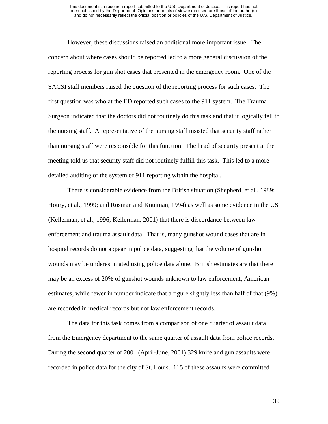However, these discussions raised an additional more important issue. The concern about where cases should be reported led to a more general discussion of the reporting process for gun shot cases that presented in the emergency room. One of the SACSI staff members raised the question of the reporting process for such cases. The first question was who at the ED reported such cases to the 911 system. The Trauma Surgeon indicated that the doctors did not routinely do this task and that it logically fell to the nursing staff. A representative of the nursing staff insisted that security staff rather than nursing staff were responsible for this function. The head of security present at the meeting told us that security staff did not routinely fulfill this task. This led to a more detailed auditing of the system of 911 reporting within the hospital.

There is considerable evidence from the British situation (Shepherd, et al., 1989; Houry, et al., 1999; and Rosman and Knuiman, 1994) as well as some evidence in the US (Kellerman, et al., 1996; Kellerman, 2001) that there is discordance between law enforcement and trauma assault data. That is, many gunshot wound cases that are in hospital records do not appear in police data, suggesting that the volume of gunshot wounds may be underestimated using police data alone. British estimates are that there may be an excess of 20% of gunshot wounds unknown to law enforcement; American estimates, while fewer in number indicate that a figure slightly less than half of that (9%) are recorded in medical records but not law enforcement records.

The data for this task comes from a comparison of one quarter of assault data from the Emergency department to the same quarter of assault data from police records. During the second quarter of 2001 (April-June, 2001) 329 knife and gun assaults were recorded in police data for the city of St. Louis. 115 of these assaults were committed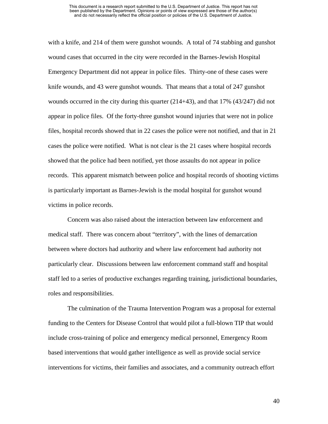#### This document is a research report submitted to the U.S. Department of Justice. This report has not been published by the Department. Opinions or points of view expressed are those of the author(s) and do not necessarily reflect the official position or policies of the U.S. Department of Justice.

with a knife, and 214 of them were gunshot wounds. A total of 74 stabbing and gunshot wound cases that occurred in the city were recorded in the Barnes-Jewish Hospital Emergency Department did not appear in police files. Thirty-one of these cases were knife wounds, and 43 were gunshot wounds. That means that a total of 247 gunshot wounds occurred in the city during this quarter (214+43), and that 17% (43/247) did not appear in police files. Of the forty-three gunshot wound injuries that were not in police files, hospital records showed that in 22 cases the police were not notified, and that in 21 cases the police were notified. What is not clear is the 21 cases where hospital records showed that the police had been notified, yet those assaults do not appear in police records. This apparent mismatch between police and hospital records of shooting victims is particularly important as Barnes-Jewish is the modal hospital for gunshot wound victims in police records.

Concern was also raised about the interaction between law enforcement and medical staff. There was concern about "territory", with the lines of demarcation between where doctors had authority and where law enforcement had authority not particularly clear. Discussions between law enforcement command staff and hospital staff led to a series of productive exchanges regarding training, jurisdictional boundaries, roles and responsibilities.

The culmination of the Trauma Intervention Program was a proposal for external funding to the Centers for Disease Control that would pilot a full-blown TIP that would include cross-training of police and emergency medical personnel, Emergency Room based interventions that would gather intelligence as well as provide social service interventions for victims, their families and associates, and a community outreach effort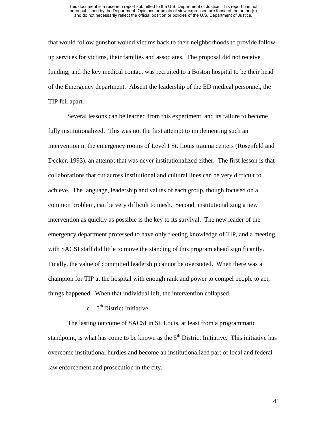that would follow gunshot wound victims back to their neighborhoods to provide followup services for victims, their families and associates. The proposal did not receive funding, and the key medical contact was recruited to a Boston hospital to be their head of the Emergency department. Absent the leadership of the ED medical personnel, the TIP fell apart.

Several lessons can be learned from this experiment, and its failure to become fully institutionalized. This was not the first attempt to implementing such an intervention in the emergency rooms of Level I St. Louis trauma centers (Rosenfeld and Decker, 1993), an attempt that was never institutionalized either. The first lesson is that collaborations that cut across institutional and cultural lines can be very difficult to achieve. The language, leadership and values of each group, though focused on a common problem, can be very difficult to mesh. Second, institutionalizing a new intervention as quickly as possible is the key to its survival. The new leader of the emergency department professed to have only fleeting knowledge of TIP, and a meeting with SACSI staff did little to move the standing of this program ahead significantly. Finally, the value of committed leadership cannot be overstated. When there was a champion for TIP at the hospital with enough rank and power to compel people to act, things happened. When that individual left, the intervention collapsed.

c.  $5<sup>th</sup>$  District Initiative

The lasting outcome of SACSI in St. Louis, at least from a programmatic standpoint, is what has come to be known as the  $5<sup>th</sup>$  District Initiative. This initiative has overcome institutional hurdles and become an institutionalized part of local and federal law enforcement and prosecution in the city.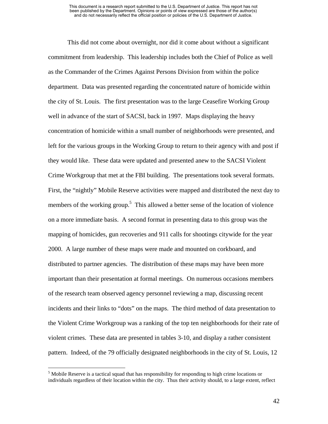<span id="page-53-0"></span>This did not come about overnight, nor did it come about without a significant commitment from leadership. This leadership includes both the Chief of Police as well as the Commander of the Crimes Against Persons Division from within the police department. Data was presented regarding the concentrated nature of homicide within the city of St. Louis. The first presentation was to the large Ceasefire Working Group well in advance of the start of SACSI, back in 1997. Maps displaying the heavy concentration of homicide within a small number of neighborhoods were presented, and left for the various groups in the Working Group to return to their agency with and post if they would like. These data were updated and presented anew to the SACSI Violent Crime Workgroup that met at the FBI building. The presentations took several formats. First, the "nightly" Mobile Reserve activities were mapped and distributed the next day to members of the working group.<sup>[5](#page-53-0)</sup> This allowed a better sense of the location of violence on a more immediate basis. A second format in presenting data to this group was the mapping of homicides, gun recoveries and 911 calls for shootings citywide for the year 2000. A large number of these maps were made and mounted on corkboard, and distributed to partner agencies. The distribution of these maps may have been more important than their presentation at formal meetings. On numerous occasions members of the research team observed agency personnel reviewing a map, discussing recent incidents and their links to "dots" on the maps. The third method of data presentation to the Violent Crime Workgroup was a ranking of the top ten neighborhoods for their rate of violent crimes. These data are presented in tables 3-10, and display a rather consistent pattern. Indeed, of the 79 officially designated neighborhoods in the city of St. Louis, 12

<sup>&</sup>lt;sup>5</sup> Mobile Reserve is a tactical squad that has responsibility for responding to high crime locations or individuals regardless of their location within the city. Thus their activity should, to a large extent, reflect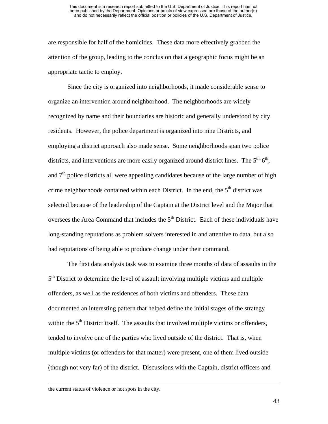are responsible for half of the homicides. These data more effectively grabbed the attention of the group, leading to the conclusion that a geographic focus might be an appropriate tactic to employ.

Since the city is organized into neighborhoods, it made considerable sense to organize an intervention around neighborhood. The neighborhoods are widely recognized by name and their boundaries are historic and generally understood by city residents. However, the police department is organized into nine Districts, and employing a district approach also made sense. Some neighborhoods span two police districts, and interventions are more easily organized around district lines. The  $5<sup>th</sup>$ ,  $6<sup>th</sup>$ , and  $7<sup>th</sup>$  police districts all were appealing candidates because of the large number of high crime neighborhoods contained within each District. In the end, the 5<sup>th</sup> district was selected because of the leadership of the Captain at the District level and the Major that oversees the Area Command that includes the  $5<sup>th</sup>$  District. Each of these individuals have long-standing reputations as problem solvers interested in and attentive to data, but also had reputations of being able to produce change under their command.

The first data analysis task was to examine three months of data of assaults in the 5<sup>th</sup> District to determine the level of assault involving multiple victims and multiple offenders, as well as the residences of both victims and offenders. These data documented an interesting pattern that helped define the initial stages of the strategy within the  $5<sup>th</sup>$  District itself. The assaults that involved multiple victims or offenders, tended to involve one of the parties who lived outside of the district. That is, when multiple victims (or offenders for that matter) were present, one of them lived outside (though not very far) of the district. Discussions with the Captain, district officers and

the current status of violence or hot spots in the city.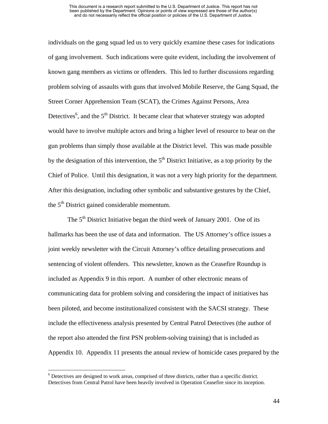individuals on the gang squad led us to very quickly examine these cases for indications of gang involvement. Such indications were quite evident, including the involvement of known gang members as victims or offenders. This led to further discussions regarding problem solving of assaults with guns that involved Mobile Reserve, the Gang Squad, the Street Corner Apprehension Team (SCAT), the Crimes Against Persons, Area Detectives<sup>[6](#page-55-0)</sup>, and the  $5<sup>th</sup>$  District. It became clear that whatever strategy was adopted would have to involve multiple actors and bring a higher level of resource to bear on the gun problems than simply those available at the District level. This was made possible by the designation of this intervention, the  $5<sup>th</sup>$  District Initiative, as a top priority by the Chief of Police. Until this designation, it was not a very high priority for the department. After this designation, including other symbolic and substantive gestures by the Chief, the  $5<sup>th</sup>$  District gained considerable momentum.

The  $5<sup>th</sup>$  District Initiative began the third week of January 2001. One of its hallmarks has been the use of data and information. The US Attorney's office issues a joint weekly newsletter with the Circuit Attorney's office detailing prosecutions and sentencing of violent offenders. This newsletter, known as the Ceasefire Roundup is included as Appendix 9 in this report. A number of other electronic means of communicating data for problem solving and considering the impact of initiatives has been piloted, and become institutionalized consistent with the SACSI strategy. These include the effectiveness analysis presented by Central Patrol Detectives (the author of the report also attended the first PSN problem-solving training) that is included as Appendix 10. Appendix 11 presents the annual review of homicide cases prepared by the

 $\overline{a}$ 

<span id="page-55-0"></span><sup>&</sup>lt;sup>6</sup> Detectives are designed to work areas, comprised of three districts, rather than a specific district. Detectives from Central Patrol have been heavily involved in Operation Ceasefire since its inception.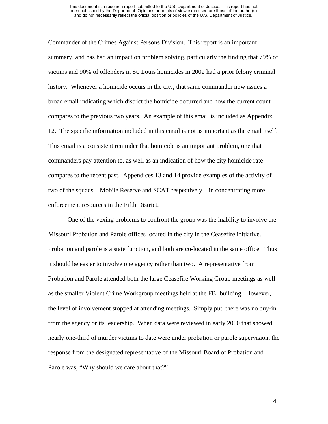Commander of the Crimes Against Persons Division. This report is an important summary, and has had an impact on problem solving, particularly the finding that 79% of victims and 90% of offenders in St. Louis homicides in 2002 had a prior felony criminal history. Whenever a homicide occurs in the city, that same commander now issues a broad email indicating which district the homicide occurred and how the current count compares to the previous two years. An example of this email is included as Appendix 12. The specific information included in this email is not as important as the email itself. This email is a consistent reminder that homicide is an important problem, one that commanders pay attention to, as well as an indication of how the city homicide rate compares to the recent past. Appendices 13 and 14 provide examples of the activity of two of the squads – Mobile Reserve and SCAT respectively – in concentrating more enforcement resources in the Fifth District.

One of the vexing problems to confront the group was the inability to involve the Missouri Probation and Parole offices located in the city in the Ceasefire initiative. Probation and parole is a state function, and both are co-located in the same office. Thus it should be easier to involve one agency rather than two. A representative from Probation and Parole attended both the large Ceasefire Working Group meetings as well as the smaller Violent Crime Workgroup meetings held at the FBI building. However, the level of involvement stopped at attending meetings. Simply put, there was no buy-in from the agency or its leadership. When data were reviewed in early 2000 that showed nearly one-third of murder victims to date were under probation or parole supervision, the response from the designated representative of the Missouri Board of Probation and Parole was, "Why should we care about that?"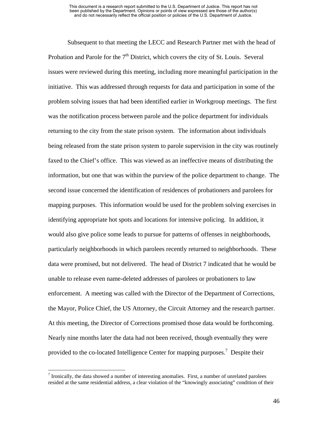<span id="page-57-0"></span>Subsequent to that meeting the LECC and Research Partner met with the head of Probation and Parole for the  $7<sup>th</sup>$  District, which covers the city of St. Louis. Several issues were reviewed during this meeting, including more meaningful participation in the initiative. This was addressed through requests for data and participation in some of the problem solving issues that had been identified earlier in Workgroup meetings. The first was the notification process between parole and the police department for individuals returning to the city from the state prison system. The information about individuals being released from the state prison system to parole supervision in the city was routinely faxed to the Chief's office. This was viewed as an ineffective means of distributing the information, but one that was within the purview of the police department to change. The second issue concerned the identification of residences of probationers and parolees for mapping purposes. This information would be used for the problem solving exercises in identifying appropriate hot spots and locations for intensive policing. In addition, it would also give police some leads to pursue for patterns of offenses in neighborhoods, particularly neighborhoods in which parolees recently returned to neighborhoods. These data were promised, but not delivered. The head of District 7 indicated that he would be unable to release even name-deleted addresses of parolees or probationers to law enforcement. A meeting was called with the Director of the Department of Corrections, the Mayor, Police Chief, the US Attorney, the Circuit Attorney and the research partner. At this meeting, the Director of Corrections promised those data would be forthcoming. Nearly nine months later the data had not been received, though eventually they were provided to the co-located Intelligence Center for mapping purposes.<sup>[7](#page-57-0)</sup> Despite their

 $\overline{a}$ 

 $<sup>7</sup>$  Ironically, the data showed a number of interesting anomalies. First, a number of unrelated parolees</sup> resided at the same residential address, a clear violation of the "knowingly associating" condition of their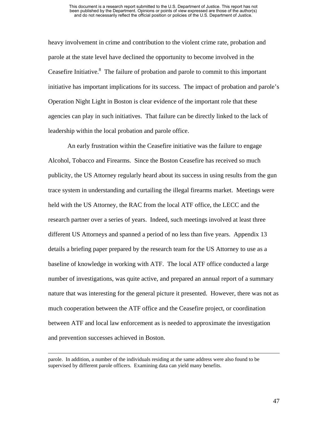heavy involvement in crime and contribution to the violent crime rate, probation and parole at the state level have declined the opportunity to become involved in the Ceasefire Initiative. $8\text{ The failure of proton and parole to commit to this important}$  $8\text{ The failure of proton and parole to commit to this important}$ initiative has important implications for its success. The impact of probation and parole's Operation Night Light in Boston is clear evidence of the important role that these agencies can play in such initiatives. That failure can be directly linked to the lack of leadership within the local probation and parole office.

An early frustration within the Ceasefire initiative was the failure to engage Alcohol, Tobacco and Firearms. Since the Boston Ceasefire has received so much publicity, the US Attorney regularly heard about its success in using results from the gun trace system in understanding and curtailing the illegal firearms market. Meetings were held with the US Attorney, the RAC from the local ATF office, the LECC and the research partner over a series of years. Indeed, such meetings involved at least three different US Attorneys and spanned a period of no less than five years. Appendix 13 details a briefing paper prepared by the research team for the US Attorney to use as a baseline of knowledge in working with ATF. The local ATF office conducted a large number of investigations, was quite active, and prepared an annual report of a summary nature that was interesting for the general picture it presented. However, there was not as much cooperation between the ATF office and the Ceasefire project, or coordination between ATF and local law enforcement as is needed to approximate the investigation and prevention successes achieved in Boston.

<span id="page-58-0"></span>parole. In addition, a number of the individuals residing at the same address were also found to be supervised by different parole officers. Examining data can yield many benefits.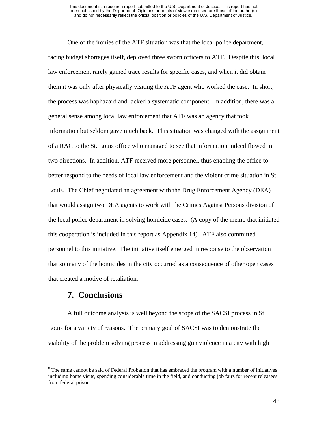One of the ironies of the ATF situation was that the local police department, facing budget shortages itself, deployed three sworn officers to ATF. Despite this, local law enforcement rarely gained trace results for specific cases, and when it did obtain them it was only after physically visiting the ATF agent who worked the case. In short, the process was haphazard and lacked a systematic component. In addition, there was a general sense among local law enforcement that ATF was an agency that took information but seldom gave much back. This situation was changed with the assignment of a RAC to the St. Louis office who managed to see that information indeed flowed in two directions. In addition, ATF received more personnel, thus enabling the office to better respond to the needs of local law enforcement and the violent crime situation in St. Louis. The Chief negotiated an agreement with the Drug Enforcement Agency (DEA) that would assign two DEA agents to work with the Crimes Against Persons division of the local police department in solving homicide cases. (A copy of the memo that initiated this cooperation is included in this report as Appendix 14). ATF also committed personnel to this initiative. The initiative itself emerged in response to the observation that so many of the homicides in the city occurred as a consequence of other open cases that created a motive of retaliation.

### **7. Conclusions**

A full outcome analysis is well beyond the scope of the SACSI process in St. Louis for a variety of reasons. The primary goal of SACSI was to demonstrate the viability of the problem solving process in addressing gun violence in a city with high

 <sup>8</sup> <sup>8</sup> The same cannot be said of Federal Probation that has embraced the program with a number of initiatives including home visits, spending considerable time in the field, and conducting job fairs for recent releasees from federal prison.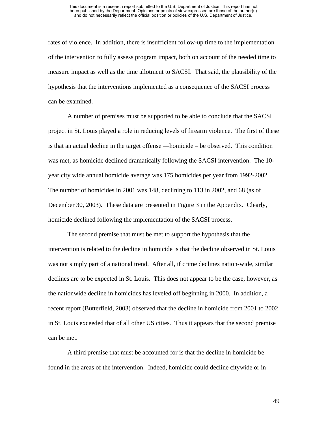rates of violence. In addition, there is insufficient follow-up time to the implementation of the intervention to fully assess program impact, both on account of the needed time to measure impact as well as the time allotment to SACSI. That said, the plausibility of the hypothesis that the interventions implemented as a consequence of the SACSI process can be examined.

A number of premises must be supported to be able to conclude that the SACSI project in St. Louis played a role in reducing levels of firearm violence. The first of these is that an actual decline in the target offense —homicide – be observed. This condition was met, as homicide declined dramatically following the SACSI intervention. The 10 year city wide annual homicide average was 175 homicides per year from 1992-2002. The number of homicides in 2001 was 148, declining to 113 in 2002, and 68 (as of December 30, 2003). These data are presented in Figure 3 in the Appendix. Clearly, homicide declined following the implementation of the SACSI process.

The second premise that must be met to support the hypothesis that the intervention is related to the decline in homicide is that the decline observed in St. Louis was not simply part of a national trend. After all, if crime declines nation-wide, similar declines are to be expected in St. Louis. This does not appear to be the case, however, as the nationwide decline in homicides has leveled off beginning in 2000. In addition, a recent report (Butterfield, 2003) observed that the decline in homicide from 2001 to 2002 in St. Louis exceeded that of all other US cities. Thus it appears that the second premise can be met.

A third premise that must be accounted for is that the decline in homicide be found in the areas of the intervention. Indeed, homicide could decline citywide or in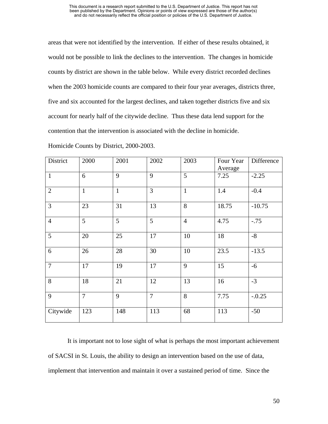#### This document is a research report submitted to the U.S. Department of Justice. This report has not been published by the Department. Opinions or points of view expressed are those of the author(s) and do not necessarily reflect the official position or policies of the U.S. Department of Justice.

areas that were not identified by the intervention. If either of these results obtained, it would not be possible to link the declines to the intervention. The changes in homicide counts by district are shown in the table below. While every district recorded declines when the 2003 homicide counts are compared to their four year averages, districts three, five and six accounted for the largest declines, and taken together districts five and six account for nearly half of the citywide decline. Thus these data lend support for the contention that the intervention is associated with the decline in homicide.

| District       | 2000           | 2001         | 2002           | 2003           | Four Year<br>Average | Difference |
|----------------|----------------|--------------|----------------|----------------|----------------------|------------|
| $\mathbf{1}$   | 6              | 9            | 9              | 5              | 7.25                 | $-2.25$    |
| $\overline{2}$ | $\mathbf{1}$   | $\mathbf{1}$ | 3              | $\mathbf{1}$   | 1.4                  | $-0.4$     |
| $\overline{3}$ | 23             | 31           | 13             | 8              | 18.75                | $-10.75$   |
| $\overline{4}$ | 5              | 5            | 5              | $\overline{4}$ | 4.75                 | $-.75$     |
| 5              | 20             | 25           | 17             | 10             | 18                   | $-8$       |
| 6              | 26             | 28           | 30             | 10             | 23.5                 | $-13.5$    |
| $\overline{7}$ | 17             | 19           | 17             | 9              | 15                   | $-6$       |
| 8              | 18             | 21           | 12             | 13             | 16                   | $-3$       |
| 9              | $\overline{7}$ | 9            | $\overline{7}$ | 8              | 7.75                 | $-.0.25$   |
| Citywide       | 123            | 148          | 113            | 68             | 113                  | $-50$      |

Homicide Counts by District, 2000-2003.

It is important not to lose sight of what is perhaps the most important achievement of SACSI in St. Louis, the ability to design an intervention based on the use of data, implement that intervention and maintain it over a sustained period of time. Since the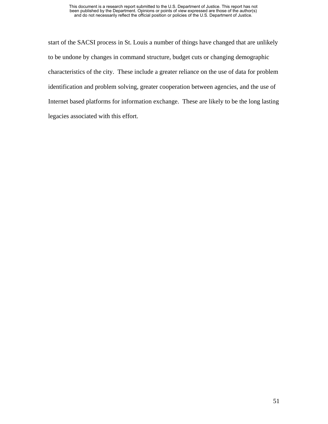start of the SACSI process in St. Louis a number of things have changed that are unlikely to be undone by changes in command structure, budget cuts or changing demographic characteristics of the city. These include a greater reliance on the use of data for problem identification and problem solving, greater cooperation between agencies, and the use of Internet based platforms for information exchange. These are likely to be the long lasting legacies associated with this effort.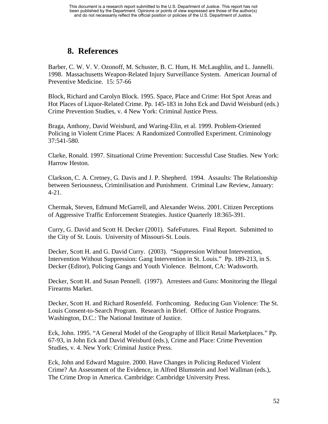## **8. References**

Barber, C. W. V. V. Ozonoff, M. Schuster, B. C. Hum, H. McLaughlin, and L. Jannelli. 1998. Massachusetts Weapon-Related Injury Surveillance System. American Journal of Preventive Medicine. 15: 57-66

Block, Richard and Carolyn Block. 1995. Space, Place and Crime: Hot Spot Areas and Hot Places of Liquor-Related Crime. Pp. 145-183 in John Eck and David Weisburd (eds.) Crime Prevention Studies, v. 4 New York: Criminal Justice Press.

Braga, Anthony, David Weisburd, and Waring-Elin, et al. 1999. Problem-Oriented Policing in Violent Crime Places: A Randomized Controlled Experiment. Criminology 37:541-580.

Clarke, Ronald. 1997. Situational Crime Prevention: Successful Case Studies. New York: Harrow Heston.

Clarkson, C. A. Cretney, G. Davis and J. P. Shepherd. 1994. Assaults: The Relationship between Seriousness, Criminilisation and Punishment. Criminal Law Review, January: 4-21.

Chermak, Steven, Edmund McGarrell, and Alexander Weiss. 2001. Citizen Perceptions of Aggressive Traffic Enforcement Strategies. Justice Quarterly 18:365-391.

Curry, G. David and Scott H. Decker (2001). SafeFutures. Final Report. Submitted to the City of St. Louis. University of Missouri-St. Louis.

Decker, Scott H. and G. David Curry. (2003). "Suppression Without Intervention, Intervention Without Suppression: Gang Intervention in St. Louis." Pp. 189-213, in S. Decker (Editor), Policing Gangs and Youth Violence. Belmont, CA: Wadsworth.

Decker, Scott H. and Susan Pennell. (1997). Arrestees and Guns: Monitoring the Illegal Firearms Market.

Decker, Scott H. and Richard Rosenfeld. Forthcoming. Reducing Gun Violence: The St. Louis Consent-to-Search Program. Research in Brief. Office of Justice Programs. Washington, D.C.: The National Institute of Justice.

Eck, John. 1995. "A General Model of the Geography of Illicit Retail Marketplaces." Pp. 67-93, in John Eck and David Weisburd (eds.), Crime and Place: Crime Prevention Studies, v. 4. New York: Criminal Justice Press.

Eck, John and Edward Maguire. 2000. Have Changes in Policing Reduced Violent Crime? An Assessment of the Evidence, in Alfred Blumstein and Joel Wallman (eds.), The Crime Drop in America. Cambridge: Cambridge University Press.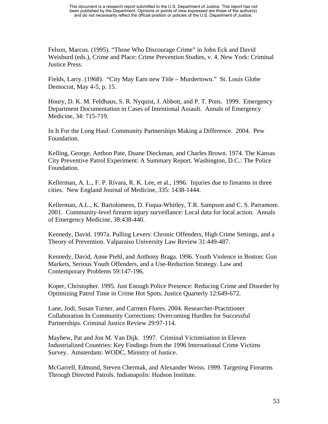Felson, Marcus. (1995). "Those Who Discourage Crime" in John Eck and David Weisburd (eds.), Crime and Place: Crime Prevention Studies, v. 4. New York: Criminal Justice Press.

Fields, Larry. (1968). "City May Earn new Title – Murdertown." St. Louis Globe Democrat, May 4-5, p. 15.

Houry, D. K. M. Feldhaus, S. R. Nyquist, J. Abbott, and P. T. Pons. 1999. Emergency Department Documentation in Cases of Intentional Assault. Annals of Emergency Medicine, 34: 715-719.

In It For the Long Haul: Community Partnerships Making a Difference. 2004. Pew Foundation.

Kelling, George, Anthon Pate, Duane Dieckman, and Charles Brown. 1974. The Kansas City Preventive Patrol Experiment: A Summary Report. Washington, D.C.: The Police Foundation.

Kellerman, A. L., F. P. Rivara, R. K. Lee, et al., 1996. Injuries due to firearms in three cities. New England Journal of Medicine, 335: 1438-1444.

Kellerman, A.L., K. Bartolomeos, D. Fuqua-Whitley, T.R. Sampson and C. S. Parramore. 2001. Community-level firearm injury surveillance: Local data for local action. Annals of Emergency Medicine, 38:438-440.

Kennedy, David. 1997a. Pulling Levers: Chronic Offenders, High Crime Settings, and a Theory of Prevention. Valparaiso University Law Review 31:449-487.

Kennedy, David, Anne Piehl, and Anthony Braga. 1996. Youth Violence in Boston: Gun Markets, Serious Youth Offenders, and a Use-Reduction Strategy. Law and Contemporary Problems 59:147-196.

Koper, Christopher. 1995. Just Enough Police Presence: Reducing Crime and Disorder by Optimizing Patrol Time in Crime Hot Spots. Justice Quarterly 12:649-672.

Lane, Jodi, Susan Turner, and Carmen Flores. 2004. Researcher-Practitioner Collaboration In Community Corrections: Overcoming Hurdles for Successful Partnerships. Criminal Justice Review 29:97-114.

Mayhew, Pat and Jon M. Van Dijk. 1997. Criminal Victimisation in Eleven Industrialized Countries: Key Findings from the 1996 International Crime Victims Survey. Amsterdam: WODC, Ministry of Justice.

McGarrell, Edmund, Steven Chermak, and Alexander Weiss. 1999. Targeting Firearms Through Directed Patrols. Indianapolis: Hudson Institute.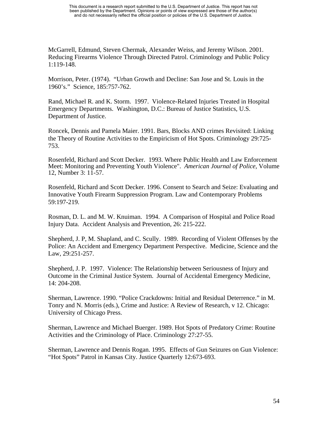McGarrell, Edmund, Steven Chermak, Alexander Weiss, and Jeremy Wilson. 2001. Reducing Firearms Violence Through Directed Patrol. Criminology and Public Policy 1:119-148.

Morrison, Peter. (1974). "Urban Growth and Decline: San Jose and St. Louis in the 1960's." Science, 185:757-762.

Rand, Michael R. and K. Storm. 1997. Violence-Related Injuries Treated in Hospital Emergency Departments. Washington, D.C.: Bureau of Justice Statistics, U.S. Department of Justice.

Roncek, Dennis and Pamela Maier. 1991. Bars, Blocks AND crimes Revisited: Linking the Theory of Routine Activities to the Empiricism of Hot Spots. Criminology 29:725- 753.

Rosenfeld, Richard and Scott Decker. 1993. Where Public Health and Law Enforcement Meet: Monitoring and Preventing Youth Violence". *American Journal of Police*, Volume 12, Number 3: 11-57.

Rosenfeld, Richard and Scott Decker. 1996. Consent to Search and Seize: Evaluating and Innovative Youth Firearm Suppression Program. Law and Contemporary Problems 59:197-219.

Rosman, D. L. and M. W. Knuiman. 1994. A Comparison of Hospital and Police Road Injury Data. Accident Analysis and Prevention, 26: 215-222.

Shepherd, J. P, M. Shapland, and C. Scully. 1989. Recording of Violent Offenses by the Police: An Accident and Emergency Department Perspective. Medicine, Science and the Law, 29:251-257.

Shepherd, J. P. 1997. Violence: The Relationship between Seriousness of Injury and Outcome in the Criminal Justice System. Journal of Accidental Emergency Medicine, 14: 204-208.

Sherman, Lawrence. 1990. "Police Crackdowns: Initial and Residual Deterrence." in M. Tonry and N. Morris (eds.), Crime and Justice: A Review of Research, v 12. Chicago: University of Chicago Press.

Sherman, Lawrence and Michael Buerger. 1989. Hot Spots of Predatory Crime: Routine Activities and the Criminology of Place. Criminology 27:27-55.

Sherman, Lawrence and Dennis Rogan. 1995. Effects of Gun Seizures on Gun Violence: "Hot Spots" Patrol in Kansas City. Justice Quarterly 12:673-693.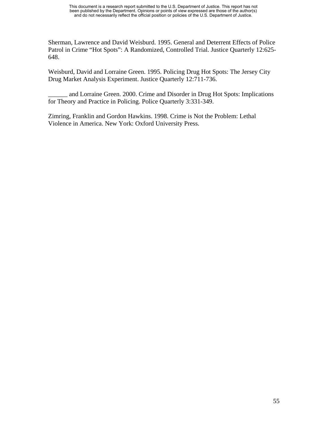Sherman, Lawrence and David Weisburd. 1995. General and Deterrent Effects of Police Patrol in Crime "Hot Spots": A Randomized, Controlled Trial. Justice Quarterly 12:625- 648.

Weisburd, David and Lorraine Green. 1995. Policing Drug Hot Spots: The Jersey City Drug Market Analysis Experiment. Justice Quarterly 12:711-736.

and Lorraine Green. 2000. Crime and Disorder in Drug Hot Spots: Implications for Theory and Practice in Policing. Police Quarterly 3:331-349.

Zimring, Franklin and Gordon Hawkins. 1998. Crime is Not the Problem: Lethal Violence in America. New York: Oxford University Press.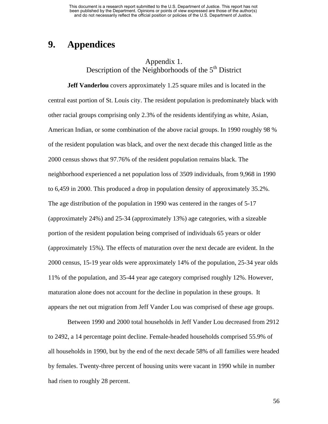## **9. Appendices**

### Appendix 1. Description of the Neighborhoods of the  $5<sup>th</sup>$  District

**Jeff Vanderlou** covers approximately 1.25 square miles and is located in the central east portion of St. Louis city. The resident population is predominately black with other racial groups comprising only 2.3% of the residents identifying as white, Asian, American Indian, or some combination of the above racial groups. In 1990 roughly 98 % of the resident population was black, and over the next decade this changed little as the 2000 census shows that 97.76% of the resident population remains black. The neighborhood experienced a net population loss of 3509 individuals, from 9,968 in 1990 to 6,459 in 2000. This produced a drop in population density of approximately 35.2%. The age distribution of the population in 1990 was centered in the ranges of 5-17 (approximately 24%) and 25-34 (approximately 13%) age categories, with a sizeable portion of the resident population being comprised of individuals 65 years or older (approximately 15%). The effects of maturation over the next decade are evident. In the 2000 census, 15-19 year olds were approximately 14% of the population, 25-34 year olds 11% of the population, and 35-44 year age category comprised roughly 12%. However, maturation alone does not account for the decline in population in these groups. It appears the net out migration from Jeff Vander Lou was comprised of these age groups.

Between 1990 and 2000 total households in Jeff Vander Lou decreased from 2912 to 2492, a 14 percentage point decline. Female-headed households comprised 55.9% of all households in 1990, but by the end of the next decade 58% of all families were headed by females. Twenty-three percent of housing units were vacant in 1990 while in number had risen to roughly 28 percent.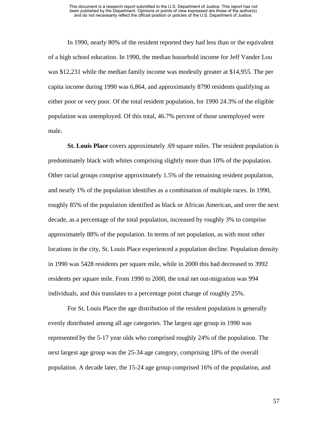In 1990, nearly 80% of the resident reported they had less than or the equivalent of a high school education. In 1990, the median household income for Jeff Vander Lou was \$12,231 while the median family income was modestly greater at \$14,955. The per capita income during 1990 was 6,864, and approximately 8790 residents qualifying as either poor or very poor. Of the total resident population, for 1990 24.3% of the eligible population was unemployed. Of this total, 46.7% percent of those unemployed were male.

**St. Louis Place** covers approximately .69 square miles. The resident population is predominately black with whites comprising slightly more than 10% of the population. Other racial groups comprise approximately 1.5% of the remaining resident population, and nearly 1% of the population identifies as a combination of multiple races. In 1990, roughly 85% of the population identified as black or African American, and over the next decade, as a percentage of the total population, increased by roughly 3% to comprise approximately 88% of the population. In terms of net population, as with most other locations in the city, St. Louis Place experienced a population decline. Population density in 1990 was 5428 residents per square mile, while in 2000 this had decreased to 3992 residents per square mile. From 1990 to 2000, the total net out-migration was 994 individuals, and this translates to a percentage point change of roughly 25%.

For St. Louis Place the age distribution of the resident population is generally evenly distributed among all age categories. The largest age group in 1990 was represented by the 5-17 year olds who comprised roughly 24% of the population. The next largest age group was the 25-34 age category, comprising 18% of the overall population. A decade later, the 15-24 age group comprised 16% of the population, and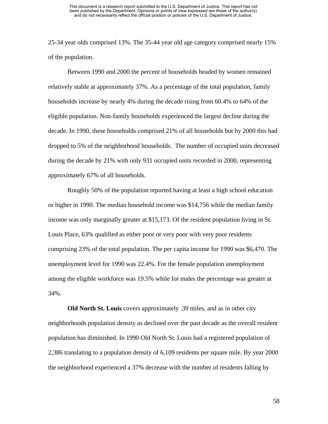25-34 year olds comprised 13%. The 35-44 year old age category comprised nearly 15% of the population.

Between 1990 and 2000 the percent of households headed by women remained relatively stable at approximately 37%. As a percentage of the total population, family households increase by nearly 4% during the decade rising from 60.4% to 64% of the eligible population. Non-family households experienced the largest decline during the decade. In 1990, these households comprised 21% of all households but by 2000 this had dropped to 5% of the neighborhood households. The number of occupied units decreased during the decade by 21% with only 931 occupied units recorded in 2000, representing approximately 67% of all households.

Roughly 50% of the population reported having at least a high school education or higher in 1990. The median household income was \$14,756 while the median family income was only marginally greater at \$15,173. Of the resident population living in St. Louis Place, 63% qualified as either poor or very poor with very poor residents comprising 23% of the total population. The per capita income for 1990 was \$6,470. The unemployment level for 1990 was 22.4%. For the female population unemployment among the eligible workforce was 19.5% while for males the percentage was greater at 34%.

**Old North St. Louis** covers approximately .39 miles, and as in other city neighborhoods population density as declined over the past decade as the overall resident population has diminished. In 1990 Old North St. Louis had a registered population of 2,386 translating to a population density of 6,109 residents per square mile. By year 2000 the neighborhood experienced a 37% decrease with the number of residents falling by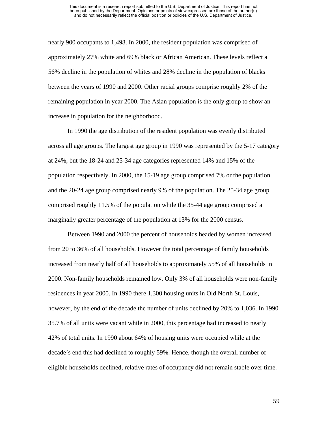nearly 900 occupants to 1,498. In 2000, the resident population was comprised of approximately 27% white and 69% black or African American. These levels reflect a 56% decline in the population of whites and 28% decline in the population of blacks between the years of 1990 and 2000. Other racial groups comprise roughly 2% of the remaining population in year 2000. The Asian population is the only group to show an increase in population for the neighborhood.

In 1990 the age distribution of the resident population was evenly distributed across all age groups. The largest age group in 1990 was represented by the 5-17 category at 24%, but the 18-24 and 25-34 age categories represented 14% and 15% of the population respectively. In 2000, the 15-19 age group comprised 7% or the population and the 20-24 age group comprised nearly 9% of the population. The 25-34 age group comprised roughly 11.5% of the population while the 35-44 age group comprised a marginally greater percentage of the population at 13% for the 2000 census.

Between 1990 and 2000 the percent of households headed by women increased from 20 to 36% of all households. However the total percentage of family households increased from nearly half of all households to approximately 55% of all households in 2000. Non-family households remained low. Only 3% of all households were non-family residences in year 2000. In 1990 there 1,300 housing units in Old North St. Louis, however, by the end of the decade the number of units declined by 20% to 1,036. In 1990 35.7% of all units were vacant while in 2000, this percentage had increased to nearly 42% of total units. In 1990 about 64% of housing units were occupied while at the decade's end this had declined to roughly 59%. Hence, though the overall number of eligible households declined, relative rates of occupancy did not remain stable over time.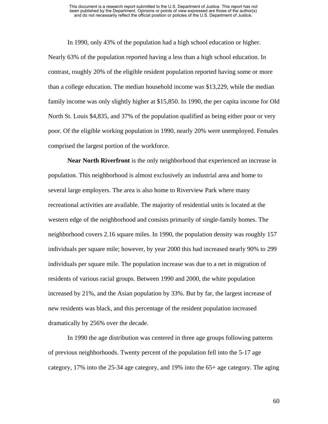In 1990, only 43% of the population had a high school education or higher. Nearly 63% of the population reported having a less than a high school education. In contrast, roughly 20% of the eligible resident population reported having some or more than a college education. The median household income was \$13,229, while the median family income was only slightly higher at \$15,850. In 1990, the per capita income for Old North St. Louis \$4,835, and 37% of the population qualified as being either poor or very poor. Of the eligible working population in 1990, nearly 20% were unemployed. Females comprised the largest portion of the workforce.

**Near North Riverfront** is the only neighborhood that experienced an increase in population. This neighborhood is almost exclusively an industrial area and home to several large employers. The area is also home to Riverview Park where many recreational activities are available. The majority of residential units is located at the western edge of the neighborhood and consists primarily of single-family homes. The neighborhood covers 2.16 square miles. In 1990, the population density was roughly 157 individuals per square mile; however, by year 2000 this had increased nearly 90% to 299 individuals per square mile. The population increase was due to a net in migration of residents of various racial groups. Between 1990 and 2000, the white population increased by 21%, and the Asian population by 33%. But by far, the largest increase of new residents was black, and this percentage of the resident population increased dramatically by 256% over the decade.

In 1990 the age distribution was centered in three age groups following patterns of previous neighborhoods. Twenty percent of the population fell into the 5-17 age category, 17% into the 25-34 age category, and 19% into the 65+ age category. The aging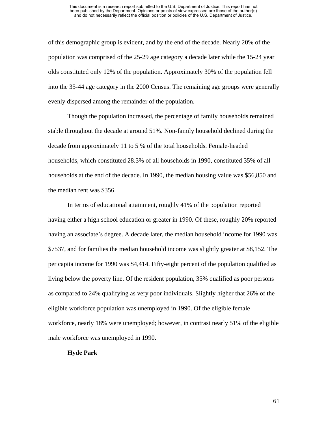of this demographic group is evident, and by the end of the decade. Nearly 20% of the population was comprised of the 25-29 age category a decade later while the 15-24 year olds constituted only 12% of the population. Approximately 30% of the population fell into the 35-44 age category in the 2000 Census. The remaining age groups were generally evenly dispersed among the remainder of the population.

Though the population increased, the percentage of family households remained stable throughout the decade at around 51%. Non-family household declined during the decade from approximately 11 to 5 % of the total households. Female-headed households, which constituted 28.3% of all households in 1990, constituted 35% of all households at the end of the decade. In 1990, the median housing value was \$56,850 and the median rent was \$356.

In terms of educational attainment, roughly 41% of the population reported having either a high school education or greater in 1990. Of these, roughly 20% reported having an associate's degree. A decade later, the median household income for 1990 was \$7537, and for families the median household income was slightly greater at \$8,152. The per capita income for 1990 was \$4,414. Fifty-eight percent of the population qualified as living below the poverty line. Of the resident population, 35% qualified as poor persons as compared to 24% qualifying as very poor individuals. Slightly higher that 26% of the eligible workforce population was unemployed in 1990. Of the eligible female workforce, nearly 18% were unemployed; however, in contrast nearly 51% of the eligible male workforce was unemployed in 1990.

#### **Hyde Park**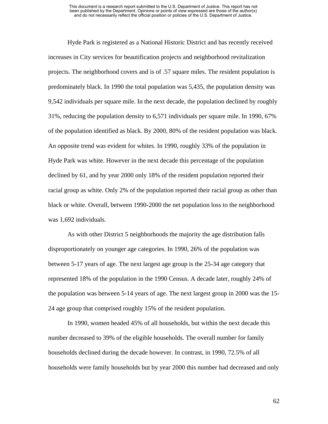Hyde Park is registered as a National Historic District and has recently received increases in City services for beautification projects and neighborhood revitalization projects. The neighborhood covers and is of .57 square miles. The resident population is predominately black. In 1990 the total population was 5,435, the population density was 9,542 individuals per square mile. In the next decade, the population declined by roughly 31%, reducing the population density to 6,571 individuals per square mile. In 1990, 67% of the population identified as black. By 2000, 80% of the resident population was black. An opposite trend was evident for whites. In 1990, roughly 33% of the population in Hyde Park was white. However in the next decade this percentage of the population declined by 61, and by year 2000 only 18% of the resident population reported their racial group as white. Only 2% of the population reported their racial group as other than black or white. Overall, between 1990-2000 the net population loss to the neighborhood was 1,692 individuals.

As with other District 5 neighborhoods the majority the age distribution falls disproportionately on younger age categories. In 1990, 26% of the population was between 5-17 years of age. The next largest age group is the 25-34 age category that represented 18% of the population in the 1990 Census. A decade later, roughly 24% of the population was between 5-14 years of age. The next largest group in 2000 was the 15- 24 age group that comprised roughly 15% of the resident population.

In 1990, women headed 45% of all households, but within the next decade this number decreased to 39% of the eligible households. The overall number for family households declined during the decade however. In contrast, in 1990, 72.5% of all households were family households but by year 2000 this number had decreased and only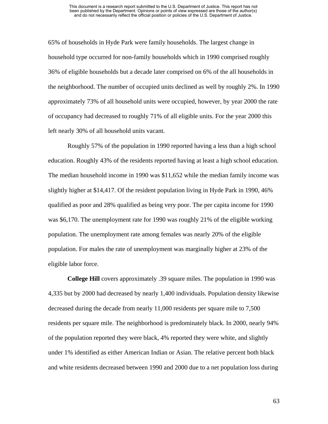65% of households in Hyde Park were family households. The largest change in household type occurred for non-family households which in 1990 comprised roughly 36% of eligible households but a decade later comprised on 6% of the all households in the neighborhood. The number of occupied units declined as well by roughly 2%. In 1990 approximately 73% of all household units were occupied, however, by year 2000 the rate of occupancy had decreased to roughly 71% of all eligible units. For the year 2000 this left nearly 30% of all household units vacant.

Roughly 57% of the population in 1990 reported having a less than a high school education. Roughly 43% of the residents reported having at least a high school education. The median household income in 1990 was \$11,652 while the median family income was slightly higher at \$14,417. Of the resident population living in Hyde Park in 1990, 46% qualified as poor and 28% qualified as being very poor. The per capita income for 1990 was \$6,170. The unemployment rate for 1990 was roughly 21% of the eligible working population. The unemployment rate among females was nearly 20% of the eligible population. For males the rate of unemployment was marginally higher at 23% of the eligible labor force.

**College Hill** covers approximately .39 square miles. The population in 1990 was 4,335 but by 2000 had decreased by nearly 1,400 individuals. Population density likewise decreased during the decade from nearly 11,000 residents per square mile to 7,500 residents per square mile. The neighborhood is predominately black. In 2000, nearly 94% of the population reported they were black, 4% reported they were white, and slightly under 1% identified as either American Indian or Asian. The relative percent both black and white residents decreased between 1990 and 2000 due to a net population loss during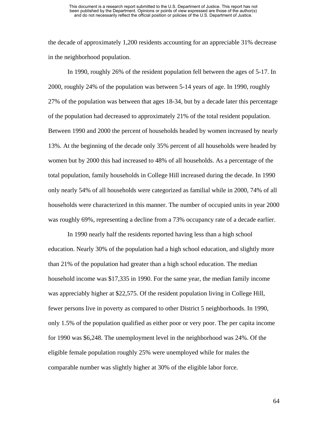the decade of approximately 1,200 residents accounting for an appreciable 31% decrease in the neighborhood population.

In 1990, roughly 26% of the resident population fell between the ages of 5-17. In 2000, roughly 24% of the population was between 5-14 years of age. In 1990, roughly 27% of the population was between that ages 18-34, but by a decade later this percentage of the population had decreased to approximately 21% of the total resident population. Between 1990 and 2000 the percent of households headed by women increased by nearly 13%. At the beginning of the decade only 35% percent of all households were headed by women but by 2000 this had increased to 48% of all households. As a percentage of the total population, family households in College Hill increased during the decade. In 1990 only nearly 54% of all households were categorized as familial while in 2000, 74% of all households were characterized in this manner. The number of occupied units in year 2000 was roughly 69%, representing a decline from a 73% occupancy rate of a decade earlier.

In 1990 nearly half the residents reported having less than a high school education. Nearly 30% of the population had a high school education, and slightly more than 21% of the population had greater than a high school education. The median household income was \$17,335 in 1990. For the same year, the median family income was appreciably higher at \$22,575. Of the resident population living in College Hill, fewer persons live in poverty as compared to other District 5 neighborhoods. In 1990, only 1.5% of the population qualified as either poor or very poor. The per capita income for 1990 was \$6,248. The unemployment level in the neighborhood was 24%. Of the eligible female population roughly 25% were unemployed while for males the comparable number was slightly higher at 30% of the eligible labor force.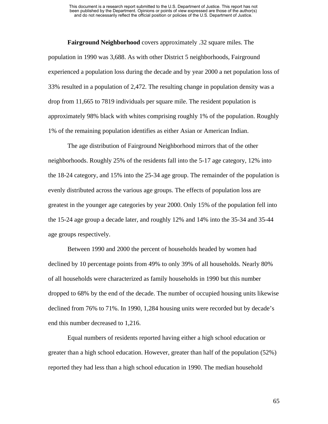**Fairground Neighborhood** covers approximately .32 square miles. The population in 1990 was 3,688. As with other District 5 neighborhoods, Fairground experienced a population loss during the decade and by year 2000 a net population loss of 33% resulted in a population of 2,472. The resulting change in population density was a drop from 11,665 to 7819 individuals per square mile. The resident population is approximately 98% black with whites comprising roughly 1% of the population. Roughly 1% of the remaining population identifies as either Asian or American Indian.

The age distribution of Fairground Neighborhood mirrors that of the other neighborhoods. Roughly 25% of the residents fall into the 5-17 age category, 12% into the 18-24 category, and 15% into the 25-34 age group. The remainder of the population is evenly distributed across the various age groups. The effects of population loss are greatest in the younger age categories by year 2000. Only 15% of the population fell into the 15-24 age group a decade later, and roughly 12% and 14% into the 35-34 and 35-44 age groups respectively.

Between 1990 and 2000 the percent of households headed by women had declined by 10 percentage points from 49% to only 39% of all households. Nearly 80% of all households were characterized as family households in 1990 but this number dropped to 68% by the end of the decade. The number of occupied housing units likewise declined from 76% to 71%. In 1990, 1,284 housing units were recorded but by decade's end this number decreased to 1,216.

Equal numbers of residents reported having either a high school education or greater than a high school education. However, greater than half of the population (52%) reported they had less than a high school education in 1990. The median household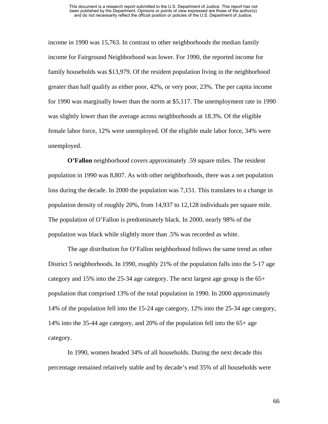income in 1990 was 15,763. In contrast to other neighborhoods the median family income for Fairground Neighborhood was lower. For 1990, the reported income for family households was \$13,979. Of the resident population living in the neighborhood greater than half qualify as either poor, 42%, or very poor, 23%. The per capita income for 1990 was marginally lower than the norm at \$5,117. The unemployment rate in 1990 was slightly lower than the average across neighborhoods at 18.3%. Of the eligible female labor force, 12% were unemployed. Of the eligible male labor force, 34% were unemployed.

**O'Fallon** neighborhood covers approximately .59 square miles. The resident population in 1990 was 8,807. As with other neighborhoods, there was a net population loss during the decade. In 2000 the population was 7,151. This translates to a change in population density of roughly 20%, from 14,937 to 12,128 individuals per square mile. The population of O'Fallon is predominately black. In 2000, nearly 98% of the population was black while slightly more than .5% was recorded as white.

The age distribution for O'Fallon neighborhood follows the same trend as other District 5 neighborhoods. In 1990, roughly 21% of the population falls into the 5-17 age category and 15% into the 25-34 age category. The next largest age group is the  $65+$ population that comprised 13% of the total population in 1990. In 2000 approximately 14% of the population fell into the 15-24 age category, 12% into the 25-34 age category, 14% into the 35-44 age category, and 20% of the population fell into the 65+ age category.

In 1990, women headed 34% of all households. During the next decade this percentage remained relatively stable and by decade's end 35% of all households were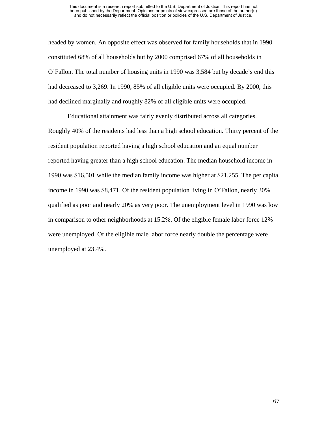headed by women. An opposite effect was observed for family households that in 1990 constituted 68% of all households but by 2000 comprised 67% of all households in O'Fallon. The total number of housing units in 1990 was 3,584 but by decade's end this had decreased to 3,269. In 1990, 85% of all eligible units were occupied. By 2000, this had declined marginally and roughly 82% of all eligible units were occupied.

Educational attainment was fairly evenly distributed across all categories. Roughly 40% of the residents had less than a high school education. Thirty percent of the resident population reported having a high school education and an equal number reported having greater than a high school education. The median household income in 1990 was \$16,501 while the median family income was higher at \$21,255. The per capita income in 1990 was \$8,471. Of the resident population living in O'Fallon, nearly 30% qualified as poor and nearly 20% as very poor. The unemployment level in 1990 was low in comparison to other neighborhoods at 15.2%. Of the eligible female labor force 12% were unemployed. Of the eligible male labor force nearly double the percentage were unemployed at 23.4%.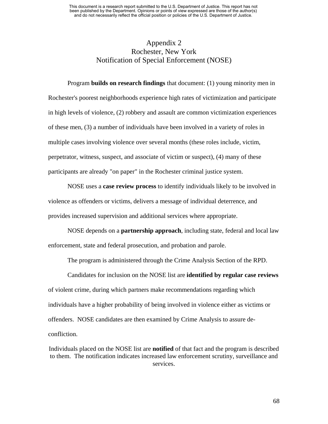### Appendix 2 Rochester, New York Notification of Special Enforcement (NOSE)

Program **builds on research findings** that document: (1) young minority men in Rochester's poorest neighborhoods experience high rates of victimization and participate in high levels of violence, (2) robbery and assault are common victimization experiences of these men, (3) a number of individuals have been involved in a variety of roles in multiple cases involving violence over several months (these roles include, victim, perpetrator, witness, suspect, and associate of victim or suspect), (4) many of these participants are already "on paper" in the Rochester criminal justice system.

NOSE uses a **case review process** to identify individuals likely to be involved in violence as offenders or victims, delivers a message of individual deterrence, and provides increased supervision and additional services where appropriate.

NOSE depends on a **partnership approach**, including state, federal and local law enforcement, state and federal prosecution, and probation and parole.

The program is administered through the Crime Analysis Section of the RPD.

Candidates for inclusion on the NOSE list are **identified by regular case reviews** of violent crime, during which partners make recommendations regarding which individuals have a higher probability of being involved in violence either as victims or offenders. NOSE candidates are then examined by Crime Analysis to assure deconfliction.

Individuals placed on the NOSE list are **notified** of that fact and the program is described to them. The notification indicates increased law enforcement scrutiny, surveillance and services.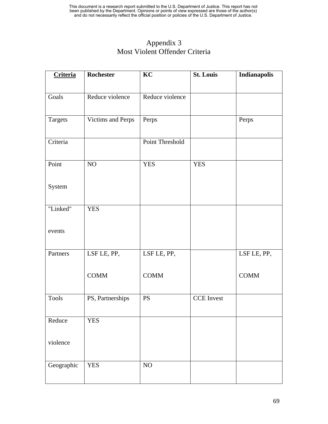## Appendix 3 Most Violent Offender Criteria

| <b>Criteria</b> | Rochester         | KC              | <b>St. Louis</b>  | Indianapolis |
|-----------------|-------------------|-----------------|-------------------|--------------|
| Goals           | Reduce violence   | Reduce violence |                   |              |
| Targets         | Victims and Perps | Perps           |                   | Perps        |
| Criteria        |                   | Point Threshold |                   |              |
| Point           | NO                | <b>YES</b>      | <b>YES</b>        |              |
| System          |                   |                 |                   |              |
| "Linked"        | <b>YES</b>        |                 |                   |              |
| events          |                   |                 |                   |              |
| Partners        | LSF LE, PP,       | LSF LE, PP,     |                   | LSF LE, PP,  |
|                 | <b>COMM</b>       | <b>COMM</b>     |                   | <b>COMM</b>  |
| <b>Tools</b>    | PS, Partnerships  | <b>PS</b>       | <b>CCE</b> Invest |              |
| Reduce          | <b>YES</b>        |                 |                   |              |
| violence        |                   |                 |                   |              |
| Geographic      | <b>YES</b>        | $\rm NO$        |                   |              |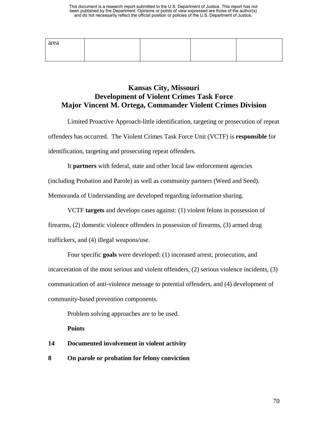| area |  |  |
|------|--|--|
|      |  |  |

### **Kansas City, Missouri Development of Violent Crimes Task Force Major Vincent M. Ortega, Commander Violent Crimes Division**

Limited Proactive Approach-little identification, targeting or prosecution of repeat offenders has occurred. The Violent Crimes Task Force Unit (VCTF) is **responsible** for identification, targeting and prosecuting repeat offenders.

It **partners** with federal, state and other local law enforcement agencies

(including Probation and Parole) as well as community partners (Weed and Seed).

Memoranda of Understanding are developed regarding information sharing.

VCTF **targets** and develops cases against: (1) violent felons in possession of firearms, (2) domestic violence offenders in possession of firearms, (3) armed drug traffickers, and (4) illegal weapons/use.

Four specific **goals** were developed: (1) increased arrest, prosecution, and incarceration of the most serious and violent offenders, (2) serious violence incidents, (3) communication of anti-violence message to potential offenders, and (4) development of community-based prevention components.

Problem solving approaches are to be used.

**Points** 

### **14 Documented involvement in violent activity**

### **8 On parole or probation for felony conviction**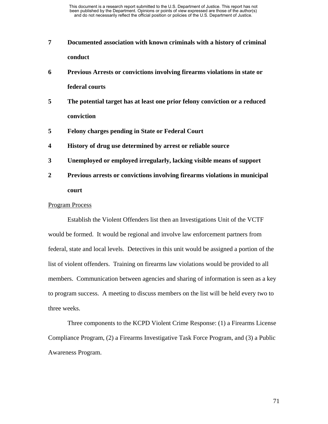- **7 Documented association with known criminals with a history of criminal conduct**
- **6 Previous Arrests or convictions involving firearms violations in state or federal courts**
- **5 The potential target has at least one prior felony conviction or a reduced conviction**
- **5 Felony charges pending in State or Federal Court**
- **4 History of drug use determined by arrest or reliable source**
- **3 Unemployed or employed irregularly, lacking visible means of support**
- **2 Previous arrests or convictions involving firearms violations in municipal court**

#### Program Process

Establish the Violent Offenders list then an Investigations Unit of the VCTF would be formed. It would be regional and involve law enforcement partners from federal, state and local levels. Detectives in this unit would be assigned a portion of the list of violent offenders. Training on firearms law violations would be provided to all members. Communication between agencies and sharing of information is seen as a key to program success. A meeting to discuss members on the list will be held every two to three weeks.

Three components to the KCPD Violent Crime Response: (1) a Firearms License Compliance Program, (2) a Firearms Investigative Task Force Program, and (3) a Public Awareness Program.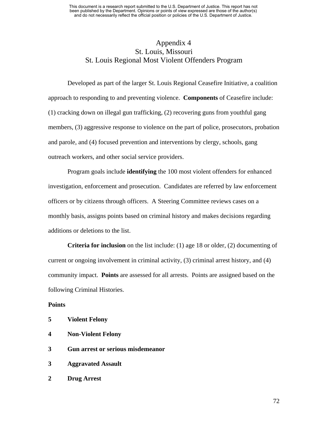### Appendix 4 St. Louis, Missouri St. Louis Regional Most Violent Offenders Program

Developed as part of the larger St. Louis Regional Ceasefire Initiative, a coalition approach to responding to and preventing violence. **Components** of Ceasefire include: (1) cracking down on illegal gun trafficking, (2) recovering guns from youthful gang members, (3) aggressive response to violence on the part of police, prosecutors, probation and parole, and (4) focused prevention and interventions by clergy, schools, gang outreach workers, and other social service providers.

Program goals include **identifying** the 100 most violent offenders for enhanced investigation, enforcement and prosecution. Candidates are referred by law enforcement officers or by citizens through officers. A Steering Committee reviews cases on a monthly basis, assigns points based on criminal history and makes decisions regarding additions or deletions to the list.

**Criteria for inclusion** on the list include: (1) age 18 or older, (2) documenting of current or ongoing involvement in criminal activity, (3) criminal arrest history, and (4) community impact. **Points** are assessed for all arrests. Points are assigned based on the following Criminal Histories.

### **Points**

| 5 | <b>Violent Felony</b> |
|---|-----------------------|
|---|-----------------------|

- **4 Non-Violent Felony**
- **3 Gun arrest or serious misdemeanor**
- **3 Aggravated Assault**
- **2 Drug Arrest**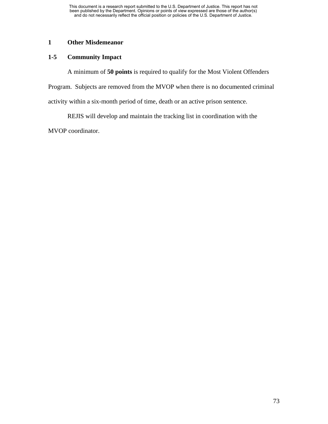### **1 Other Misdemeanor**

### **1-5 Community Impact**

A minimum of **50 points** is required to qualify for the Most Violent Offenders

Program. Subjects are removed from the MVOP when there is no documented criminal

activity within a six-month period of time, death or an active prison sentence.

REJIS will develop and maintain the tracking list in coordination with the

MVOP coordinator.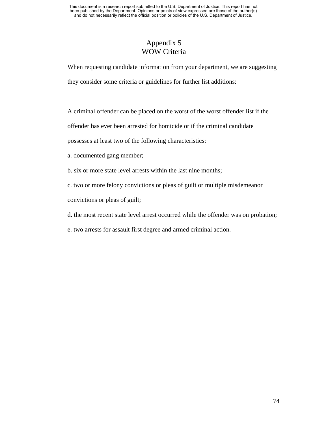### Appendix 5 WOW Criteria

When requesting candidate information from your department, we are suggesting they consider some criteria or guidelines for further list additions:

A criminal offender can be placed on the worst of the worst offender list if the

offender has ever been arrested for homicide or if the criminal candidate

possesses at least two of the following characteristics:

a. documented gang member;

b. six or more state level arrests within the last nine months;

c. two or more felony convictions or pleas of guilt or multiple misdemeanor

convictions or pleas of guilt;

d. the most recent state level arrest occurred while the offender was on probation;

e. two arrests for assault first degree and armed criminal action.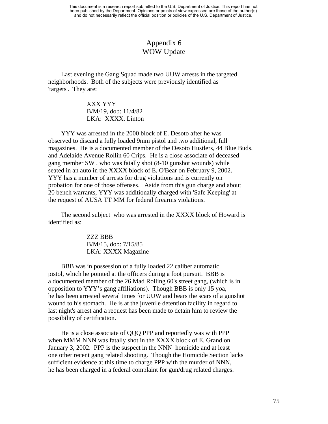### Appendix 6 WOW Update

 Last evening the Gang Squad made two UUW arrests in the targeted neighborhoods. Both of the subjects were previously identified as 'targets'. They are:

> XXX YYY B/M/19, dob: 11/4/82 LKA: XXXX. Linton

 YYY was arrested in the 2000 block of E. Desoto after he was observed to discard a fully loaded 9mm pistol and two additional, full magazines. He is a documented member of the Desoto Hustlers, 44 Blue Buds, and Adelaide Avenue Rollin 60 Crips. He is a close associate of deceased gang member SW , who was fatally shot (8-10 gunshot wounds) while seated in an auto in the XXXX block of E. O'Bear on February 9, 2002. YYY has a number of arrests for drug violations and is currently on probation for one of those offenses. Aside from this gun charge and about 20 bench warrants, YYY was additionally charged with 'Safe Keeping' at the request of AUSA TT MM for federal firearms violations.

 The second subject who was arrested in the XXXX block of Howard is identified as:

> ZZZ BBB B/M/15, dob: 7/15/85 LKA: XXXX Magazine

 BBB was in possession of a fully loaded 22 caliber automatic pistol, which he pointed at the officers during a foot pursuit. BBB is a documented member of the 26 Mad Rolling 60's street gang, (which is in opposition to YYY's gang affiliations). Though BBB is only 15 yoa, he has been arrested several times for UUW and bears the scars of a gunshot wound to his stomach. He is at the juvenile detention facility in regard to last night's arrest and a request has been made to detain him to review the possibility of certification.

 He is a close associate of QQQ PPP and reportedly was with PPP when MMM NNN was fatally shot in the XXXX block of E. Grand on January 3, 2002. PPP is the suspect in the NNN homicide and at least one other recent gang related shooting. Though the Homicide Section lacks sufficient evidence at this time to charge PPP with the murder of NNN, he has been charged in a federal complaint for gun/drug related charges.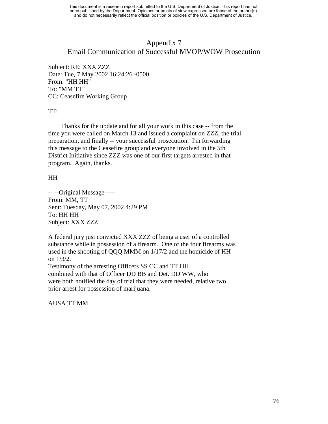### Appendix 7 Email Communication of Successful MVOP/WOW Prosecution

Subject: RE: XXX ZZZ Date: Tue, 7 May 2002 16:24:26 -0500 From: "HH HH" To: "MM TT" CC: Ceasefire Working Group

### TT:

 Thanks for the update and for all your work in this case -- from the time you were called on March 13 and issued a complaint on ZZZ, the trial preparation, and finally -- your successful prosecution. I'm forwarding this message to the Ceasefire group and everyone involved in the 5th District Initiative since ZZZ was one of our first targets arrested in that program. Again, thanks.

### HH

-----Original Message----- From: MM, TT Sent: Tuesday, May 07, 2002 4:29 PM To: HH HH ' Subject: XXX ZZZ

A federal jury just convicted XXX ZZZ of being a user of a controlled substance while in possession of a firearm. One of the four firearms was used in the shooting of QQQ MMM on 1/17/2 and the homicide of HH on 1/3/2.

Testimony of the arresting Officers SS CC and TT HH combined with that of Officer DD BB and Det. DD WW, who were both notified the day of trial that they were needed, relative two prior arrest for possession of marijuana.

AUSA TT MM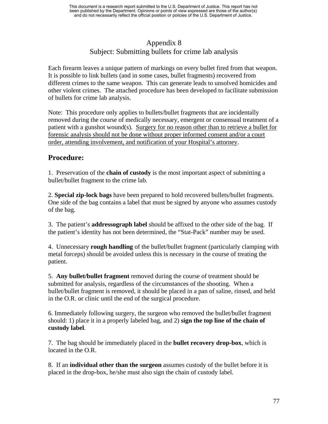## Appendix 8 Subject: Submitting bullets for crime lab analysis

Each firearm leaves a unique pattern of markings on every bullet fired from that weapon. It is possible to link bullets (and in some cases, bullet fragments) recovered from different crimes to the same weapon. This can generate leads to unsolved homicides and other violent crimes. The attached procedure has been developed to facilitate submission of bullets for crime lab analysis.

Note: This procedure only applies to bullets/bullet fragments that are incidentally removed during the course of medically necessary, emergent or consensual treatment of a patient with a gunshot wound(s). Surgery for no reason other than to retrieve a bullet for forensic analysis should not be done without proper informed consent and/or a court order, attending involvement, and notification of your Hospital's attorney.

## **Procedure:**

1. Preservation of the **chain of custody** is the most important aspect of submitting a bullet/bullet fragment to the crime lab.

2. **Special zip-lock bags** have been prepared to hold recovered bullets/bullet fragments. One side of the bag contains a label that must be signed by anyone who assumes custody of the bag.

3. The patient's **addressograph label** should be affixed to the other side of the bag. If the patient's identity has not been determined, the "Stat-Pack" number may be used.

4. Unnecessary **rough handling** of the bullet/bullet fragment (particularly clamping with metal forceps) should be avoided unless this is necessary in the course of treating the patient.

5. **Any bullet/bullet fragment** removed during the course of treatment should be submitted for analysis, regardless of the circumstances of the shooting. When a bullet/bullet fragment is removed, it should be placed in a pan of saline, rinsed, and held in the O.R. or clinic until the end of the surgical procedure.

6. Immediately following surgery, the surgeon who removed the bullet/bullet fragment should: 1) place it in a properly labeled bag, and 2) **sign the top line of the chain of custody label**.

7. The bag should be immediately placed in the **bullet recovery drop-box**, which is located in the O.R.

8. If an **individual other than the surgeon** assumes custody of the bullet before it is placed in the drop-box, he/she must also sign the chain of custody label.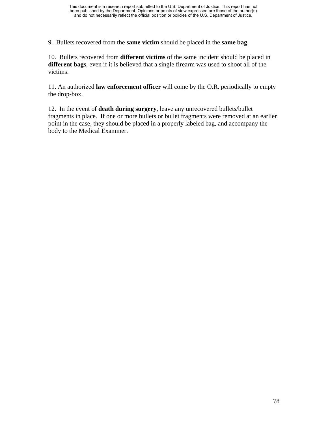9. Bullets recovered from the **same victim** should be placed in the **same bag**.

10. Bullets recovered from **different victims** of the same incident should be placed in **different bags**, even if it is believed that a single firearm was used to shoot all of the victims.

11. An authorized **law enforcement officer** will come by the O.R. periodically to empty the drop-box.

12. In the event of **death during surgery**, leave any unrecovered bullets/bullet fragments in place. If one or more bullets or bullet fragments were removed at an earlier point in the case, they should be placed in a properly labeled bag, and accompany the body to the Medical Examiner.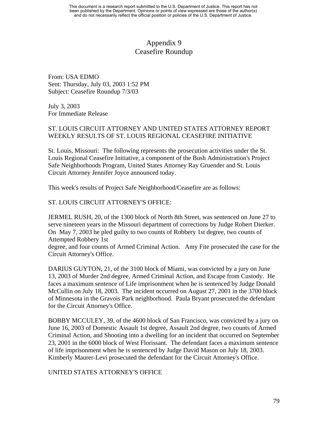### Appendix 9 Ceasefire Roundup

From: USA EDMO Sent: Thursday, July 03, 2003 1:52 PM Subject: Ceasefire Roundup 7/3/03

July 3, 2003 For Immediate Release

### ST. LOUIS CIRCUIT ATTORNEY AND UNITED STATES ATTORNEY REPORT WEEKLY RESULTS OF ST. LOUIS REGIONAL CEASEFIRE INITIATIVE

St. Louis, Missouri: The following represents the prosecution activities under the St. Louis Regional Ceasefire Initiative, a component of the Bush Administration's Project Safe Neighborhoods Program, United States Attorney Ray Gruender and St. Louis Circuit Attorney Jennifer Joyce announced today.

This week's results of Project Safe Neighborhood/Ceasefire are as follows:

### ST. LOUIS CIRCUIT ATTORNEY'S OFFICE:

JERMEL RUSH, 20, of the 1300 block of North 8th Street, was sentenced on June 27 to serve nineteen years in the Missouri department of corrections by Judge Robert Dierker. On May 7, 2003 he pled guilty to two counts of Robbery 1st degree, two counts of Attempted Robbery 1st

degree, and four counts of Armed Criminal Action. Amy Fite prosecuted the case for the Circuit Attorney's Office.

DARIUS GUYTON, 21, of the 3100 block of Miami, was convicted by a jury on June 13, 2003 of Murder 2nd degree, Armed Criminal Action, and Escape from Custody. He faces a maximum sentence of Life imprisonment when he is sentenced by Judge Donald McCullin on July 18, 2003. The incident occurred on August 27, 2001 in the 3700 block of Minnesota in the Gravois Park neighborhood. Paula Bryant prosecuted the defendant for the Circuit Attorney's Office.

BOBBY MCCULEY, 39, of the 4600 block of San Francisco, was convicted by a jury on June 16, 2003 of Domestic Assault 1st degree, Assault 2nd degree, two counts of Armed Criminal Action, and Shooting into a dwelling for an incident that occurred on September 23, 2001 in the 6000 block of West Florissant. The defendant faces a maximum sentence of life imprisonment when he is sentenced by Judge David Mason on July 18, 2003. Kimberly Maurer-Levi prosecuted the defendant for the Circuit Attorney's Office.

UNITED STATES ATTORNEY'S OFFICE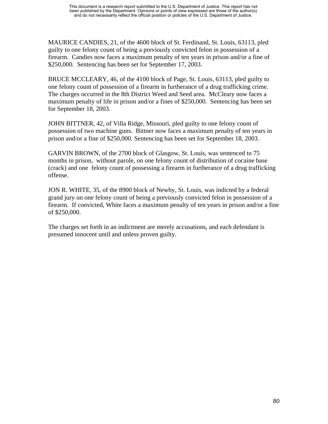MAURICE CANDIES, 21, of the 4600 block of St. Ferdinand, St. Louis, 63113, pled guilty to one felony count of being a previously convicted felon in possession of a firearm. Candies now faces a maximum penalty of ten years in prison and/or a fine of \$250,000. Sentencing has been set for September 17, 2003.

BRUCE MCCLEARY, 46, of the 4100 block of Page, St. Louis, 63113, pled guilty to one felony count of possession of a firearm in furtherance of a drug trafficking crime. The charges occurred in the 8th District Weed and Seed area. McCleary now faces a maximum penalty of life in prison and/or a fines of \$250,000. Sentencing has been set for September 18, 2003.

JOHN BITTNER, 42, of Villa Ridge, Missouri, pled guilty to one felony count of possession of two machine guns. Bittner now faces a maximum penalty of ten years in prison and/or a fine of \$250,000. Sentencing has been set for September 18, 2003.

GARVIN BROWN, of the 2700 block of Glasgow, St. Louis, was sentenced to 75 months in prison, without parole, on one felony count of distribution of cocaine base (crack) and one felony count of possessing a firearm in furtherance of a drug trafficking offense.

JON R. WHITE, 35, of the 8900 block of Newby, St. Louis, was indicted by a federal grand jury on one felony count of being a previously convicted felon in possession of a firearm. If convicted, White faces a maximum penalty of ten years in prison and/or a fine of \$250,000.

The charges set forth in an indictment are merely accusations, and each defendant is presumed innocent until and unless proven guilty.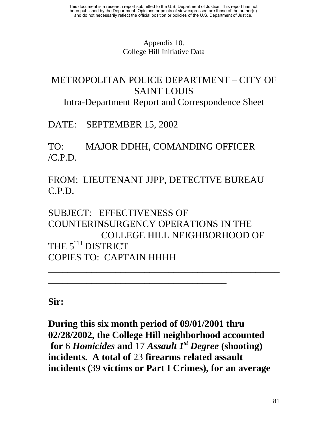## Appendix 10. College Hill Initiative Data

# METROPOLITAN POLICE DEPARTMENT – CITY OF SAINT LOUIS

Intra-Department Report and Correspondence Sheet

DATE: SEPTEMBER 15, 2002

TO: MAJOR DDHH, COMANDING OFFICER  $/CPD$ 

FROM: LIEUTENANT JJPP, DETECTIVE BUREAU C.P.D.

SUBJECT: EFFECTIVENESS OF COUNTERINSURGENCY OPERATIONS IN THE COLLEGE HILL NEIGHBORHOOD OF THE 5<sup>TH</sup> DISTRICT COPIES TO: CAPTAIN HHHH

\_\_\_\_\_\_\_\_\_\_\_\_\_\_\_\_\_\_\_\_\_\_\_\_\_\_\_\_\_\_\_\_\_\_\_\_\_\_\_\_\_\_\_\_\_\_\_\_

\_\_\_\_\_\_\_\_\_\_\_\_\_\_\_\_\_\_\_\_\_\_\_\_\_\_\_\_\_\_\_\_\_\_\_\_\_

**Sir:** 

**During this six month period of 09/01/2001 thru 02/28/2002, the College Hill neighborhood accounted for** 6 *Homicides* **and** 17 *Assault 1st Degree* **(shooting) incidents. A total of** 23 **firearms related assault incidents (**39 **victims or Part I Crimes), for an average**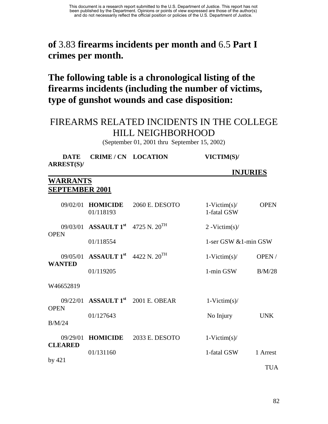## **of** 3.83 **firearms incidents per month and** 6.5 **Part I crimes per month.**

**The following table is a chronological listing of the firearms incidents (including the number of victims, type of gunshot wounds and case disposition:** 

## FIREARMS RELATED INCIDENTS IN THE COLLEGE HILL NEIGHBORHOOD

(September 01, 2001 thru September 15, 2002)

| DATE              | <b>CRIME/CN LOCATION</b> | VICTIM(S)/ |
|-------------------|--------------------------|------------|
| <b>ARREST(S)/</b> |                          |            |

## **WARRANTS SEPTEMBER 2001**

| 09/02/01                   | <b>HOMICIDE</b><br>01/118193                        | 2060 E. DESOTO | $1-Victim(s)$ /<br>1-fatal GSW | <b>OPEN</b> |
|----------------------------|-----------------------------------------------------|----------------|--------------------------------|-------------|
| <b>OPEN</b>                | 09/03/01 ASSAULT $1^{\rm st}$ 4725 N, $20^{\rm TH}$ |                | $2 - \text{Victim}(s)$         |             |
|                            | 01/118554                                           |                | 1-ser GSW $&$ 1-min GSW        |             |
| <b>WANTED</b>              | 09/05/01 ASSAULT 1st 4422 N. 20 <sup>TH</sup>       |                | $1-Victim(s)$ /                | OPEN/       |
|                            | 01/119205                                           |                | 1-min GSW                      | B/M/28      |
| W46652819                  |                                                     |                |                                |             |
| <b>OPEN</b>                | $09/22/01$ ASSAULT $1^{\rm st}$                     | 2001 E. OBEAR  | $1-Victim(s)$ /                |             |
|                            | 01/127643                                           |                | No Injury                      | <b>UNK</b>  |
| B/M/24                     |                                                     |                |                                |             |
| 09/29/01<br><b>CLEARED</b> | <b>HOMICIDE</b>                                     | 2033 E. DESOTO | $1-Victim(s)$ /                |             |
|                            | 01/131160                                           |                | 1-fatal GSW                    | 1 Arrest    |
| by $421$                   |                                                     |                |                                | <b>TUA</b>  |

 **INJURIES**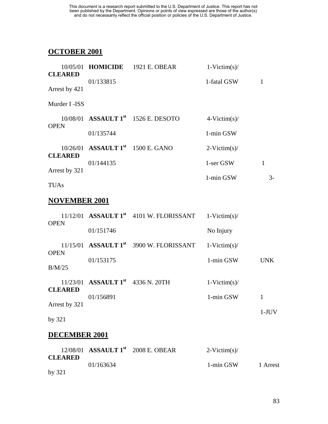## **OCTOBER 2001**

|                |                                               | 10/05/01 <b>HOMICIDE</b> 1921 E. OBEAR          | $1-Victim(s)$ / |      |
|----------------|-----------------------------------------------|-------------------------------------------------|-----------------|------|
| <b>CLEARED</b> |                                               |                                                 |                 |      |
| Arrest by 421  | 01/133815                                     |                                                 | 1-fatal GSW     |      |
| Murder I -ISS  |                                               |                                                 |                 |      |
|                |                                               | 10/08/01 ASSAULT 1 <sup>st</sup> 1526 E. DESOTO | $4-Victim(s)$ / |      |
| <b>OPEN</b>    | 01/135744                                     |                                                 | 1-min GSW       |      |
|                | 10/26/01 ASSAULT 1 <sup>st</sup> 1500 E. GANO |                                                 | $2-Victim(s)$ / |      |
| <b>CLEARED</b> | 01/144135                                     |                                                 | 1-ser GSW       | 1    |
| Arrest by 321  |                                               |                                                 | 1-min GSW       | $3-$ |
| <b>TUAs</b>    |                                               |                                                 |                 |      |

### **NOVEMBER 2001**

| <b>OPEN</b>                     |                                        | $11/12/01$ ASSAULT $1st$ 4101 W. FLORISSANT | $1-Victim(s)$ / |            |
|---------------------------------|----------------------------------------|---------------------------------------------|-----------------|------------|
|                                 | 01/151746                              |                                             | No Injury       |            |
| <b>OPEN</b>                     |                                        | $11/15/01$ ASSAULT $1st$ 3900 W. FLORISSANT | $1-Victim(s)$ / |            |
| B/M/25                          | 01/153175                              |                                             | 1-min GSW       | <b>UNK</b> |
|                                 | 11/23/01 ASSAULT $1^{st}$ 4336 N. 20TH |                                             | $1-Victim(s)$ / |            |
| <b>CLEARED</b><br>Arrest by 321 | 01/156891                              |                                             | 1-min GSW       | 1          |
|                                 |                                        |                                             |                 | 1-J        |

## by 321

### **DECEMBER 2001**

|                |           | $12/08/01$ ASSAULT $1st$ 2008 E. OBEAR | $2-Victim(s)$ |          |
|----------------|-----------|----------------------------------------|---------------|----------|
| <b>CLEARED</b> | 01/163634 |                                        | 1-min GSW     | 1 Arrest |
| by $321$       |           |                                        |               |          |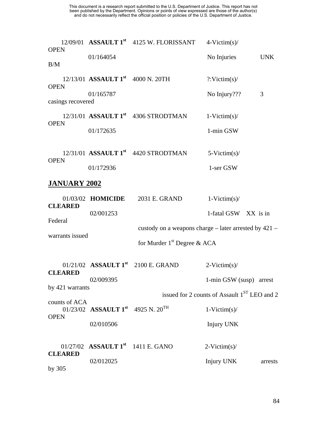| <b>OPEN</b>                  |                                                           | $12/09/01$ ASSAULT $1st$ 4125 W. FLORISSANT           | $4-Victim(s)$ /                                          |            |
|------------------------------|-----------------------------------------------------------|-------------------------------------------------------|----------------------------------------------------------|------------|
| B/M                          | 01/164054                                                 |                                                       | No Injuries                                              | <b>UNK</b> |
| <b>OPEN</b>                  | $12/13/01$ ASSAULT $1^{st}$ 4000 N. 20TH                  |                                                       | $?$ : Victim(s)/                                         |            |
| casings recovered            | 01/165787                                                 |                                                       | No Injury???                                             | 3          |
| <b>OPEN</b>                  |                                                           | $12/31/01$ ASSAULT $1st$ 4306 STRODTMAN               | $1-Victim(s)$ /                                          |            |
|                              | 01/172635                                                 |                                                       | 1-min GSW                                                |            |
|                              |                                                           | $12/31/01$ ASSAULT $1st$ 4420 STRODTMAN               | $5-Victim(s)$ /                                          |            |
| <b>OPEN</b>                  | 01/172936                                                 |                                                       | 1-ser GSW                                                |            |
| <b>JANUARY 2002</b>          |                                                           |                                                       |                                                          |            |
| <b>CLEARED</b>               | 01/03/02 <b>HOMICIDE</b>                                  | 2031 E. GRAND                                         | $1-Victim(s)$ /                                          |            |
| Federal                      | 02/001253                                                 |                                                       | 1-fatal GSW XX is in                                     |            |
| warrants issued              |                                                           | custody on a weapons charge – later arrested by 421 – |                                                          |            |
|                              |                                                           | for Murder $1st$ Degree & ACA                         |                                                          |            |
| <b>CLEARED</b>               |                                                           | 01/21/02 ASSAULT $1^{st}$ 2100 E. GRAND               | $2-Victim(s)$ /                                          |            |
| by 421 warrants              | 02/009395                                                 |                                                       | 1-min GSW (susp) arrest                                  |            |
|                              |                                                           |                                                       | issued for 2 counts of Assault 1 <sup>ST</sup> LEO and 2 |            |
| counts of ACA<br><b>OPEN</b> | 01/23/02 ASSAULT $1^{\text{st}}$ 4925 N. $20^{\text{TH}}$ |                                                       | $1-Victim(s)$ /                                          |            |
|                              | 02/010506                                                 |                                                       | <b>Injury UNK</b>                                        |            |
| <b>CLEARED</b>               | 01/27/02 ASSAULT $1^{st}$ 1411 E. GANO                    |                                                       | $2-Victim(s)$ /                                          |            |
| by $305$                     | 02/012025                                                 |                                                       | Injury UNK                                               | arrests    |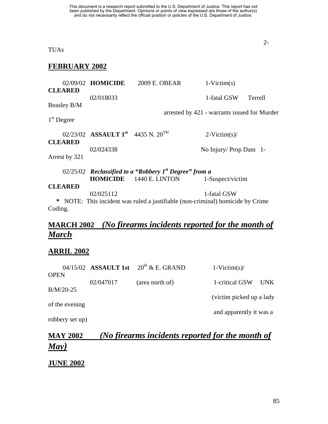TUAs

### **FEBRUARY 2002**

|                | 02/09/02 HOMICIDE                                         | 2009 E. OBEAR                                                                  | $1-Victim(s)$                                |                |
|----------------|-----------------------------------------------------------|--------------------------------------------------------------------------------|----------------------------------------------|----------------|
| <b>CLEARED</b> |                                                           |                                                                                |                                              |                |
|                | 02/018033                                                 |                                                                                | 1-fatal GSW                                  | <b>Terrell</b> |
| Beasley B/M    |                                                           |                                                                                |                                              |                |
|                |                                                           |                                                                                | arrested by 421 - warrants issued for Murder |                |
| $1st$ Degree   |                                                           |                                                                                |                                              |                |
|                |                                                           |                                                                                |                                              |                |
|                | 02/23/02 ASSAULT $1^{\text{st}}$ 4435 N, $20^{\text{TH}}$ |                                                                                | $2-Victim(s)$                                |                |
| <b>CLEARED</b> |                                                           |                                                                                |                                              |                |
|                | 02/024338                                                 |                                                                                | No Injury/ Prop Dam 1-                       |                |
| Arrest by 321  |                                                           |                                                                                |                                              |                |
|                |                                                           |                                                                                |                                              |                |
|                |                                                           | 02/25/02 Reclassified to a "Robbery $Ist$ Degree" from a                       |                                              |                |
|                |                                                           | <b>HOMICIDE</b> 1440 E. LINTON                                                 | 1-Suspect/victim                             |                |
| <b>CLEARED</b> |                                                           |                                                                                |                                              |                |
|                | 02/025112                                                 |                                                                                | 1-fatal GSW                                  |                |
|                |                                                           | * NOTE: This incident was ruled a justifiable (non-criminal) homicide by Crime |                                              |                |
| Coding.        |                                                           |                                                                                |                                              |                |

## **MARCH 2002** *(No firearms incidents reported for the month of March*

### **ARRIL 2002**

|                 |           | 04/15/02 ASSAULT 1st $20^{th}$ & E. GRAND | $1-Victim(s)$ /           |       |
|-----------------|-----------|-------------------------------------------|---------------------------|-------|
| <b>OPEN</b>     | 02/047017 | (area north of)                           | 1-critical GSW            | UNK . |
| $B/M/20-25$     |           |                                           |                           |       |
| of the evening  |           |                                           | (victim picked up a lady) |       |
|                 |           |                                           | and apparently it was a   |       |
| robbery set up) |           |                                           |                           |       |

## **MAY 2002** *(No firearms incidents reported for the month of May)*

### **JUNE 2002**

2-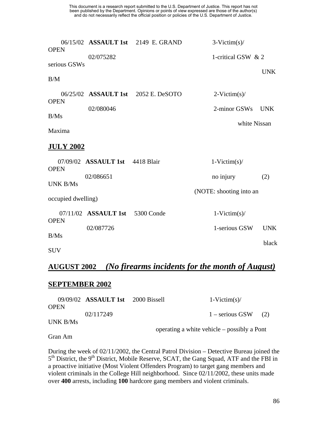| <b>OPEN</b>        |                                 | 06/15/02 ASSAULT 1st 2149 E. GRAND  | $3-Victim(s)$ /         |            |
|--------------------|---------------------------------|-------------------------------------|-------------------------|------------|
| serious GSWs       | 02/075282                       |                                     | 1-critical GSW & 2      | <b>UNK</b> |
| B/M                |                                 |                                     |                         |            |
| <b>OPEN</b>        |                                 | 06/25/02 ASSAULT 1st 2052 E. DeSOTO | $2-Victim(s)$ /         |            |
| B/Ms               | 02/080046                       |                                     | 2-minor GSWs            | <b>UNK</b> |
| Maxima             |                                 |                                     | white Nissan            |            |
| <b>JULY 2002</b>   |                                 |                                     |                         |            |
| <b>OPEN</b>        | 07/09/02 ASSAULT 1st 4418 Blair |                                     | $1-Victim(s)$ /         |            |
| <b>UNK B/Ms</b>    | 02/086651                       |                                     | no injury               | (2)        |
| occupied dwelling) |                                 |                                     | (NOTE: shooting into an |            |
| <b>OPEN</b>        | 07/11/02 ASSAULT 1st            | 5300 Conde                          | $1-Victim(s)$ /         |            |
| B/Ms               | 02/087726                       |                                     | 1-serious GSW           | <b>UNK</b> |
| <b>SUV</b>         |                                 |                                     |                         | black      |

## **AUGUST 2002** *(No firearms incidents for the month of August)*

### **SEPTEMBER 2002**

|             | $09/09/02$ ASSAULT 1st 2000 Bissell | $1-Victim(s)$ /                             |     |
|-------------|-------------------------------------|---------------------------------------------|-----|
| <b>OPEN</b> |                                     |                                             |     |
|             | 02/117249                           | $1 -$ serious GSW                           | (2) |
| UNK B/Ms    |                                     |                                             |     |
|             |                                     | operating a white vehicle – possibly a Pont |     |

Gran Am

During the week of 02/11/2002, the Central Patrol Division – Detective Bureau joined the 5<sup>th</sup> District, the 9<sup>th</sup> District, Mobile Reserve, SCAT, the Gang Squad, ATF and the FBI in a proactive initiative (Most Violent Offenders Program) to target gang members and violent criminals in the College Hill neighborhood. Since 02/11/2002, these units made over **400** arrests, including **100** hardcore gang members and violent criminals.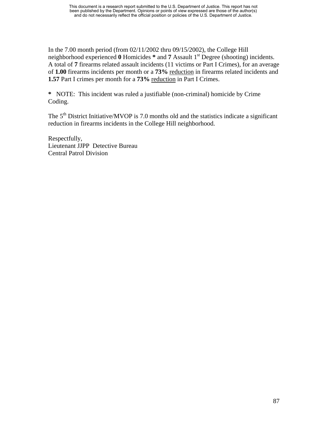In the 7.00 month period (from 02/11/2002 thru 09/15/2002), the College Hill neighborhood experienced **0** Homicides **\*** and **7** Assault 1st Degree (shooting) incidents. A total of **7** firearms related assault incidents (11 victims or Part I Crimes), for an average of **1.00** firearms incidents per month or a **73%** reduction in firearms related incidents and **1.57** Part I crimes per month for a 73% reduction in Part I Crimes.

**\*** NOTE: This incident was ruled a justifiable (non-criminal) homicide by Crime Coding.

The  $5<sup>th</sup>$  District Initiative/MVOP is 7.0 months old and the statistics indicate a significant reduction in firearms incidents in the College Hill neighborhood.

Respectfully, Lieutenant JJPP Detective Bureau Central Patrol Division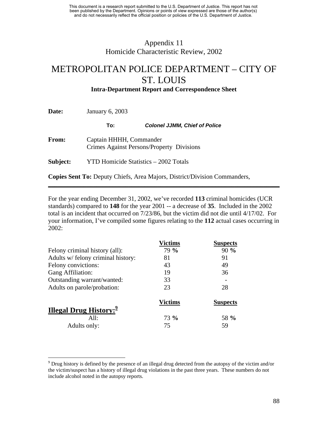## Appendix 11 Homicide Characteristic Review, 2002

# METROPOLITAN POLICE DEPARTMENT – CITY OF ST. LOUIS

**Intra-Department Report and Correspondence Sheet** 

**Date: January 6, 2003** 

 $\overline{a}$ 

**To:** *Colonel JJMM, Chief of Police* 

**From:** Captain HHHH, Commander Crimes Against Persons/Property Divisions

**Subject:** YTD Homicide Statistics – 2002 Totals

**Copies Sent To:** Deputy Chiefs, Area Majors, District/Division Commanders,

For the year ending December 31, 2002, we've recorded **113** criminal homicides (UCR standards) compared to **148** for the year 2001 -- a decrease of **35**. Included in the 2002 total is an incident that occurred on 7/23/86, but the victim did not die until 4/17/02. For your information, I've compiled some figures relating to the **112** actual cases occurring in 2002:

**\_\_\_\_\_\_\_\_\_\_\_\_\_\_\_\_\_\_\_\_\_\_\_\_\_\_\_\_\_\_\_\_\_\_\_\_\_\_\_\_\_\_\_\_\_\_\_\_\_\_\_\_\_\_\_\_\_\_\_\_\_\_\_\_\_\_\_\_\_\_\_\_** 

|                                           | <b>Victims</b> | <b>Suspects</b> |
|-------------------------------------------|----------------|-----------------|
| Felony criminal history (all):            | 79 %           | 90%             |
| Adults w/ felony criminal history:        | 81             | 91              |
| Felony convictions:                       | 43             | 49              |
| Gang Affiliation:                         | 19             | 36              |
| Outstanding warrant/wanted:               | 33             |                 |
| Adults on parole/probation:               | 23             | 28              |
|                                           | <b>Victims</b> | <b>Suspects</b> |
| <b>Illegal Drug History:</b> <sup>2</sup> |                |                 |
| All:                                      | 73 %           | 58 %            |
| Adults only:                              | 75             | 59              |

<span id="page-99-0"></span> $9^9$  Drug history is defined by the presence of an illegal drug detected from the autopsy of the victim and/or the victim/suspect has a history of illegal drug violations in the past three years. These numbers do not include alcohol noted in the autopsy reports.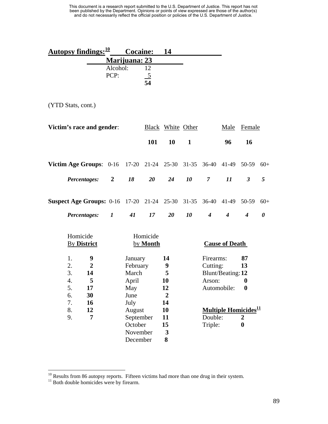| Autopsy findings: $\frac{10}{2}$ Cocaine: |          |                      | -14 |  |
|-------------------------------------------|----------|----------------------|-----|--|
|                                           |          | <b>Marijuana: 23</b> |     |  |
|                                           | Alcohol: |                      |     |  |
|                                           | PCP:     |                      |     |  |
|                                           |          | 54                   |     |  |

(YTD Stats, cont.)

| Victim's race and gender:                                                                                                                      |                |                                                                                                |                      | <b>Black White Other</b>                                             |              |                                            | Male                                                                        | Female                                                            |                       |
|------------------------------------------------------------------------------------------------------------------------------------------------|----------------|------------------------------------------------------------------------------------------------|----------------------|----------------------------------------------------------------------|--------------|--------------------------------------------|-----------------------------------------------------------------------------|-------------------------------------------------------------------|-----------------------|
|                                                                                                                                                |                |                                                                                                | 101                  | 10                                                                   | $\mathbf{1}$ |                                            | 96                                                                          | 16                                                                |                       |
| Victim Age Groups: 0-16 17-20 21-24 25-30 31-35                                                                                                |                |                                                                                                |                      |                                                                      |              |                                            | 36-40 41-49                                                                 | 50-59                                                             | $60+$                 |
| Percentages:                                                                                                                                   | $\overline{2}$ | 18                                                                                             | 20                   | 24                                                                   | 10           | $\overline{7}$                             | $\boldsymbol{\mathit{11}}$                                                  | $\mathfrak{Z}$                                                    | 5                     |
| <b>Suspect Age Groups:</b> 0-16 17-20 21-24 25-30                                                                                              |                |                                                                                                |                      |                                                                      | $31 - 35$    | $36-40$                                    | 41-49                                                                       | 50-59                                                             | $60+$                 |
| Percentages:                                                                                                                                   | $\bm{l}$       | 41                                                                                             | 17                   | 20                                                                   | 10           | $\boldsymbol{4}$                           | $\boldsymbol{4}$                                                            | $\boldsymbol{4}$                                                  | $\boldsymbol{\theta}$ |
| Homicide<br><b>By District</b>                                                                                                                 |                |                                                                                                | Homicide<br>by Month |                                                                      |              |                                            | <b>Cause of Death</b>                                                       |                                                                   |                       |
| $\boldsymbol{9}$<br>1.<br>2.<br>$\overline{2}$<br>3.<br>14<br>5<br>$\overline{4}$ .<br>5.<br>17<br>6.<br>30<br>16<br>7.<br>8.<br>12<br>7<br>9. |                | January<br>February<br>March<br>April<br>May<br>June<br>July<br>August<br>September<br>October |                      | 14<br>9<br>5<br>10<br>12<br>$\boldsymbol{2}$<br>14<br>10<br>11<br>15 |              | Firearms:<br>Cutting:<br>Arson:<br>Double: | Blunt/Beating: 12<br>Automobile:<br><b>Multiple Homicides</b> <sup>11</sup> | 87<br>13<br>0<br>$\boldsymbol{0}$<br>$\boldsymbol{2}$<br>$\bf{0}$ |                       |
|                                                                                                                                                |                | November<br>December                                                                           |                      | 3<br>8                                                               |              | Triple:                                    |                                                                             |                                                                   |                       |

 $\overline{a}$ 

<span id="page-100-0"></span> $10$  Results from 86 autopsy reports. Fifteen victims had more than one drug in their system.<br> $11$  Both double homicides were by firearm.

<span id="page-100-1"></span>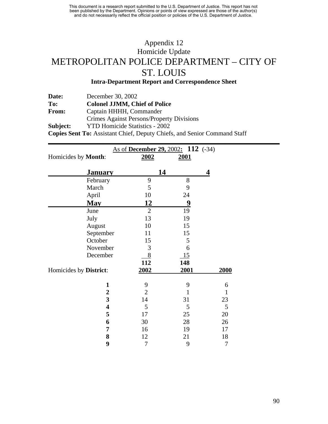## Appendix 12 Homicide Update METROPOLITAN POLICE DEPARTMENT – CITY OF ST. LOUIS

### **Intra-Department Report and Correspondence Sheet**

**\_\_\_\_\_\_\_\_\_\_\_\_\_\_\_\_\_\_\_\_\_\_\_\_\_\_\_\_\_\_\_\_\_\_\_\_\_\_\_\_\_\_\_\_\_\_\_\_\_\_\_\_\_\_\_\_\_\_\_\_\_\_\_\_\_\_\_\_\_\_\_\_** 

| Date:    | December 30, 2002                         |
|----------|-------------------------------------------|
| To:      | <b>Colonel JJMM, Chief of Police</b>      |
| From:    | Captain HHHH, Commander                   |
|          | Crimes Against Persons/Property Divisions |
| Subject: | <b>YTD Homicide Statistics - 2002</b>     |

**Copies Sent To:** Assistant Chief, Deputy Chiefs, and Senior Command Staff

|                                             | As of December 29, 2002: 112 (-34) |                   |                   |
|---------------------------------------------|------------------------------------|-------------------|-------------------|
| Homicides by Month:                         | 2002                               | 2001              |                   |
| <b>January</b>                              |                                    | 14                | 4                 |
| February                                    | 9                                  | $8\,$             |                   |
| March                                       | 5                                  | 9                 |                   |
| April                                       | 10                                 | 24                |                   |
| <b>May</b>                                  | 12                                 | 9                 |                   |
| June                                        | $\overline{2}$                     | 19                |                   |
| July                                        | 13                                 | 19                |                   |
| August                                      | 10                                 | 15                |                   |
| September                                   | 11                                 | 15                |                   |
| October                                     | 15                                 | 5                 |                   |
| November                                    | 3                                  | 6                 |                   |
| December                                    | 8                                  | 15                |                   |
|                                             | 112                                | 148               |                   |
| Homicides by District:                      | 2002                               | 2001              | 2000              |
|                                             |                                    |                   |                   |
| $\mathbf{1}$                                | 9<br>$\overline{2}$                | 9<br>$\mathbf{1}$ | 6<br>$\mathbf{1}$ |
| $\boldsymbol{2}$<br>$\overline{\mathbf{3}}$ | 14                                 |                   |                   |
| $\overline{\mathbf{4}}$                     |                                    | 31                | 23                |
|                                             | 5                                  | 5                 | 5                 |
| 5                                           | 17                                 | 25                | 20                |
| 6                                           | 30                                 | 28                | 26                |
| 7                                           | 16                                 | 19                | 17                |
| 8                                           | 12                                 | 21                | 18                |
| 9                                           | $\tau$                             | 9                 | 7                 |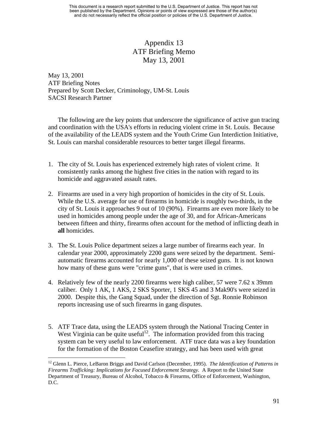## Appendix 13 ATF Briefing Memo May 13, 2001

May 13, 2001 ATF Briefing Notes Prepared by Scott Decker, Criminology, UM-St. Louis SACSI Research Partner

The following are the key points that underscore the significance of active gun tracing and coordination with the USA's efforts in reducing violent crime in St. Louis. Because of the availability of the LEADS system and the Youth Crime Gun Interdiction Initiative, St. Louis can marshal considerable resources to better target illegal firearms.

- 1. The city of St. Louis has experienced extremely high rates of violent crime. It consistently ranks among the highest five cities in the nation with regard to its homicide and aggravated assault rates.
- 2. Firearms are used in a very high proportion of homicides in the city of St. Louis. While the U.S. average for use of firearms in homicide is roughly two-thirds, in the city of St. Louis it approaches 9 out of 10 (90%). Firearms are even more likely to be used in homicides among people under the age of 30, and for African-Americans between fifteen and thirty, firearms often account for the method of inflicting death in **all** homicides.
- 3. The St. Louis Police department seizes a large number of firearms each year. In calendar year 2000, approximately 2200 guns were seized by the department. Semiautomatic firearms accounted for nearly 1,000 of these seized guns. It is not known how many of these guns were "crime guns", that is were used in crimes.
- 4. Relatively few of the nearly 2200 firearms were high caliber, 57 were 7.62 x 39mm caliber. Only 1 AK, 1 AKS, 2 SKS Sporter, 1 SKS 45 and 3 Mak90's were seized in 2000. Despite this, the Gang Squad, under the direction of Sgt. Ronnie Robinson reports increasing use of such firearms in gang disputes.
- 5. ATF Trace data, using the LEADS system through the National Tracing Center in West Virginia can be quite useful<sup>12</sup>. The information provided from this tracing system can be very useful to law enforcement. ATF trace data was a key foundation for the formation of the Boston Ceasefire strategy, and has been used with great

<u>.</u>

<span id="page-102-0"></span><sup>12</sup> Glenn L. Pierce, LeBaron Briggs and David Carlson (December, 1995). *The Identification of Patterns in Firearms Trafficking: Implications for Focused Enforcement Strategy.* A Report to the United State Department of Treasury, Bureau of Alcohol, Tobacco & Firearms, Office of Enforcement, Washington, D.C.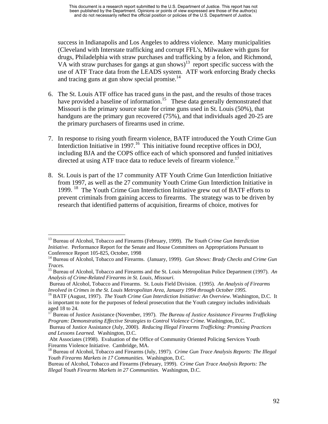success in Indianapolis and Los Angeles to address violence. Many municipalities (Cleveland with Interstate trafficking and corrupt FFL's, Milwaukee with guns for drugs, Philadelphia with straw purchases and trafficking by a felon, and Richmond, VA with straw purchases for gangs at gun shows)<sup>13</sup> report specific success with the use of ATF Trace data from the LEADS system. ATF work enforcing Brady checks and tracing guns at gun show special promise.<sup>14</sup>

- 6. The St. Louis ATF office has traced guns in the past, and the results of those traces have provided a baseline of information.<sup>15</sup> These data generally demonstrated that Missouri is the primary source state for crime guns used in St. Louis (50%), that handguns are the primary gun recovered (75%), and that individuals aged 20-25 are the primary purchasers of firearms used in crime.
- 7. In response to rising youth firearm violence, BATF introduced the Youth Crime Gun Interdiction Initiative in 1997.<sup>16</sup> This initiative found receptive offices in DOJ, including BJA and the COPS office each of which sponsored and funded initiatives directed at using ATF trace data to reduce levels of firearm violence.<sup>[17](#page-103-4)</sup>
- 8. St. Louis is part of the 17 community ATF Youth Crime Gun Interdiction Initiative from 1997, as well as the 27 community Youth Crime Gun Interdiction Initiative in 1999. [18](#page-103-5) The Youth Crime Gun Interdiction Initiative grew out of BATF efforts to prevent criminals from gaining access to firearms. The strategy was to be driven by research that identified patterns of acquisition, firearms of choice, motives for

<span id="page-103-0"></span> $\overline{a}$ <sup>13</sup> Bureau of Alcohol, Tobacco and Firearms (February, 1999). *The Youth Crime Gun Interdiction Initiative.* Performance Report for the Senate and House Committees on Appropriations Pursuant to Conference Report 105-825, October, 1998<br><sup>14</sup> Bureau of Alcohol, Tobacco and Firearms. (January, 1999). *Gun Shows: Brady Checks and Crime Gun* 

<span id="page-103-1"></span>

<span id="page-103-2"></span>*Traces.* 15 Bureau of Alcohol, Tobacco and Firearms and the St. Louis Metropolitan Police Department (1997). *An Analysis of Crime-Related Firearms in St. Louis, Missouri.* 

Bureau of Alcohol, Tobacco and Firearms. St. Louis Field Division. (1995). *An Analysis of Firearms Involved in Crimes in the St. Louis Metropolitan Area, January 1994 through October 1995.*<br><sup>16</sup> BATF (August, 1997). *The Youth Crime Gun Interdiction Initiative: An Overview.* Washington, D.C. It

<span id="page-103-3"></span>is important to note for the purposes of federal prosecution that the Youth category includes individuals

<span id="page-103-4"></span>aged 18 to 24.<br><sup>17</sup> Bureau of Justice Assistance (November, 1997). *The Bureau of Justice Assistance Firearms Trafficking Program: Demonstrating Effective Strategies to Control Violence Crime.* Washington, D.C.

Bureau of Justice Assistance (July, 2000). *Reducing Illegal Firearms Trafficking: Promising Practices and Lessons Learned.* Washington, D.C.

Abt Associates (1998). Evaluation of the Office of Community Oriented Policing Services Youth Firearms Violence Initiative. Cambridge, MA.<br><sup>18</sup> Bureau of Alcohol, Tobacco and Firearms (July, 1997). *Crime Gun Trace Analysis Reports: The Illegal* 

<span id="page-103-5"></span>*Youth Firearms Markets in 17 Communities.* Washington, D.C.

Bureau of Alcohol, Tobacco and Firearms (February, 1999). *Crime Gun Trace Analysis Reports: The Illegal Youth Firearms Markets in 27 Communities.* Washington, D.C.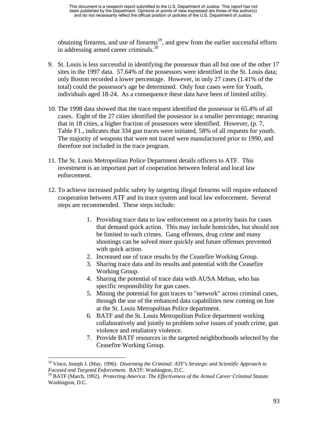obtaining firearms, and use of firearms<sup>19</sup>, and grew from the earlier successful efforts in addressing armed career criminals.[20](#page-104-1) 

- 9. St. Louis is less successful in identifying the possessor than all but one of the other 17 sites in the 1997 data. 57.64% of the possessors were identified in the St. Louis data; only Boston recorded a lower percentage. However, in only 27 cases (1.41% of the total) could the possessor's age be determined. Only four cases were for Youth, individuals aged 18-24. As a consequence these data have been of limited utility.
- 10. The 1998 data showed that the trace request identified the possessor in 65.4% of all cases. Eight of the 27 cities identified the possessor in a smaller percentage; meaning that in 18 cities, a higher fraction of possessors were identified. However, (p. 7, Table F1., indicates that 334 gun traces were initiated, 58% of all requests for youth. The majority of weapons that were not traced were manufactured prior to 1990, and therefore not included in the trace program.
- 11. The St. Louis Metropolitan Police Department details officers to ATF. This investment is an important part of cooperation between federal and local law enforcement.
- 12. To achieve increased public safety by targeting illegal firearms will require enhanced cooperation between ATF and its trace system and local law enforcement. Several steps are recommended. These steps include:
	- 1. Providing trace data to law enforcement on a priority basis for cases that demand quick action. This may include homicides, but should not be limited to such crimes. Gang offenses, drug crime and many shootings can be solved more quickly and future offenses prevented with quick action.
	- 2. Increased use of trace results by the Ceasefire Working Group.
	- 3. Sharing trace data and its results and potential with the Ceasefire Working Group.
	- 4. Sharing the potential of trace data with AUSA Mehan, who has specific responsibility for gun cases.
	- 5. Mining the potential for gun traces to "network" across criminal cases, through the use of the enhanced data capabilities now coming on line at the St. Louis Metropolitan Police department.
	- 6. BATF and the St. Louis Metropolitan Police department working collaboratively and jointly to problem solve issues of youth crime, gun violence and retaliatory violence.
	- 7. Provide BATF resources in the targeted neighborhoods selected by the Ceasefire Working Group.

 $\overline{a}$ 

<span id="page-104-0"></span><sup>&</sup>lt;sup>19</sup> Vince, Joseph J. (May, 1996). *Disarming the Criminal: ATF's Strategic and Scientific Approach to Focused and Targeted Enforcement.* BATF: Washington, D.C.

<span id="page-104-1"></span>*Focused and Targeted Enforcement.* BATF: Washington, D.C. 20 BATF (March, 1992). *Protecting America: The Effectiveness of the Armed Career Criminal Statute*. Washington, D.C.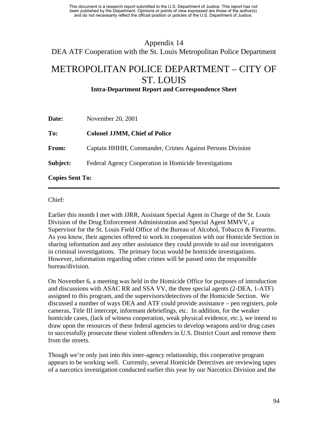# Appendix 14 DEA ATF Cooperation with the St. Louis Metropolitan Police Department

## METROPOLITAN POLICE DEPARTMENT – CITY OF ST. LOUIS

**Intra-Department Report and Correspondence Sheet** 

| Date:                  | November 20, 2001                                        |  |  |
|------------------------|----------------------------------------------------------|--|--|
| To:                    | <b>Colonel JJMM, Chief of Police</b>                     |  |  |
| From:                  | Captain HHHH, Commander, Crimes Against Persons Division |  |  |
| Subject:               | Federal Agency Cooperation in Homicide Investigations    |  |  |
| <b>Copies Sent To:</b> |                                                          |  |  |

Chief:

Earlier this month I met with JJRR, Assistant Special Agent in Charge of the St. Louis Division of the Drug Enforcement Administration and Special Agent MMVV, a Supervisor for the St. Louis Field Office of the Bureau of Alcohol, Tobacco & Firearms. As you know, their agencies offered to work in cooperation with our Homicide Section in sharing information and any other assistance they could provide to aid our investigators in criminal investigations. The primary focus would be homicide investigations. However, information regarding other crimes will be passed onto the responsible bureau/division.

**\_\_\_\_\_\_\_\_\_\_\_\_\_\_\_\_\_\_\_\_\_\_\_\_\_\_\_\_\_\_\_\_\_\_\_\_\_\_\_\_\_\_\_\_\_\_\_\_\_\_\_\_\_\_\_\_\_\_\_\_\_\_\_\_\_\_\_\_\_\_\_\_** 

On November 6, a meeting was held in the Homicide Office for purposes of introduction and discussions with ASAC RR and SSA VV, the three special agents (2-DEA, 1-ATF) assigned to this program, and the supervisors/detectives of the Homicide Section. We discussed a number of ways DEA and ATF could provide assistance – pen registers, pole cameras, Title III intercept, informant debriefings, etc. In addition, for the weaker homicide cases, (lack of witness cooperation, weak physical evidence, etc.), we intend to draw upon the resources of these federal agencies to develop weapons and/or drug cases to successfully prosecute these violent offenders in U.S. District Court and remove them from the streets.

Though we're only just into this inter-agency relationship, this cooperative program appears to be working well. Currently, several Homicide Detectives are reviewing tapes of a narcotics investigation conducted earlier this year by our Narcotics Division and the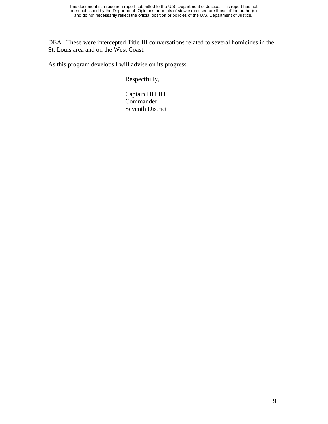DEA. These were intercepted Title III conversations related to several homicides in the St. Louis area and on the West Coast.

As this program develops I will advise on its progress.

Respectfully,

 Captain HHHH **Commander** Seventh District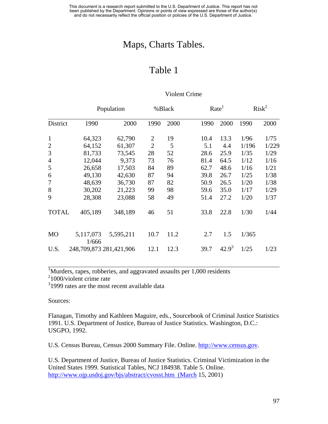## Maps, Charts Tables.

## Table 1

|                |                         | Population |                | %Black |      | Rate <sup>1</sup> |       | Risk <sup>2</sup> |
|----------------|-------------------------|------------|----------------|--------|------|-------------------|-------|-------------------|
| District       | 1990                    | 2000       | 1990           | 2000   | 1990 | 2000              | 1990  | 2000              |
| $\mathbf{1}$   | 64,323                  | 62,790     | $\overline{2}$ | 19     | 10.4 | 13.3              | 1/96  | 1/75              |
| $\mathfrak{2}$ | 64,152                  | 61,307     | $\overline{2}$ | 5      | 5.1  | 4.4               | 1/196 | 1/229             |
| 3              | 81,733                  | 73,545     | 28             | 52     | 28.6 | 25.9              | 1/35  | 1/29              |
| $\overline{4}$ | 12,044                  | 9,373      | 73             | 76     | 81.4 | 64.5              | 1/12  | 1/16              |
| 5              | 26,658                  | 17,503     | 84             | 89     | 62.7 | 48.6              | 1/16  | 1/21              |
| 6              | 49,130                  | 42,630     | 87             | 94     | 39.8 | 26.7              | 1/25  | 1/38              |
| $\tau$         | 48,639                  | 36,730     | 87             | 82     | 50.9 | 26.5              | 1/20  | 1/38              |
| 8              | 30,202                  | 21,223     | 99             | 98     | 59.6 | 35.0              | 1/17  | 1/29              |
| 9              | 28,308                  | 23,088     | 58             | 49     | 51.4 | 27.2              | 1/20  | 1/37              |
| <b>TOTAL</b>   | 405,189                 | 348,189    | 46             | 51     | 33.8 | 22.8              | 1/30  | 1/44              |
| M <sub>O</sub> | 5,117,073<br>1/666      | 5,595,211  | 10.7           | 11.2   | 2.7  | 1.5               | 1/365 |                   |
| U.S.           | 248,709,873 281,421,906 |            | 12.1           | 12.3   | 39.7 | $42.9^3$          | 1/25  | 1/23              |

#### Violent Crime

<sup>1</sup>Murders, rapes, robberies, and aggravated assaults per 1,000 residents

<sup>2</sup>1000/violent crime rate

<sup>3</sup>1999 rates are the most recent available data

Sources:

 $\overline{a}$ 

Flanagan, Timothy and Kathleen Maguire, eds., Sourcebook of Criminal Justice Statistics 1991. U.S. Department of Justice, Bureau of Justice Statistics. Washington, D.C.: USGPO, 1992.

U.S. Census Bureau, Census 2000 Summary File. Online. [http://www.census.gov](http://www.census.gov/).

U.S. Department of Justice, Bureau of Justice Statistics. Criminal Victimization in the United States 1999. Statistical Tables, NCJ 184938. Table 5. Online. [http://www.ojp.usdoj.gov/bjs/abstract/cvosst.htm \(March](http://www.ojp.usdoj.gov/bjs/abstract/cvosst.htm  (March) 15, 2001)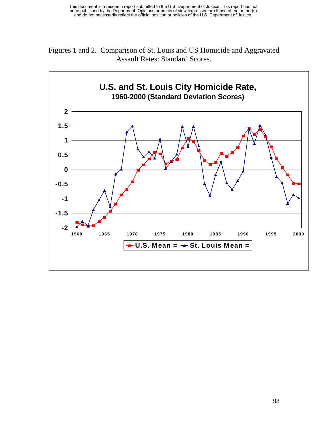

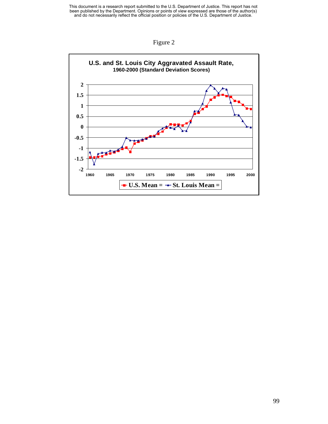This document is a research report submitted to the U.S. Department of Justice. This report has not been published by the Department. Opinions or points of view expressed are those of the author(s) and do not necessarily r



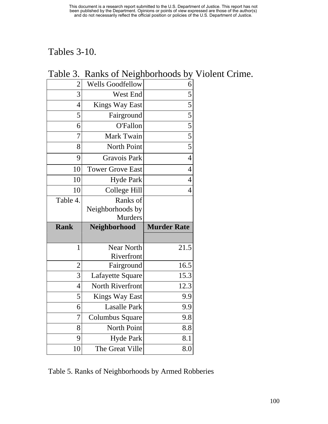# Tables 3-10.

| $\overline{2}$ | <b>Wells Goodfellow</b> | 6                                                       |
|----------------|-------------------------|---------------------------------------------------------|
| 3              | West End                | $\overline{5}$                                          |
| $\overline{4}$ | <b>Kings Way East</b>   |                                                         |
| 5              | Fairground              |                                                         |
| 6              | <b>O'Fallon</b>         | $\frac{1}{5}$ $\frac{5}{5}$ $\frac{5}{5}$ $\frac{5}{5}$ |
| 7              | Mark Twain              |                                                         |
| 8              | North Point             |                                                         |
| 9              | <b>Gravois Park</b>     | $\overline{4}$                                          |
| 10             | <b>Tower Grove East</b> | $\overline{4}$                                          |
| 10             | <b>Hyde Park</b>        | $\overline{4}$                                          |
| 10             | <b>College Hill</b>     | $\overline{4}$                                          |
| Table 4.       | Ranks of                |                                                         |
|                | Neighborhoods by        |                                                         |
|                |                         |                                                         |
|                | <b>Murders</b>          |                                                         |
| <b>Rank</b>    | Neighborhood            | <b>Murder Rate</b>                                      |
|                |                         |                                                         |
| $\mathbf{1}$   | <b>Near North</b>       | 21.5                                                    |
|                | Riverfront              |                                                         |
| $\overline{2}$ | Fairground              | 16.5                                                    |
| 3              | Lafayette Square        | 15.3                                                    |
| $\overline{4}$ | North Riverfront        | 12.3                                                    |
| 5              | <b>Kings Way East</b>   | 9.9                                                     |
| 6              | <b>Lasalle Park</b>     | 9.9                                                     |
| $\overline{7}$ | Columbus Square         | 9.8                                                     |
| 8              | North Point             | 8.8                                                     |
| 9              | <b>Hyde Park</b>        | 8.1                                                     |
| 10             | The Great Ville         | 8.0                                                     |

### Table 3. Ranks of Neighborhoods by Violent Crime.

Table 5. Ranks of Neighborhoods by Armed Robberies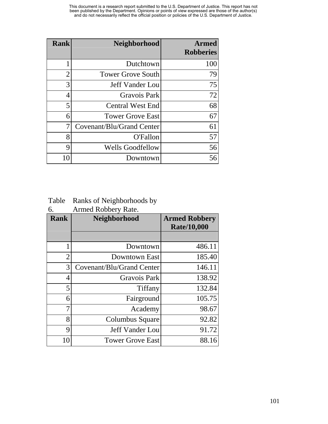| <b>Rank</b>    | Neighborhood              | <b>Armed</b><br><b>Robberies</b> |
|----------------|---------------------------|----------------------------------|
|                | Dutchtown                 | 100                              |
| $\overline{2}$ | <b>Tower Grove South</b>  | 79                               |
| 3              | <b>Jeff Vander Lou</b>    | 75                               |
| 4              | Gravois Park              | 72                               |
| 5              | <b>Central West End</b>   | 68                               |
| 6              | <b>Tower Grove East</b>   | 67                               |
| 7              | Covenant/Blu/Grand Center | 61                               |
| 8              | O'Fallon                  | 57                               |
| 9              | <b>Wells Goodfellow</b>   | 56                               |
| 10             | Downtown                  | 56                               |

Table Ranks of Neighborhoods by

6. Armed Robbery Rate.

| <b>Rank</b> | Neighborhood              | <b>Armed Robbery</b><br><b>Rate/10,000</b> |
|-------------|---------------------------|--------------------------------------------|
|             |                           |                                            |
| 1           | Downtown                  | 486.11                                     |
| 2           | Downtown East             | 185.40                                     |
| 3           | Covenant/Blu/Grand Center | 146.11                                     |
| 4           | <b>Gravois Park</b>       | 138.92                                     |
| 5           | Tiffany                   | 132.84                                     |
| 6           | Fairground                | 105.75                                     |
| 7           | Academy                   | 98.67                                      |
| 8           | Columbus Square           | 92.82                                      |
| 9           | <b>Jeff Vander Lou</b>    | 91.72                                      |
| 10          | <b>Tower Grove East</b>   | 88.16                                      |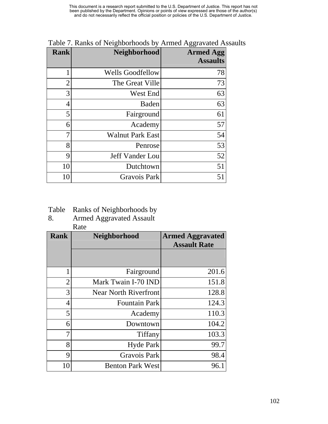| <b>Rank</b>    | Neighborhood            | <b>Armed Agg</b><br><b>Assaults</b> |
|----------------|-------------------------|-------------------------------------|
| 1              | <b>Wells Goodfellow</b> | 78                                  |
| $\overline{2}$ | The Great Ville         | 73                                  |
| 3              | West End                | 63                                  |
| 4              | <b>Baden</b>            | 63                                  |
| 5              | Fairground              | 61                                  |
| 6              | Academy                 | 57                                  |
| 7              | <b>Walnut Park East</b> | 54                                  |
| 8              | Penrose                 | 53                                  |
| 9              | Jeff Vander Lou         | 52                                  |
| 10             | Dutchtown               | 51                                  |
| 10             | Gravois Park            | 51                                  |

Table 7. Ranks of Neighborhoods by Armed Aggravated Assaults

Table Ranks of Neighborhoods by

8. Armed Aggravated Assault

Rate

| <b>Rank</b>    | <b>Neighborhood</b>          | <b>Armed Aggravated</b><br><b>Assault Rate</b> |
|----------------|------------------------------|------------------------------------------------|
|                |                              |                                                |
| 1              | Fairground                   | 201.6                                          |
| $\overline{2}$ | Mark Twain I-70 IND          | 151.8                                          |
| 3              | <b>Near North Riverfront</b> | 128.8                                          |
| 4              | <b>Fountain Park</b>         | 124.3                                          |
| 5              | Academy                      | 110.3                                          |
| 6              | Downtown                     | 104.2                                          |
| 7              | Tiffany                      | 103.3                                          |
| 8              | <b>Hyde Park</b>             | 99.7                                           |
| 9              | <b>Gravois Park</b>          | 98.4                                           |
| 10             | <b>Benton Park West</b>      | 96.1                                           |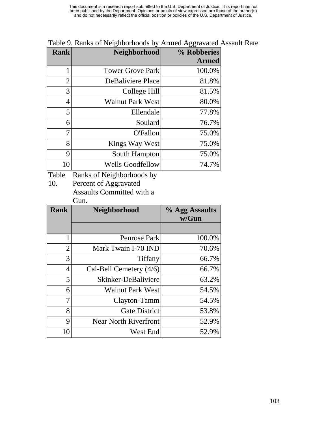This document is a research report submitted to the U.S. Department of Justice. This report has not been published by the Department. Opinions or points of view expressed are those of the author(s) and do not necessarily reflect the official position or policies of the U.S. Department of Justice.

| <b>Rank</b>    | Neighborhood            | % Robberies  |
|----------------|-------------------------|--------------|
|                |                         | <b>Armed</b> |
|                | <b>Tower Grove Park</b> | 100.0%       |
| $\overline{2}$ | DeBaliviere Place       | 81.8%        |
| 3              | College Hill            | 81.5%        |
| 4              | <b>Walnut Park West</b> | 80.0%        |
| 5              | Ellendale               | 77.8%        |
| 6              | Soulard                 | 76.7%        |
| 7              | O'Fallon                | 75.0%        |
| 8              | Kings Way West          | 75.0%        |
| 9              | South Hampton           | 75.0%        |
| 10             | <b>Wells Goodfellow</b> | 74.7%        |

Table 9. Ranks of Neighborhoods by Armed Aggravated Assault Rate

Table Ranks of Neighborhoods by

10. Percent of Aggravated

Assaults Committed with a Gun.

| <b>Rank</b>    | Neighborhood                 | % Agg Assaults<br>w/Gun |
|----------------|------------------------------|-------------------------|
|                |                              |                         |
| 1              | Penrose Park                 | 100.0%                  |
| $\overline{2}$ | Mark Twain I-70 IND          | 70.6%                   |
| 3              | Tiffany                      | 66.7%                   |
| 4              | Cal-Bell Cemetery (4/6)      | 66.7%                   |
| 5              | Skinker-DeBaliviere          | 63.2%                   |
| 6              | <b>Walnut Park West</b>      | 54.5%                   |
| 7              | Clayton-Tamm                 | 54.5%                   |
| 8              | <b>Gate District</b>         | 53.8%                   |
| 9              | <b>Near North Riverfront</b> | 52.9%                   |
| 10             | West End                     | 52.9%                   |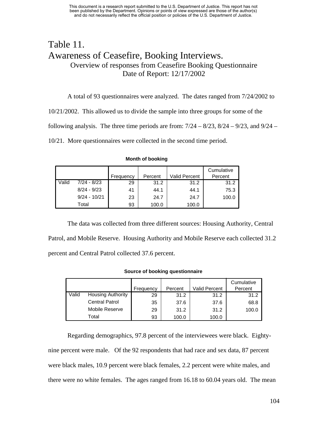#### Table 11. Awareness of Ceasefire, Booking Interviews. Overview of responses from Ceasefire Booking Questionnaire Date of Report: 12/17/2002

A total of 93 questionnaires were analyzed. The dates ranged from 7/24/2002 to 10/21/2002. This allowed us to divide the sample into three groups for some of the following analysis. The three time periods are from:  $7/24 - 8/23$ ,  $8/24 - 9/23$ , and  $9/24 -$ 10/21. More questionnaires were collected in the second time period.

|       |                | Frequency | Percent | <b>Valid Percent</b> | Cumulative<br>Percent |
|-------|----------------|-----------|---------|----------------------|-----------------------|
| Valid | $7/24 - 8/23$  | 29        | 31.2    | 31.2                 | 31.2                  |
|       | $8/24 - 9/23$  | 41        | 44.1    | 44.1                 | 75.3                  |
|       | $9/24 - 10/21$ | 23        | 24.7    | 24.7                 | 100.0                 |
|       | Total          | 93        | 100.0   | 100.0                |                       |

**Month of booking**

The data was collected from three different sources: Housing Authority, Central Patrol, and Mobile Reserve. Housing Authority and Mobile Reserve each collected 31.2 percent and Central Patrol collected 37.6 percent.

#### **Source of booking questionnaire**

|       |                          |           |         |               | Cumulative |
|-------|--------------------------|-----------|---------|---------------|------------|
|       |                          | Frequency | Percent | Valid Percent | Percent    |
| Valid | <b>Housing Authority</b> | 29        | 31.2    | 31.2          | 31.2       |
|       | <b>Central Patrol</b>    | 35        | 37.6    | 37.6          | 68.8       |
|       | Mobile Reserve           | 29        | 31.2    | 31.2          | 100.0      |
|       | Total                    | 93        | 100.0   | 100.0         |            |

Regarding demographics, 97.8 percent of the interviewees were black. Eightynine percent were male. Of the 92 respondents that had race and sex data, 87 percent were black males, 10.9 percent were black females, 2.2 percent were white males, and there were no white females. The ages ranged from 16.18 to 60.04 years old. The mean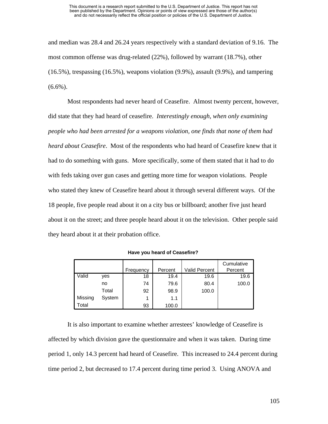#### This document is a research report submitted to the U.S. Department of Justice. This report has not been published by the Department. Opinions or points of view expressed are those of the author(s) and do not necessarily reflect the official position or policies of the U.S. Department of Justice.

and median was 28.4 and 26.24 years respectively with a standard deviation of 9.16. The most common offense was drug-related (22%), followed by warrant (18.7%), other (16.5%), trespassing (16.5%), weapons violation (9.9%), assault (9.9%), and tampering  $(6.6\%)$ .

Most respondents had never heard of Ceasefire. Almost twenty percent, however, did state that they had heard of ceasefire. *Interestingly enough, when only examining people who had been arrested for a weapons violation, one finds that none of them had heard about Ceasefire*. Most of the respondents who had heard of Ceasefire knew that it had to do something with guns. More specifically, some of them stated that it had to do with feds taking over gun cases and getting more time for weapon violations. People who stated they knew of Ceasefire heard about it through several different ways. Of the 18 people, five people read about it on a city bus or billboard; another five just heard about it on the street; and three people heard about it on the television. Other people said they heard about it at their probation office.

|         |        |           |         |                      | Cumulative |
|---------|--------|-----------|---------|----------------------|------------|
|         |        | Frequency | Percent | <b>Valid Percent</b> | Percent    |
| Valid   | yes    | 18        | 19.4    | 19.6                 | 19.6       |
|         | no     | 74        | 79.6    | 80.4                 | 100.0      |
|         | Total  | 92        | 98.9    | 100.0                |            |
| Missing | System | 1         | 1.1     |                      |            |
| Total   |        | 93        | 100.0   |                      |            |

**Have you heard of Ceasefire?**

It is also important to examine whether arrestees' knowledge of Ceasefire is affected by which division gave the questionnaire and when it was taken. During time period 1, only 14.3 percent had heard of Ceasefire. This increased to 24.4 percent during time period 2, but decreased to 17.4 percent during time period 3. Using ANOVA and